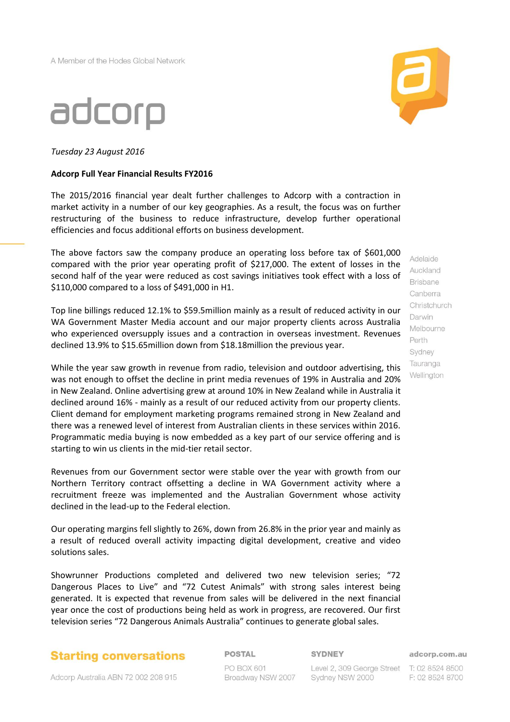

*Tuesday 23 August 2016*

## **Adcorp Full Year Financial Results FY2016**

The 2015/2016 financial year dealt further challenges to Adcorp with a contraction in market activity in a number of our key geographies. As a result, the focus was on further restructuring of the business to reduce infrastructure, develop further operational efficiencies and focus additional efforts on business development.

The above factors saw the company produce an operating loss before tax of \$601,000 compared with the prior year operating profit of \$217,000. The extent of losses in the second half of the year were reduced as cost savings initiatives took effect with a loss of \$110,000 compared to a loss of \$491,000 in H1.

Top line billings reduced 12.1% to \$59.5million mainly as a result of reduced activity in our WA Government Master Media account and our major property clients across Australia who experienced oversupply issues and a contraction in overseas investment. Revenues declined 13.9% to \$15.65million down from \$18.18million the previous year.

While the year saw growth in revenue from radio, television and outdoor advertising, this was not enough to offset the decline in print media revenues of 19% in Australia and 20% in New Zealand. Online advertising grew at around 10% in New Zealand while in Australia it declined around 16% - mainly as a result of our reduced activity from our property clients. Client demand for employment marketing programs remained strong in New Zealand and there was a renewed level of interest from Australian clients in these services within 2016. Programmatic media buying is now embedded as a key part of our service offering and is starting to win us clients in the mid-tier retail sector.

Revenues from our Government sector were stable over the year with growth from our Northern Territory contract offsetting a decline in WA Government activity where a recruitment freeze was implemented and the Australian Government whose activity declined in the lead-up to the Federal election.

Our operating margins fell slightly to 26%, down from 26.8% in the prior year and mainly as a result of reduced overall activity impacting digital development, creative and video solutions sales.

Showrunner Productions completed and delivered two new television series; "72 Dangerous Places to Live" and "72 Cutest Animals" with strong sales interest being generated. It is expected that revenue from sales will be delivered in the next financial year once the cost of productions being held as work in progress, are recovered. Our first television series "72 Dangerous Animals Australia" continues to generate global sales.

## **Starting conversations**

Adcorp Australia ABN 72 002 208 915

**POSTAL** 

**SYDNEY** 

PO BOX 601 Broadway NSW 2007

Level 2, 309 George Street T: 02 8524 8500 Sydney NSW 2000

adcorp.com.au

F: 02 8524 8700

Adelaide Auckland **Brisbane** Canberra Christchurch Darwin Melbourne Perth Sydney Tauranga Wellington

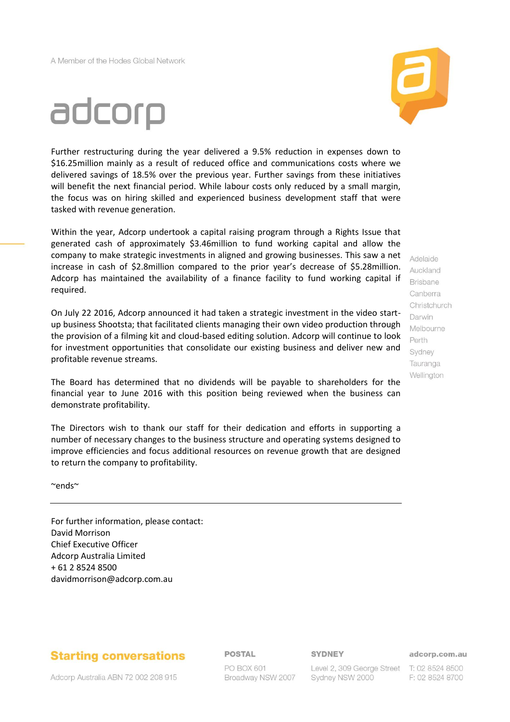# adcorp

Further restructuring during the year delivered a 9.5% reduction in expenses down to \$16.25million mainly as a result of reduced office and communications costs where we delivered savings of 18.5% over the previous year. Further savings from these initiatives will benefit the next financial period. While labour costs only reduced by a small margin, the focus was on hiring skilled and experienced business development staff that were tasked with revenue generation.

Within the year, Adcorp undertook a capital raising program through a Rights Issue that generated cash of approximately \$3.46million to fund working capital and allow the company to make strategic investments in aligned and growing businesses. This saw a net increase in cash of \$2.8million compared to the prior year's decrease of \$5.28million. Adcorp has maintained the availability of a finance facility to fund working capital if required.

On July 22 2016, Adcorp announced it had taken a strategic investment in the video startup business Shootsta; that facilitated clients managing their own video production through the provision of a filming kit and cloud-based editing solution. Adcorp will continue to look for investment opportunities that consolidate our existing business and deliver new and profitable revenue streams.

The Board has determined that no dividends will be payable to shareholders for the financial year to June 2016 with this position being reviewed when the business can demonstrate profitability.

The Directors wish to thank our staff for their dedication and efforts in supporting a number of necessary changes to the business structure and operating systems designed to improve efficiencies and focus additional resources on revenue growth that are designed to return the company to profitability.

~ends~

For further information, please contact: David Morrison Chief Executive Officer Adcorp Australia Limited + 61 2 8524 8500 davidmorrison@adcorp.com.au

## **Starting conversations**

**POSTAL** 

## **SYDNEY**

adcorp.com.au

Adcorp Australia ABN 72 002 208 915

PO BOX 601 Broadway NSW 2007

Level 2, 309 George Street T: 02 8524 8500 Sydney NSW 2000

F: 02 8524 8700

Auckland **Brisbane** Canberra Christchurch Darwin Melbourne Perth Sydney Tauranga Wellington

Adelaide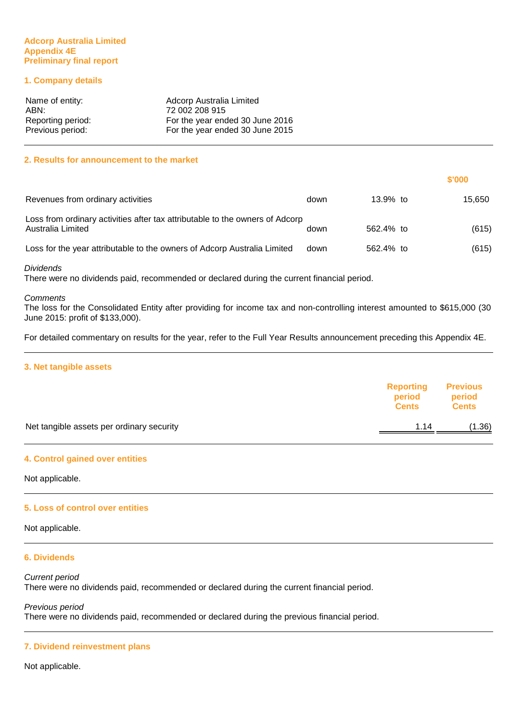## **Adcorp Australia Limited Appendix 4E Preliminary final report**

## **1. Company details**

| Name of entity:   | Adcorp Australia Limited        |
|-------------------|---------------------------------|
| ABN:              | 72 002 208 915                  |
| Reporting period: | For the year ended 30 June 2016 |
| Previous period:  | For the year ended 30 June 2015 |

#### **2. Results for announcement to the market**

|                                                                                                   |      |           | \$'000 |
|---------------------------------------------------------------------------------------------------|------|-----------|--------|
| Revenues from ordinary activities                                                                 | down | 13.9% to  | 15.650 |
| Loss from ordinary activities after tax attributable to the owners of Adcorp<br>Australia Limited | down | 562.4% to | (615)  |
| Loss for the year attributable to the owners of Adcorp Australia Limited                          | down | 562.4% to | (615)  |

#### Dividends

There were no dividends paid, recommended or declared during the current financial period.

#### **Comments**

The loss for the Consolidated Entity after providing for income tax and non-controlling interest amounted to \$615,000 (30 June 2015: profit of \$133,000).

For detailed commentary on results for the year, refer to the Full Year Results announcement preceding this Appendix 4E.

## **3. Net tangible assets**

|                                           | <b>Reporting</b><br>period<br><b>Cents</b> | <b>Previous</b><br>period<br><b>Cents</b> |
|-------------------------------------------|--------------------------------------------|-------------------------------------------|
| Net tangible assets per ordinary security | 1.14                                       | (1.36)                                    |
|                                           |                                            |                                           |

#### **4. Control gained over entities**

Not applicable.

#### **5. Loss of control over entities**

Not applicable.

## **6. Dividends**

Current period There were no dividends paid, recommended or declared during the current financial period.

Previous period There were no dividends paid, recommended or declared during the previous financial period.

#### **7. Dividend reinvestment plans**

Not applicable.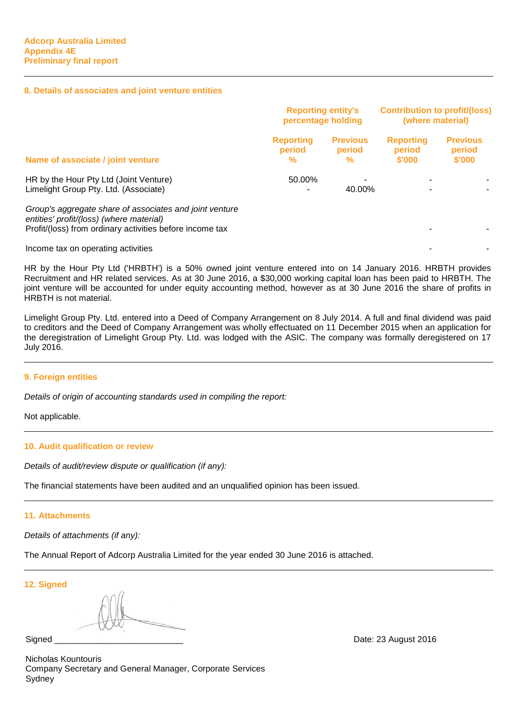#### **8. Details of associates and joint venture entities**

|                                                                                                                                                                 | <b>Reporting entity's</b><br>percentage holding |                                | <b>Contribution to profit/(loss)</b><br>(where material) |                                     |
|-----------------------------------------------------------------------------------------------------------------------------------------------------------------|-------------------------------------------------|--------------------------------|----------------------------------------------------------|-------------------------------------|
| Name of associate / joint venture                                                                                                                               | <b>Reporting</b><br>period<br>%                 | <b>Previous</b><br>period<br>% | <b>Reporting</b><br>period<br>\$'000                     | <b>Previous</b><br>period<br>\$'000 |
| HR by the Hour Pty Ltd (Joint Venture)<br>Limelight Group Pty. Ltd. (Associate)                                                                                 | 50.00%                                          | 40.00%                         |                                                          |                                     |
| Group's aggregate share of associates and joint venture<br>entities' profit/(loss) (where material)<br>Profit/(loss) from ordinary activities before income tax |                                                 |                                |                                                          |                                     |
| Income tax on operating activities                                                                                                                              |                                                 |                                |                                                          |                                     |

HR by the Hour Pty Ltd ('HRBTH') is a 50% owned joint venture entered into on 14 January 2016. HRBTH provides Recruitment and HR related services. As at 30 June 2016, a \$30,000 working capital loan has been paid to HRBTH. The joint venture will be accounted for under equity accounting method, however as at 30 June 2016 the share of profits in HRBTH is not material.

Limelight Group Pty. Ltd. entered into a Deed of Company Arrangement on 8 July 2014. A full and final dividend was paid to creditors and the Deed of Company Arrangement was wholly effectuated on 11 December 2015 when an application for the deregistration of Limelight Group Pty. Ltd. was lodged with the ASIC. The company was formally deregistered on 17 July 2016.

#### **9. Foreign entities**

Details of origin of accounting standards used in compiling the report:

Not applicable.

#### **10. Audit qualification or review**

Details of audit/review dispute or qualification (if any):

The financial statements have been audited and an unqualified opinion has been issued.

## **11. Attachments**

Details of attachments (if any):

The Annual Report of Adcorp Australia Limited for the year ended 30 June 2016 is attached.

**12. Signed**

Nicholas Kountouris Company Secretary and General Manager, Corporate Services **Sydney** 

Signed \_\_\_\_\_\_\_\_\_\_\_\_\_\_\_\_\_\_\_\_\_\_\_\_\_\_\_ Date: 23 August 2016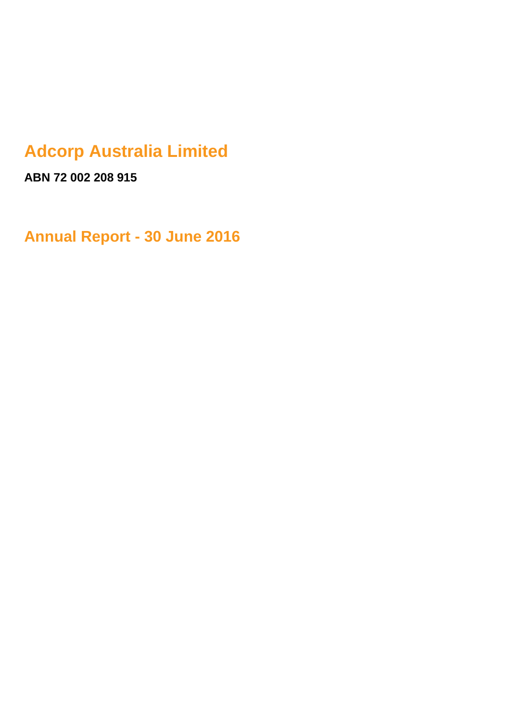## **Adcorp Australia Limited**

**ABN 72 002 208 915**

**Annual Report - 30 June 2016**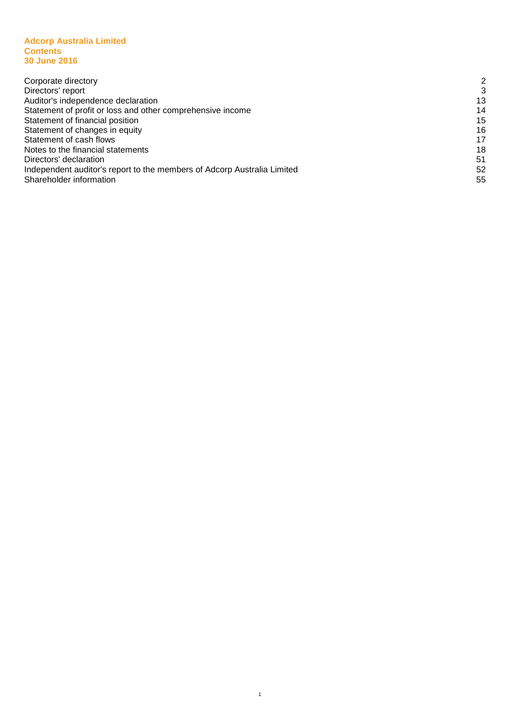#### **Adcorp Australia Limited Contents Contents 30 June 2016**

| 2  |
|----|
| 3  |
| 13 |
| 14 |
| 15 |
| 16 |
| 17 |
| 18 |
| 51 |
| 52 |
| 55 |
|    |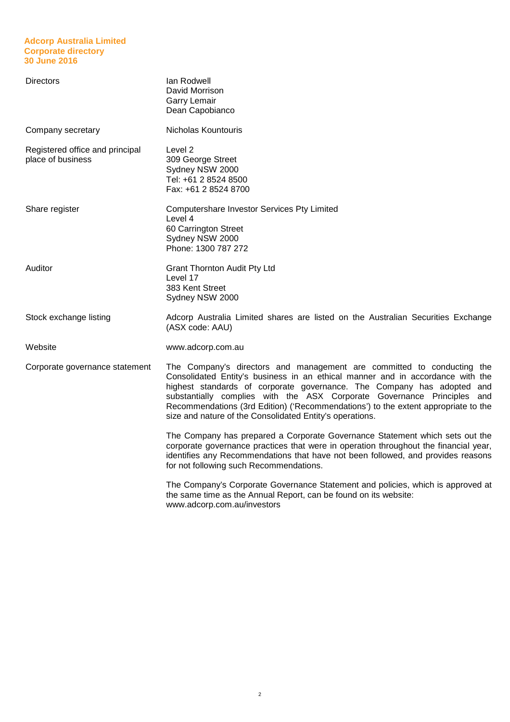## **Adcorp Australia Limited Corporate directory 30 June 2016**

| <b>Directors</b>                                     | lan Rodwell<br>David Morrison<br>Garry Lemair<br>Dean Capobianco                                                                                                                                                                                                                                                                                                                                                                                                |
|------------------------------------------------------|-----------------------------------------------------------------------------------------------------------------------------------------------------------------------------------------------------------------------------------------------------------------------------------------------------------------------------------------------------------------------------------------------------------------------------------------------------------------|
| Company secretary                                    | Nicholas Kountouris                                                                                                                                                                                                                                                                                                                                                                                                                                             |
| Registered office and principal<br>place of business | Level 2<br>309 George Street<br>Sydney NSW 2000<br>Tel: +61 2 8524 8500<br>Fax: +61 2 8524 8700                                                                                                                                                                                                                                                                                                                                                                 |
| Share register                                       | Computershare Investor Services Pty Limited<br>Level 4<br>60 Carrington Street<br>Sydney NSW 2000<br>Phone: 1300 787 272                                                                                                                                                                                                                                                                                                                                        |
| Auditor                                              | <b>Grant Thornton Audit Pty Ltd</b><br>Level 17<br>383 Kent Street<br>Sydney NSW 2000                                                                                                                                                                                                                                                                                                                                                                           |
| Stock exchange listing                               | Adcorp Australia Limited shares are listed on the Australian Securities Exchange<br>(ASX code: AAU)                                                                                                                                                                                                                                                                                                                                                             |
| Website                                              | www.adcorp.com.au                                                                                                                                                                                                                                                                                                                                                                                                                                               |
| Corporate governance statement                       | The Company's directors and management are committed to conducting the<br>Consolidated Entity's business in an ethical manner and in accordance with the<br>highest standards of corporate governance. The Company has adopted and<br>substantially complies with the ASX Corporate Governance Principles and<br>Recommendations (3rd Edition) ('Recommendations') to the extent appropriate to the<br>size and nature of the Consolidated Entity's operations. |
|                                                      | The Company has prepared a Corporate Governance Statement which sets out the<br>corporate governance practices that were in operation throughout the financial year,<br>identifies any Recommendations that have not been followed, and provides reasons<br>for not following such Recommendations.                                                                                                                                                             |
|                                                      | The Company's Corporate Governance Statement and policies, which is approved at<br>the same time as the Annual Report, can be found on its website:<br>www.adcorp.com.au/investors                                                                                                                                                                                                                                                                              |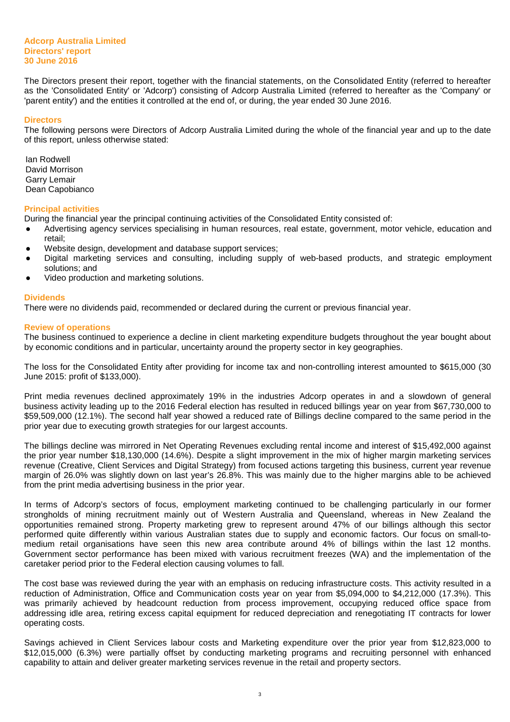The Directors present their report, together with the financial statements, on the Consolidated Entity (referred to hereafter as the 'Consolidated Entity' or 'Adcorp') consisting of Adcorp Australia Limited (referred to hereafter as the 'Company' or 'parent entity') and the entities it controlled at the end of, or during, the year ended 30 June 2016.

#### **Directors**

The following persons were Directors of Adcorp Australia Limited during the whole of the financial year and up to the date of this report, unless otherwise stated:

Ian Rodwell David Morrison Garry Lemair Dean Capobianco

#### **Principal activities**

During the financial year the principal continuing activities of the Consolidated Entity consisted of:

- Advertising agency services specialising in human resources, real estate, government, motor vehicle, education and retail;
- Website design, development and database support services;
- Digital marketing services and consulting, including supply of web-based products, and strategic employment solutions; and
- Video production and marketing solutions.

#### **Dividends**

There were no dividends paid, recommended or declared during the current or previous financial year.

#### **Review of operations**

The business continued to experience a decline in client marketing expenditure budgets throughout the year bought about by economic conditions and in particular, uncertainty around the property sector in key geographies.

The loss for the Consolidated Entity after providing for income tax and non-controlling interest amounted to \$615,000 (30 June 2015: profit of \$133,000).

Print media revenues declined approximately 19% in the industries Adcorp operates in and a slowdown of general business activity leading up to the 2016 Federal election has resulted in reduced billings year on year from \$67,730,000 to \$59,509,000 (12.1%). The second half year showed a reduced rate of Billings decline compared to the same period in the prior year due to executing growth strategies for our largest accounts.

The billings decline was mirrored in Net Operating Revenues excluding rental income and interest of \$15,492,000 against the prior year number \$18,130,000 (14.6%). Despite a slight improvement in the mix of higher margin marketing services revenue (Creative, Client Services and Digital Strategy) from focused actions targeting this business, current year revenue margin of 26.0% was slightly down on last year's 26.8%. This was mainly due to the higher margins able to be achieved from the print media advertising business in the prior year.

In terms of Adcorp's sectors of focus, employment marketing continued to be challenging particularly in our former strongholds of mining recruitment mainly out of Western Australia and Queensland, whereas in New Zealand the opportunities remained strong. Property marketing grew to represent around 47% of our billings although this sector performed quite differently within various Australian states due to supply and economic factors. Our focus on small-tomedium retail organisations have seen this new area contribute around 4% of billings within the last 12 months. Government sector performance has been mixed with various recruitment freezes (WA) and the implementation of the caretaker period prior to the Federal election causing volumes to fall.

The cost base was reviewed during the year with an emphasis on reducing infrastructure costs. This activity resulted in a reduction of Administration, Office and Communication costs year on year from \$5,094,000 to \$4,212,000 (17.3%). This was primarily achieved by headcount reduction from process improvement, occupying reduced office space from addressing idle area, retiring excess capital equipment for reduced depreciation and renegotiating IT contracts for lower operating costs.

Savings achieved in Client Services labour costs and Marketing expenditure over the prior year from \$12,823,000 to \$12,015,000 (6.3%) were partially offset by conducting marketing programs and recruiting personnel with enhanced capability to attain and deliver greater marketing services revenue in the retail and property sectors.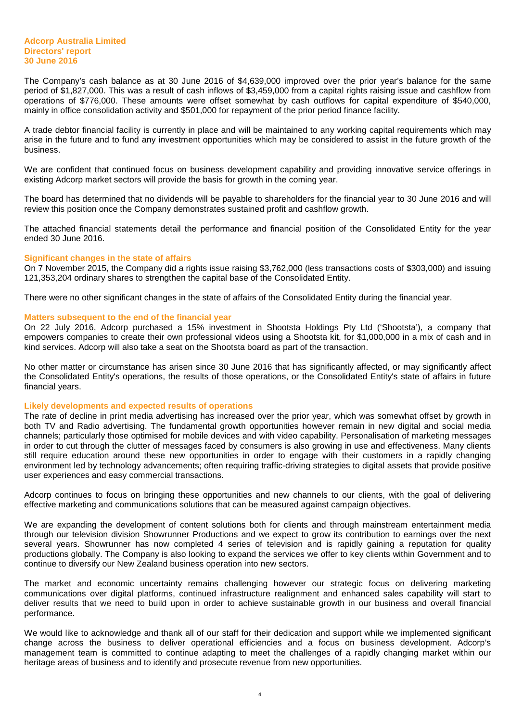The Company's cash balance as at 30 June 2016 of \$4,639,000 improved over the prior year's balance for the same period of \$1,827,000. This was a result of cash inflows of \$3,459,000 from a capital rights raising issue and cashflow from operations of \$776,000. These amounts were offset somewhat by cash outflows for capital expenditure of \$540,000, mainly in office consolidation activity and \$501,000 for repayment of the prior period finance facility.

A trade debtor financial facility is currently in place and will be maintained to any working capital requirements which may arise in the future and to fund any investment opportunities which may be considered to assist in the future growth of the business.

We are confident that continued focus on business development capability and providing innovative service offerings in existing Adcorp market sectors will provide the basis for growth in the coming year.

The board has determined that no dividends will be payable to shareholders for the financial year to 30 June 2016 and will review this position once the Company demonstrates sustained profit and cashflow growth.

The attached financial statements detail the performance and financial position of the Consolidated Entity for the year ended 30 June 2016.

#### **Significant changes in the state of affairs**

On 7 November 2015, the Company did a rights issue raising \$3,762,000 (less transactions costs of \$303,000) and issuing 121,353,204 ordinary shares to strengthen the capital base of the Consolidated Entity.

There were no other significant changes in the state of affairs of the Consolidated Entity during the financial year.

#### **Matters subsequent to the end of the financial year**

On 22 July 2016, Adcorp purchased a 15% investment in Shootsta Holdings Pty Ltd ('Shootsta'), a company that empowers companies to create their own professional videos using a Shootsta kit, for \$1,000,000 in a mix of cash and in kind services. Adcorp will also take a seat on the Shootsta board as part of the transaction.

No other matter or circumstance has arisen since 30 June 2016 that has significantly affected, or may significantly affect the Consolidated Entity's operations, the results of those operations, or the Consolidated Entity's state of affairs in future financial years.

#### **Likely developments and expected results of operations**

The rate of decline in print media advertising has increased over the prior year, which was somewhat offset by growth in both TV and Radio advertising. The fundamental growth opportunities however remain in new digital and social media channels; particularly those optimised for mobile devices and with video capability. Personalisation of marketing messages in order to cut through the clutter of messages faced by consumers is also growing in use and effectiveness. Many clients still require education around these new opportunities in order to engage with their customers in a rapidly changing environment led by technology advancements; often requiring traffic-driving strategies to digital assets that provide positive user experiences and easy commercial transactions.

Adcorp continues to focus on bringing these opportunities and new channels to our clients, with the goal of delivering effective marketing and communications solutions that can be measured against campaign objectives.

We are expanding the development of content solutions both for clients and through mainstream entertainment media through our television division Showrunner Productions and we expect to grow its contribution to earnings over the next several years. Showrunner has now completed 4 series of television and is rapidly gaining a reputation for quality productions globally. The Company is also looking to expand the services we offer to key clients within Government and to continue to diversify our New Zealand business operation into new sectors.

The market and economic uncertainty remains challenging however our strategic focus on delivering marketing communications over digital platforms, continued infrastructure realignment and enhanced sales capability will start to deliver results that we need to build upon in order to achieve sustainable growth in our business and overall financial performance.

We would like to acknowledge and thank all of our staff for their dedication and support while we implemented significant change across the business to deliver operational efficiencies and a focus on business development. Adcorp's management team is committed to continue adapting to meet the challenges of a rapidly changing market within our heritage areas of business and to identify and prosecute revenue from new opportunities.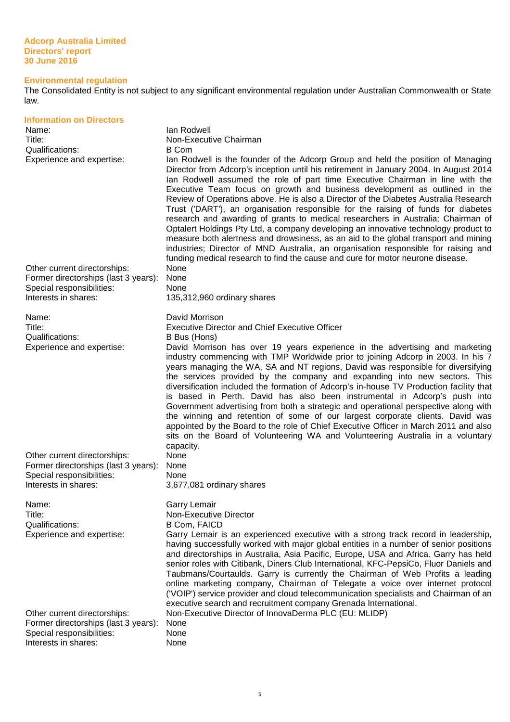#### **Environmental regulation**

The Consolidated Entity is not subject to any significant environmental regulation under Australian Commonwealth or State law.

| <b>Information on Directors</b><br>Name:<br>Title:<br>Qualifications:<br>Experience and expertise:<br>Other current directorships:<br>Former directorships (last 3 years):<br>Special responsibilities:<br>Interests in shares: | lan Rodwell<br>Non-Executive Chairman<br><b>B</b> Com<br>lan Rodwell is the founder of the Adcorp Group and held the position of Managing<br>Director from Adcorp's inception until his retirement in January 2004. In August 2014<br>lan Rodwell assumed the role of part time Executive Chairman in line with the<br>Executive Team focus on growth and business development as outlined in the<br>Review of Operations above. He is also a Director of the Diabetes Australia Research<br>Trust ('DART'), an organisation responsible for the raising of funds for diabetes<br>research and awarding of grants to medical researchers in Australia; Chairman of<br>Optalert Holdings Pty Ltd, a company developing an innovative technology product to<br>measure both alertness and drowsiness, as an aid to the global transport and mining<br>industries; Director of MND Australia, an organisation responsible for raising and<br>funding medical research to find the cause and cure for motor neurone disease.<br>None<br>None<br>None<br>135,312,960 ordinary shares |
|---------------------------------------------------------------------------------------------------------------------------------------------------------------------------------------------------------------------------------|---------------------------------------------------------------------------------------------------------------------------------------------------------------------------------------------------------------------------------------------------------------------------------------------------------------------------------------------------------------------------------------------------------------------------------------------------------------------------------------------------------------------------------------------------------------------------------------------------------------------------------------------------------------------------------------------------------------------------------------------------------------------------------------------------------------------------------------------------------------------------------------------------------------------------------------------------------------------------------------------------------------------------------------------------------------------------------|
| Name:<br>Title:<br>Qualifications:<br>Experience and expertise:<br>Other current directorships:                                                                                                                                 | David Morrison<br><b>Executive Director and Chief Executive Officer</b><br>B Bus (Hons)<br>David Morrison has over 19 years experience in the advertising and marketing<br>industry commencing with TMP Worldwide prior to joining Adcorp in 2003. In his 7<br>years managing the WA, SA and NT regions, David was responsible for diversifying<br>the services provided by the company and expanding into new sectors. This<br>diversification included the formation of Adcorp's in-house TV Production facility that<br>is based in Perth. David has also been instrumental in Adcorp's push into<br>Government advertising from both a strategic and operational perspective along with<br>the winning and retention of some of our largest corporate clients. David was<br>appointed by the Board to the role of Chief Executive Officer in March 2011 and also<br>sits on the Board of Volunteering WA and Volunteering Australia in a voluntary<br>capacity.<br>None                                                                                                     |
| Former directorships (last 3 years):<br>Special responsibilities:<br>Interests in shares:                                                                                                                                       | None<br>None<br>3,677,081 ordinary shares                                                                                                                                                                                                                                                                                                                                                                                                                                                                                                                                                                                                                                                                                                                                                                                                                                                                                                                                                                                                                                       |
| Name:<br>Title:<br>Qualifications:<br>Experience and expertise:                                                                                                                                                                 | Garry Lemair<br>Non-Executive Director<br><b>B Com, FAICD</b><br>Garry Lemair is an experienced executive with a strong track record in leadership,<br>having successfully worked with major global entities in a number of senior positions<br>and directorships in Australia, Asia Pacific, Europe, USA and Africa. Garry has held<br>senior roles with Citibank, Diners Club International, KFC-PepsiCo, Fluor Daniels and<br>Taubmans/Courtaulds. Garry is currently the Chairman of Web Profits a leading<br>online marketing company, Chairman of Telegate a voice over internet protocol<br>('VOIP') service provider and cloud telecommunication specialists and Chairman of an<br>executive search and recruitment company Grenada International.                                                                                                                                                                                                                                                                                                                      |
| Other current directorships:<br>Former directorships (last 3 years):<br>Special responsibilities:<br>Interests in shares:                                                                                                       | Non-Executive Director of InnovaDerma PLC (EU: MLIDP)<br>None<br>None<br>None                                                                                                                                                                                                                                                                                                                                                                                                                                                                                                                                                                                                                                                                                                                                                                                                                                                                                                                                                                                                   |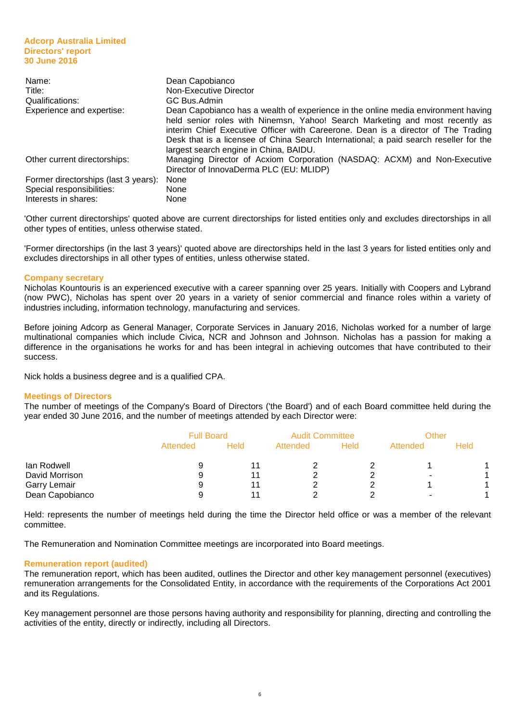| Name:                                | Dean Capobianco                                                                                                                                                                                                                                                                                                                                                                           |
|--------------------------------------|-------------------------------------------------------------------------------------------------------------------------------------------------------------------------------------------------------------------------------------------------------------------------------------------------------------------------------------------------------------------------------------------|
| Title:                               | Non-Executive Director                                                                                                                                                                                                                                                                                                                                                                    |
| Qualifications:                      | GC Bus.Admin                                                                                                                                                                                                                                                                                                                                                                              |
| Experience and expertise:            | Dean Capobianco has a wealth of experience in the online media environment having<br>held senior roles with Ninemsn, Yahoo! Search Marketing and most recently as<br>interim Chief Executive Officer with Careerone. Dean is a director of The Trading<br>Desk that is a licensee of China Search International; a paid search reseller for the<br>largest search engine in China, BAIDU. |
| Other current directorships:         | Managing Director of Acxiom Corporation (NASDAQ: ACXM) and Non-Executive<br>Director of InnovaDerma PLC (EU: MLIDP)                                                                                                                                                                                                                                                                       |
| Former directorships (last 3 years): | None                                                                                                                                                                                                                                                                                                                                                                                      |
| Special responsibilities:            | None                                                                                                                                                                                                                                                                                                                                                                                      |
| Interests in shares:                 | None                                                                                                                                                                                                                                                                                                                                                                                      |

'Other current directorships' quoted above are current directorships for listed entities only and excludes directorships in all other types of entities, unless otherwise stated.

'Former directorships (in the last 3 years)' quoted above are directorships held in the last 3 years for listed entities only and excludes directorships in all other types of entities, unless otherwise stated.

#### **Company secretary**

Nicholas Kountouris is an experienced executive with a career spanning over 25 years. Initially with Coopers and Lybrand (now PWC), Nicholas has spent over 20 years in a variety of senior commercial and finance roles within a variety of industries including, information technology, manufacturing and services.

Before joining Adcorp as General Manager, Corporate Services in January 2016, Nicholas worked for a number of large multinational companies which include Civica, NCR and Johnson and Johnson. Nicholas has a passion for making a difference in the organisations he works for and has been integral in achieving outcomes that have contributed to their success.

Nick holds a business degree and is a qualified CPA.

#### **Meetings of Directors**

The number of meetings of the Company's Board of Directors ('the Board') and of each Board committee held during the year ended 30 June 2016, and the number of meetings attended by each Director were:

|                     | <b>Full Board</b> |      | <b>Audit Committee</b> |      | Other    |      |
|---------------------|-------------------|------|------------------------|------|----------|------|
|                     | Attended          | Held | Attended               | Held | Attended | Held |
| lan Rodwell         | 9                 |      |                        |      |          |      |
| David Morrison      | 9                 |      |                        |      | -        |      |
| <b>Garry Lemair</b> | 9                 |      |                        |      |          |      |
| Dean Capobianco     |                   |      |                        |      |          |      |

Held: represents the number of meetings held during the time the Director held office or was a member of the relevant committee.

The Remuneration and Nomination Committee meetings are incorporated into Board meetings.

#### **Remuneration report (audited)**

The remuneration report, which has been audited, outlines the Director and other key management personnel (executives) remuneration arrangements for the Consolidated Entity, in accordance with the requirements of the Corporations Act 2001 and its Regulations.

Key management personnel are those persons having authority and responsibility for planning, directing and controlling the activities of the entity, directly or indirectly, including all Directors.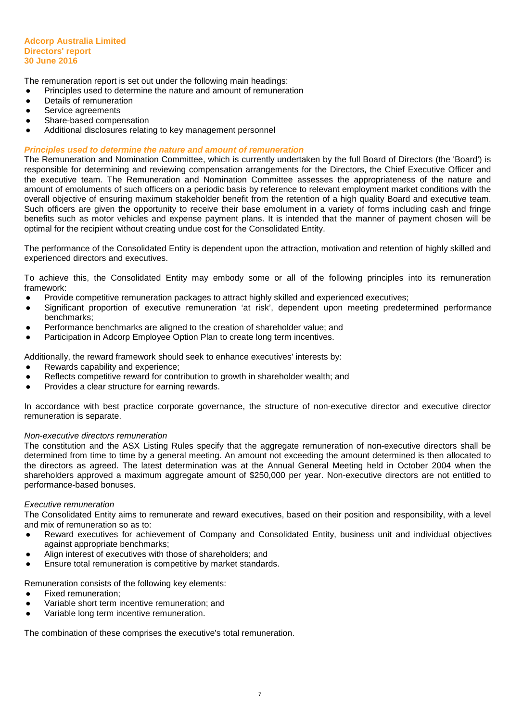The remuneration report is set out under the following main headings:

- Principles used to determine the nature and amount of remuneration
- Details of remuneration
- Service agreements
- Share-based compensation
- Additional disclosures relating to key management personnel

## **Principles used to determine the nature and amount of remuneration**

The Remuneration and Nomination Committee, which is currently undertaken by the full Board of Directors (the 'Board') is responsible for determining and reviewing compensation arrangements for the Directors, the Chief Executive Officer and the executive team. The Remuneration and Nomination Committee assesses the appropriateness of the nature and amount of emoluments of such officers on a periodic basis by reference to relevant employment market conditions with the overall objective of ensuring maximum stakeholder benefit from the retention of a high quality Board and executive team. Such officers are given the opportunity to receive their base emolument in a variety of forms including cash and fringe benefits such as motor vehicles and expense payment plans. It is intended that the manner of payment chosen will be optimal for the recipient without creating undue cost for the Consolidated Entity.

The performance of the Consolidated Entity is dependent upon the attraction, motivation and retention of highly skilled and experienced directors and executives.

To achieve this, the Consolidated Entity may embody some or all of the following principles into its remuneration framework:

- Provide competitive remuneration packages to attract highly skilled and experienced executives;
- Significant proportion of executive remuneration 'at risk', dependent upon meeting predetermined performance benchmarks;
- Performance benchmarks are aligned to the creation of shareholder value; and
- Participation in Adcorp Employee Option Plan to create long term incentives.

Additionally, the reward framework should seek to enhance executives' interests by:

- Rewards capability and experience;
- Reflects competitive reward for contribution to growth in shareholder wealth; and
- Provides a clear structure for earning rewards.

In accordance with best practice corporate governance, the structure of non-executive director and executive director remuneration is separate.

#### Non-executive directors remuneration

The constitution and the ASX Listing Rules specify that the aggregate remuneration of non-executive directors shall be determined from time to time by a general meeting. An amount not exceeding the amount determined is then allocated to the directors as agreed. The latest determination was at the Annual General Meeting held in October 2004 when the shareholders approved a maximum aggregate amount of \$250,000 per year. Non-executive directors are not entitled to performance-based bonuses.

#### Executive remuneration

The Consolidated Entity aims to remunerate and reward executives, based on their position and responsibility, with a level and mix of remuneration so as to:

- Reward executives for achievement of Company and Consolidated Entity, business unit and individual objectives against appropriate benchmarks;
- Align interest of executives with those of shareholders; and
- Ensure total remuneration is competitive by market standards.

Remuneration consists of the following key elements:

- Fixed remuneration;
- Variable short term incentive remuneration; and
- Variable long term incentive remuneration.

The combination of these comprises the executive's total remuneration.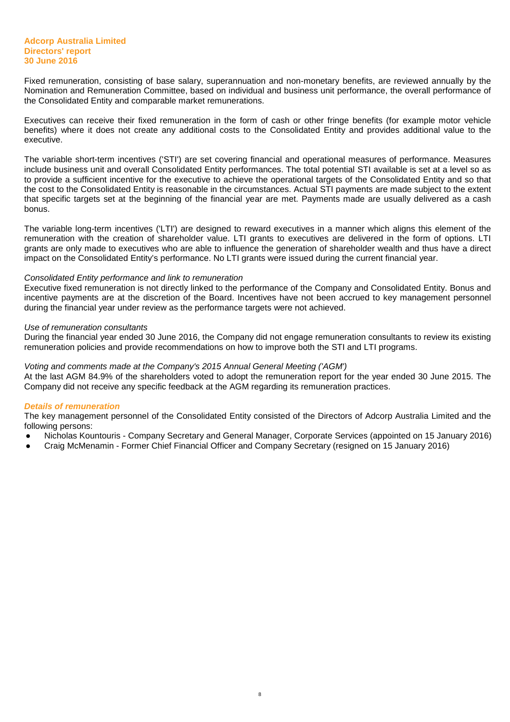Fixed remuneration, consisting of base salary, superannuation and non-monetary benefits, are reviewed annually by the Nomination and Remuneration Committee, based on individual and business unit performance, the overall performance of the Consolidated Entity and comparable market remunerations.

Executives can receive their fixed remuneration in the form of cash or other fringe benefits (for example motor vehicle benefits) where it does not create any additional costs to the Consolidated Entity and provides additional value to the executive.

The variable short-term incentives ('STI') are set covering financial and operational measures of performance. Measures include business unit and overall Consolidated Entity performances. The total potential STI available is set at a level so as to provide a sufficient incentive for the executive to achieve the operational targets of the Consolidated Entity and so that the cost to the Consolidated Entity is reasonable in the circumstances. Actual STI payments are made subject to the extent that specific targets set at the beginning of the financial year are met. Payments made are usually delivered as a cash bonus.

The variable long-term incentives ('LTI') are designed to reward executives in a manner which aligns this element of the remuneration with the creation of shareholder value. LTI grants to executives are delivered in the form of options. LTI grants are only made to executives who are able to influence the generation of shareholder wealth and thus have a direct impact on the Consolidated Entity's performance. No LTI grants were issued during the current financial year.

#### Consolidated Entity performance and link to remuneration

Executive fixed remuneration is not directly linked to the performance of the Company and Consolidated Entity. Bonus and incentive payments are at the discretion of the Board. Incentives have not been accrued to key management personnel during the financial year under review as the performance targets were not achieved.

#### Use of remuneration consultants

During the financial year ended 30 June 2016, the Company did not engage remuneration consultants to review its existing remuneration policies and provide recommendations on how to improve both the STI and LTI programs.

#### Voting and comments made at the Company's 2015 Annual General Meeting ('AGM')

At the last AGM 84.9% of the shareholders voted to adopt the remuneration report for the year ended 30 June 2015. The Company did not receive any specific feedback at the AGM regarding its remuneration practices.

#### **Details of remuneration**

The key management personnel of the Consolidated Entity consisted of the Directors of Adcorp Australia Limited and the following persons:

- Nicholas Kountouris Company Secretary and General Manager, Corporate Services (appointed on 15 January 2016)
- Craig McMenamin Former Chief Financial Officer and Company Secretary (resigned on 15 January 2016)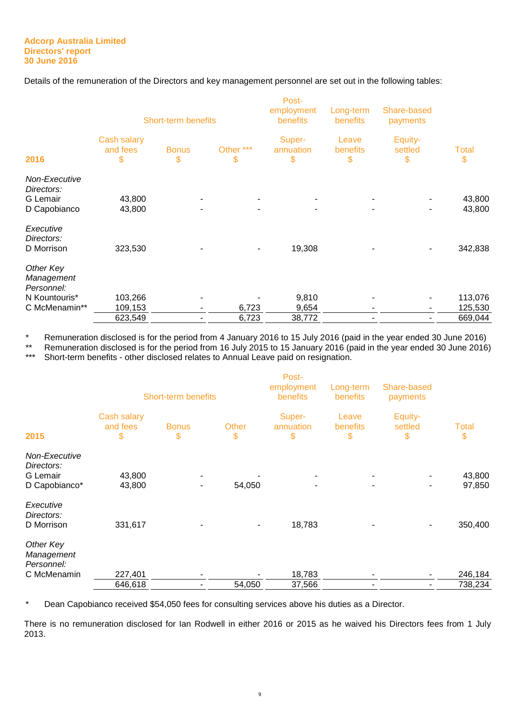Details of the remuneration of the Directors and key management personnel are set out in the following tables:

|                                                                         | Short-term benefits           |                    |                 | Post-<br>employment<br>benefits | Long-term<br>benefits   | Share-based<br>payments  |                    |
|-------------------------------------------------------------------------|-------------------------------|--------------------|-----------------|---------------------------------|-------------------------|--------------------------|--------------------|
| 2016                                                                    | Cash salary<br>and fees<br>\$ | <b>Bonus</b><br>\$ | Other ***<br>\$ | Super-<br>annuation<br>\$       | Leave<br>benefits<br>\$ | Equity-<br>settled<br>\$ | <b>Total</b><br>\$ |
| Non-Executive<br>Directors:<br><b>G</b> Lemair<br>D Capobianco          | 43,800<br>43,800              |                    |                 |                                 |                         |                          | 43,800<br>43,800   |
| Executive<br>Directors:<br>D Morrison                                   | 323,530                       |                    |                 | 19,308                          |                         |                          | 342,838            |
| Other Key<br>Management<br>Personnel:<br>N Kountouris*<br>C McMenamin** | 103,266<br>109,153            | ٠                  | 6,723           | 9,810<br>9,654                  |                         |                          | 113,076<br>125,530 |
|                                                                         | 623,549                       | ۰                  | 6,723           | 38,772                          |                         |                          | 669,044            |

\* Remuneration disclosed is for the period from 4 January 2016 to 15 July 2016 (paid in the year ended 30 June 2016)

\*\* Remuneration disclosed is for the period from 16 July 2015 to 15 January 2016 (paid in the year ended 30 June 2016)<br>\*\*\* Shert term henefite, other disclosed relates to Annual Legye paid an regionation

Short-term benefits - other disclosed relates to Annual Leave paid on resignation.

| 2015                                                     | Cash salary<br>and fees<br>\$ | <b>Short-term benefits</b><br><b>Bonus</b><br>\$ | Other<br>\$ | Post-<br>employment<br>benefits<br>Super-<br>annuation<br>\$ | Long-term<br><b>benefits</b><br>Leave<br><b>benefits</b><br>\$ | Share-based<br>payments<br>Equity-<br>settled<br>\$ | <b>Total</b><br>\$ |
|----------------------------------------------------------|-------------------------------|--------------------------------------------------|-------------|--------------------------------------------------------------|----------------------------------------------------------------|-----------------------------------------------------|--------------------|
|                                                          |                               |                                                  |             |                                                              |                                                                |                                                     |                    |
| Non-Executive<br>Directors:<br>G Lemair<br>D Capobianco* | 43,800<br>43,800              | ٠                                                | 54,050      |                                                              |                                                                |                                                     | 43,800<br>97,850   |
| Executive<br>Directors:<br>D Morrison                    | 331,617                       |                                                  |             | 18,783                                                       |                                                                |                                                     | 350,400            |
| Other Key<br>Management<br>Personnel:                    |                               |                                                  |             |                                                              |                                                                |                                                     |                    |
| C McMenamin                                              | 227,401                       | ۰                                                |             | 18,783                                                       |                                                                |                                                     | 246,184            |
|                                                          | 646,618                       |                                                  | 54,050      | 37,566                                                       |                                                                |                                                     | 738,234            |

\* Dean Capobianco received \$54,050 fees for consulting services above his duties as a Director.

There is no remuneration disclosed for Ian Rodwell in either 2016 or 2015 as he waived his Directors fees from 1 July 2013.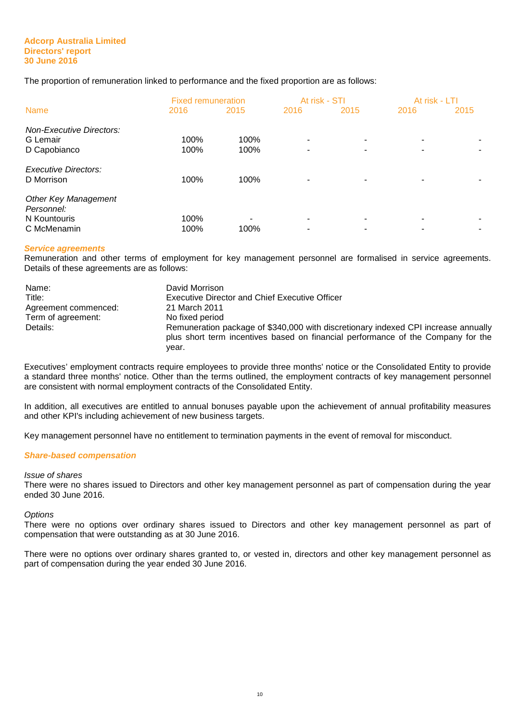The proportion of remuneration linked to performance and the fixed proportion are as follows:

|                                                                          | <b>Fixed remuneration</b> |              | At risk - STI |      | At risk - LTI |      |
|--------------------------------------------------------------------------|---------------------------|--------------|---------------|------|---------------|------|
| <b>Name</b>                                                              | 2016                      | 2015         | 2016          | 2015 | 2016          | 2015 |
| <b>Non-Executive Directors:</b><br>G Lemair<br>D Capobianco              | 100%<br>100%              | 100%<br>100% | ۰             | -    |               |      |
| <b>Executive Directors:</b><br>D Morrison                                | 100%                      | 100%         |               |      |               |      |
| <b>Other Key Management</b><br>Personnel:<br>N Kountouris<br>C McMenamin | 100%<br>100%              | 100%         |               |      |               |      |
|                                                                          |                           |              |               |      |               |      |

## **Service agreements**

Remuneration and other terms of employment for key management personnel are formalised in service agreements. Details of these agreements are as follows:

| Name:                | David Morrison                                                                                                                                                                  |
|----------------------|---------------------------------------------------------------------------------------------------------------------------------------------------------------------------------|
| Title:               | <b>Executive Director and Chief Executive Officer</b>                                                                                                                           |
| Agreement commenced: | 21 March 2011                                                                                                                                                                   |
| Term of agreement:   | No fixed period                                                                                                                                                                 |
| Details:             | Remuneration package of \$340,000 with discretionary indexed CPI increase annually<br>plus short term incentives based on financial performance of the Company for the<br>vear. |

Executives' employment contracts require employees to provide three months' notice or the Consolidated Entity to provide a standard three months' notice. Other than the terms outlined, the employment contracts of key management personnel are consistent with normal employment contracts of the Consolidated Entity.

In addition, all executives are entitled to annual bonuses payable upon the achievement of annual profitability measures and other KPI's including achievement of new business targets.

Key management personnel have no entitlement to termination payments in the event of removal for misconduct.

#### **Share-based compensation**

#### Issue of shares

There were no shares issued to Directors and other key management personnel as part of compensation during the year ended 30 June 2016.

#### **Options**

There were no options over ordinary shares issued to Directors and other key management personnel as part of compensation that were outstanding as at 30 June 2016.

There were no options over ordinary shares granted to, or vested in, directors and other key management personnel as part of compensation during the year ended 30 June 2016.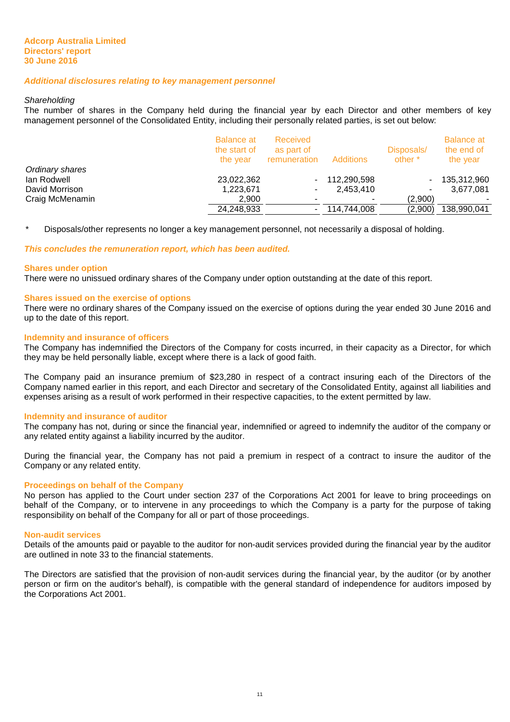#### **Additional disclosures relating to key management personnel**

#### **Shareholding**

The number of shares in the Company held during the financial year by each Director and other members of key management personnel of the Consolidated Entity, including their personally related parties, is set out below:

|                 | <b>Balance at</b><br>the start of<br>the vear | Received<br>as part of<br>remuneration | <b>Additions</b> | Disposals/<br>other * | <b>Balance at</b><br>the end of<br>the year |
|-----------------|-----------------------------------------------|----------------------------------------|------------------|-----------------------|---------------------------------------------|
| Ordinary shares |                                               |                                        |                  |                       |                                             |
| lan Rodwell     | 23,022,362                                    | $\sim$                                 | 112,290,598      |                       | 135,312,960                                 |
| David Morrison  | 1,223,671                                     |                                        | 2,453,410        |                       | 3,677,081                                   |
| Craig McMenamin | 2,900                                         |                                        |                  | (2.900)               |                                             |
|                 | 24,248,933                                    | $\sim$ 100 $\pm$                       | 114.744.008      | (2,900)               | 138,990,041                                 |
|                 |                                               |                                        |                  |                       |                                             |

\* Disposals/other represents no longer a key management personnel, not necessarily a disposal of holding.

**This concludes the remuneration report, which has been audited.** 

#### **Shares under option**

There were no unissued ordinary shares of the Company under option outstanding at the date of this report.

## **Shares issued on the exercise of options**

There were no ordinary shares of the Company issued on the exercise of options during the year ended 30 June 2016 and up to the date of this report.

#### **Indemnity and insurance of officers**

The Company has indemnified the Directors of the Company for costs incurred, in their capacity as a Director, for which they may be held personally liable, except where there is a lack of good faith.

The Company paid an insurance premium of \$23,280 in respect of a contract insuring each of the Directors of the Company named earlier in this report, and each Director and secretary of the Consolidated Entity, against all liabilities and expenses arising as a result of work performed in their respective capacities, to the extent permitted by law.

#### **Indemnity and insurance of auditor**

The company has not, during or since the financial year, indemnified or agreed to indemnify the auditor of the company or any related entity against a liability incurred by the auditor.

During the financial year, the Company has not paid a premium in respect of a contract to insure the auditor of the Company or any related entity.

#### **Proceedings on behalf of the Company**

No person has applied to the Court under section 237 of the Corporations Act 2001 for leave to bring proceedings on behalf of the Company, or to intervene in any proceedings to which the Company is a party for the purpose of taking responsibility on behalf of the Company for all or part of those proceedings.

#### **Non-audit services**

Details of the amounts paid or payable to the auditor for non-audit services provided during the financial year by the auditor are outlined in note 33 to the financial statements.

The Directors are satisfied that the provision of non-audit services during the financial year, by the auditor (or by another person or firm on the auditor's behalf), is compatible with the general standard of independence for auditors imposed by the Corporations Act 2001.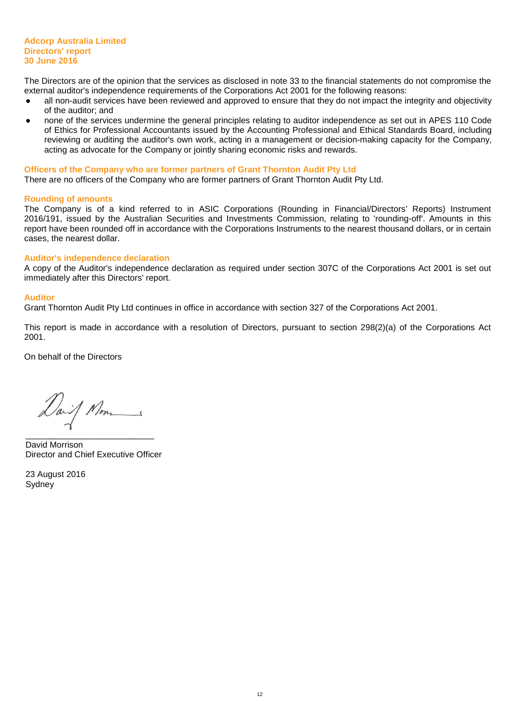The Directors are of the opinion that the services as disclosed in note 33 to the financial statements do not compromise the external auditor's independence requirements of the Corporations Act 2001 for the following reasons:

- all non-audit services have been reviewed and approved to ensure that they do not impact the integrity and objectivity of the auditor; and
- none of the services undermine the general principles relating to auditor independence as set out in APES 110 Code of Ethics for Professional Accountants issued by the Accounting Professional and Ethical Standards Board, including reviewing or auditing the auditor's own work, acting in a management or decision-making capacity for the Company, acting as advocate for the Company or jointly sharing economic risks and rewards.

#### **Officers of the Company who are former partners of Grant Thornton Audit Pty Ltd**

There are no officers of the Company who are former partners of Grant Thornton Audit Pty Ltd.

#### **Rounding of amounts**

The Company is of a kind referred to in ASIC Corporations (Rounding in Financial/Directors' Reports) Instrument 2016/191, issued by the Australian Securities and Investments Commission, relating to 'rounding-off'. Amounts in this report have been rounded off in accordance with the Corporations Instruments to the nearest thousand dollars, or in certain cases, the nearest dollar.

#### **Auditor's independence declaration**

A copy of the Auditor's independence declaration as required under section 307C of the Corporations Act 2001 is set out immediately after this Directors' report.

#### **Auditor**

Grant Thornton Audit Pty Ltd continues in office in accordance with section 327 of the Corporations Act 2001.

This report is made in accordance with a resolution of Directors, pursuant to section 298(2)(a) of the Corporations Act 2001.

On behalf of the Directors

Dail Nom

\_\_\_\_\_\_\_\_\_\_\_\_\_\_\_\_\_\_\_\_\_\_\_\_\_\_\_ David Morrison Director and Chief Executive Officer

23 August 2016 Sydney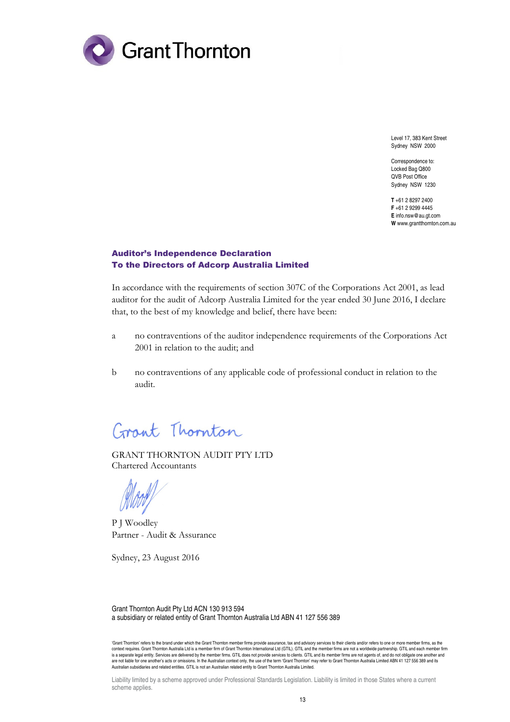

Level 17, 383 Kent Street Sydney NSW 2000

Correspondence to: Locked Bag Q800 QVB Post Office Sydney NSW 1230

**T** +61 2 8297 2400 **F** +61 2 9299 4445 **E** info.nsw@au.gt.com **W** www.grantthornton.com.au

## Auditor's Independence Declaration To the Directors of Adcorp Australia Limited

In accordance with the requirements of section 307C of the Corporations Act 2001, as lead auditor for the audit of Adcorp Australia Limited for the year ended 30 June 2016, I declare that, to the best of my knowledge and belief, there have been:

- a no contraventions of the auditor independence requirements of the Corporations Act 2001 in relation to the audit; and
- b no contraventions of any applicable code of professional conduct in relation to the audit.

Grant Thornton

GRANT THORNTON AUDIT PTY LTD Chartered Accountants

P J Woodley Partner - Audit & Assurance

Sydney, 23 August 2016

Grant Thornton Audit Pty Ltd ACN 130 913 594 a subsidiary or related entity of Grant Thornton Australia Ltd ABN 41 127 556 389

'Grant Thornton' refers to the brand under which the Grant Thornton member firms provide assurance, tax and advisory services to their clients and/or refers to one or more member firms, as the context requires. Grant Thornton Australia Ltd is a member firm of Grant Thomton International Ltd (GTIL). GTIL and the member firms are not a worldwide partnership. GTIL and each member firm<br>is a separate legal entity. Se are not liable for one another's acts or omissions. In the Australian context only, the use of the term 'Grant Thornton' may refer to Grant Thornton Australia Limited ABN 41 127 556 389 and its<br>Australian subsidiaries and

Liability limited by a scheme approved under Professional Standards Legislation. Liability is limited in those States where a current scheme applies.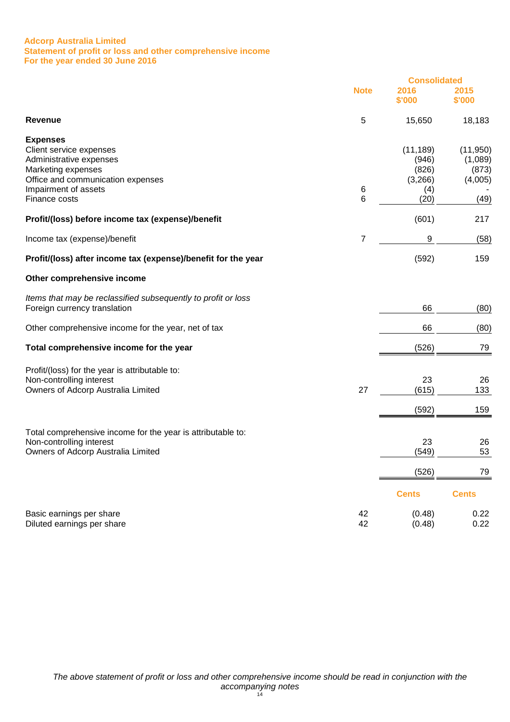#### **Adcorp Australia Limited Statement of profit or loss and other comprehensive income For the year ended 30 June 2016**

|                                                                                                                                                                           |             | <b>Consolidated</b>                                   |                                                  |
|---------------------------------------------------------------------------------------------------------------------------------------------------------------------------|-------------|-------------------------------------------------------|--------------------------------------------------|
|                                                                                                                                                                           | <b>Note</b> | 2016<br>\$'000                                        | 2015<br>\$'000                                   |
| <b>Revenue</b>                                                                                                                                                            | 5           | 15,650                                                | 18,183                                           |
| <b>Expenses</b><br>Client service expenses<br>Administrative expenses<br>Marketing expenses<br>Office and communication expenses<br>Impairment of assets<br>Finance costs | 6<br>6      | (11, 189)<br>(946)<br>(826)<br>(3,266)<br>(4)<br>(20) | (11, 950)<br>(1,089)<br>(873)<br>(4,005)<br>(49) |
| Profit/(loss) before income tax (expense)/benefit                                                                                                                         |             | (601)                                                 | 217                                              |
| Income tax (expense)/benefit                                                                                                                                              | 7           | 9                                                     | (58)                                             |
| Profit/(loss) after income tax (expense)/benefit for the year                                                                                                             |             | (592)                                                 | 159                                              |
| Other comprehensive income                                                                                                                                                |             |                                                       |                                                  |
| Items that may be reclassified subsequently to profit or loss<br>Foreign currency translation                                                                             |             | 66                                                    | (80)                                             |
| Other comprehensive income for the year, net of tax                                                                                                                       |             | 66                                                    | (80)                                             |
| Total comprehensive income for the year                                                                                                                                   |             | (526)                                                 | 79                                               |
| Profit/(loss) for the year is attributable to:<br>Non-controlling interest<br>Owners of Adcorp Australia Limited                                                          | 27          | 23<br>(615)<br>(592)                                  | 26<br>133<br>159                                 |
| Total comprehensive income for the year is attributable to:<br>Non-controlling interest<br>Owners of Adcorp Australia Limited                                             |             | 23<br>(549)<br>(526)                                  | 26<br>53<br><u>79</u>                            |
|                                                                                                                                                                           |             | <b>Cents</b>                                          | <b>Cents</b>                                     |
| Basic earnings per share<br>Diluted earnings per share                                                                                                                    | 42<br>42    | (0.48)<br>(0.48)                                      | 0.22<br>0.22                                     |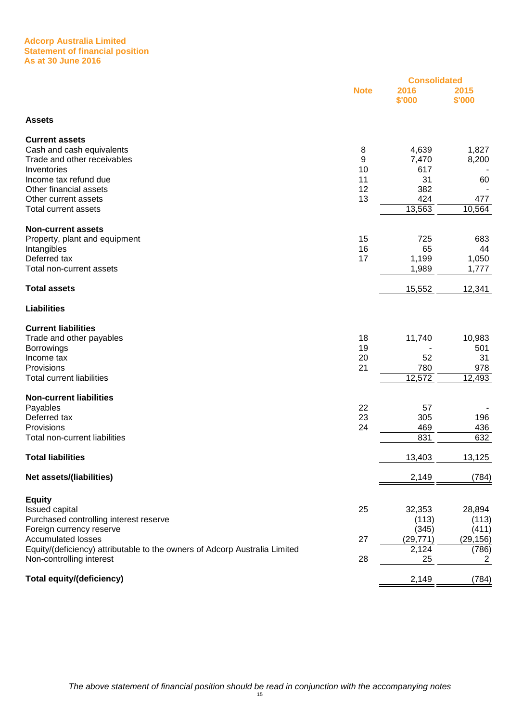#### **Adcorp Australia Limited Statement of financial position As at 30 June 2016**

|                                                                            |             | <b>Consolidated</b> |                |
|----------------------------------------------------------------------------|-------------|---------------------|----------------|
|                                                                            | <b>Note</b> | 2016<br>\$'000      | 2015<br>\$'000 |
| <b>Assets</b>                                                              |             |                     |                |
| <b>Current assets</b>                                                      |             |                     |                |
| Cash and cash equivalents                                                  | 8           | 4,639               | 1,827          |
| Trade and other receivables                                                | 9           | 7,470               | 8,200          |
| Inventories                                                                | 10          | 617                 |                |
| Income tax refund due                                                      | 11          | 31                  | 60             |
| Other financial assets                                                     | 12          | 382                 |                |
| Other current assets                                                       | 13          | 424                 | 477            |
| <b>Total current assets</b>                                                |             | 13,563              | 10,564         |
| <b>Non-current assets</b>                                                  |             |                     |                |
| Property, plant and equipment                                              | 15          | 725                 | 683            |
| Intangibles                                                                | 16          | 65                  | 44             |
| Deferred tax                                                               | 17          | 1,199               | 1,050          |
| Total non-current assets                                                   |             | 1,989               | 1,777          |
| <b>Total assets</b>                                                        |             | 15,552              | 12,341         |
| <b>Liabilities</b>                                                         |             |                     |                |
| <b>Current liabilities</b>                                                 |             |                     |                |
| Trade and other payables                                                   | 18          | 11,740              | 10,983         |
| <b>Borrowings</b>                                                          | 19          |                     | 501            |
| Income tax                                                                 | 20          | 52                  | 31             |
| Provisions                                                                 | 21          | 780                 | 978            |
| <b>Total current liabilities</b>                                           |             | 12,572              | 12,493         |
| <b>Non-current liabilities</b>                                             |             |                     |                |
| Payables                                                                   | 22          | 57                  |                |
| Deferred tax                                                               | 23          | 305                 | 196            |
| Provisions                                                                 | 24          | 469                 | 436            |
| Total non-current liabilities                                              |             | 831                 | 632            |
| <b>Total liabilities</b>                                                   |             | 13,403              | 13,125         |
| Net assets/(liabilities)                                                   |             | 2,149               | (784)          |
| <b>Equity</b>                                                              |             |                     |                |
| Issued capital                                                             | 25          | 32,353              | 28,894         |
| Purchased controlling interest reserve                                     |             | (113)               | (113)          |
| Foreign currency reserve                                                   |             | (345)               | (411)          |
| <b>Accumulated losses</b>                                                  | 27          | (29, 771)           | (29, 156)      |
| Equity/(deficiency) attributable to the owners of Adcorp Australia Limited |             | 2,124               | (786)          |
| Non-controlling interest                                                   | 28          | 25                  | 2              |
| <b>Total equity/(deficiency)</b>                                           |             | 2,149               | (784)          |
|                                                                            |             |                     |                |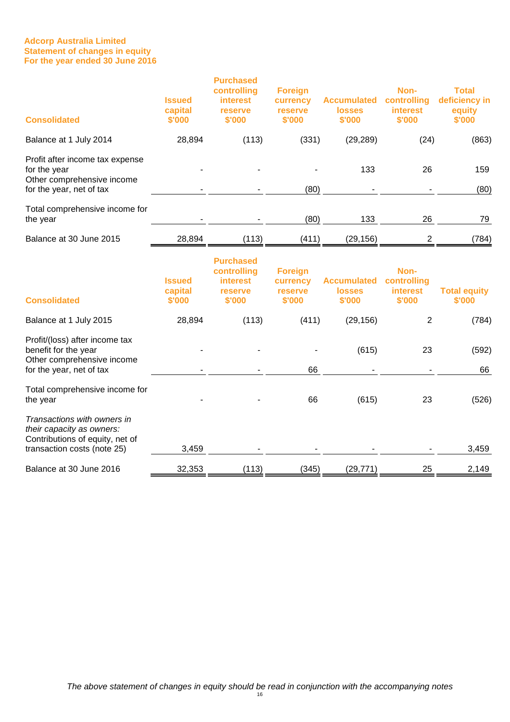## **Adcorp Australia Limited Statement of changes in equity For the year ended 30 June 2016**

| <b>Consolidated</b>                                                                                                        | <b>Issued</b><br>capital<br>\$'000 | <b>Purchased</b><br>controlling<br><b>interest</b><br>reserve<br>\$'000 | <b>Foreign</b><br>currency<br>reserve<br>\$'000 | <b>Accumulated</b><br><b>losses</b><br>\$'000 | Non-<br>controlling<br><b>interest</b><br>\$'000 | <b>Total</b><br>deficiency in<br>equity<br>\$'000 |
|----------------------------------------------------------------------------------------------------------------------------|------------------------------------|-------------------------------------------------------------------------|-------------------------------------------------|-----------------------------------------------|--------------------------------------------------|---------------------------------------------------|
| Balance at 1 July 2014                                                                                                     | 28,894                             | (113)                                                                   | (331)                                           | (29, 289)                                     | (24)                                             | (863)                                             |
| Profit after income tax expense<br>for the year<br>Other comprehensive income<br>for the year, net of tax                  |                                    |                                                                         | (80)                                            | 133                                           | 26                                               | 159<br>(80)                                       |
|                                                                                                                            |                                    |                                                                         |                                                 |                                               |                                                  |                                                   |
| Total comprehensive income for<br>the year                                                                                 |                                    |                                                                         | (80)                                            | 133                                           | 26                                               | 79                                                |
| Balance at 30 June 2015                                                                                                    | 28,894                             | (113)                                                                   | (411)                                           | (29, 156)                                     | 2                                                | (784)                                             |
| <b>Consolidated</b>                                                                                                        | <b>Issued</b><br>capital<br>\$'000 | <b>Purchased</b><br>controlling<br><b>interest</b><br>reserve<br>\$'000 | <b>Foreign</b><br>currency<br>reserve<br>\$'000 | <b>Accumulated</b><br><b>losses</b><br>\$'000 | Non-<br>controlling<br><b>interest</b><br>\$'000 | <b>Total equity</b><br>\$'000                     |
| Balance at 1 July 2015                                                                                                     | 28,894                             | (113)                                                                   | (411)                                           | (29, 156)                                     | 2                                                | (784)                                             |
| Profit/(loss) after income tax<br>benefit for the year<br>Other comprehensive income<br>for the year, net of tax           |                                    |                                                                         | 66                                              | (615)                                         | 23                                               | (592)<br>66                                       |
| Total comprehensive income for<br>the year                                                                                 |                                    |                                                                         | 66                                              | (615)                                         | 23                                               | (526)                                             |
| Transactions with owners in<br>their capacity as owners:<br>Contributions of equity, net of<br>transaction costs (note 25) | 3,459                              |                                                                         |                                                 |                                               |                                                  | 3,459                                             |
| Balance at 30 June 2016                                                                                                    | 32,353                             | (113)                                                                   | (345)                                           | (29, 771)                                     | 25                                               | 2,149                                             |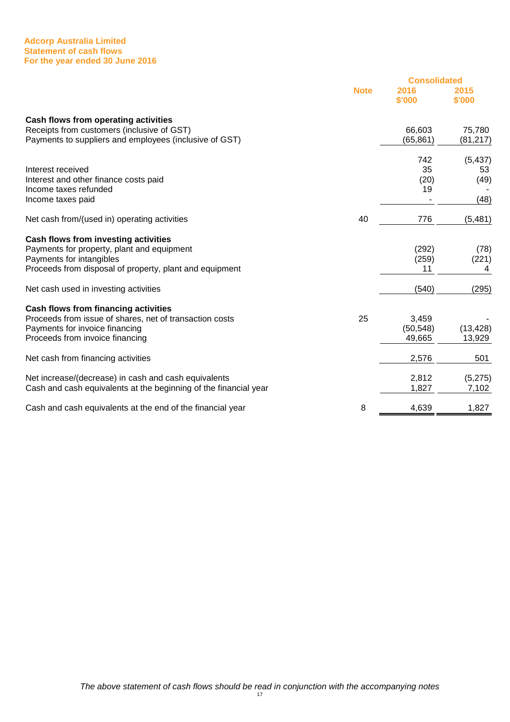#### **Adcorp Australia Limited Statement of cash flows For the year ended 30 June 2016**

|                                                                  |             | <b>Consolidated</b> |                |  |
|------------------------------------------------------------------|-------------|---------------------|----------------|--|
|                                                                  | <b>Note</b> | 2016<br>\$'000      | 2015<br>\$'000 |  |
| Cash flows from operating activities                             |             |                     |                |  |
| Receipts from customers (inclusive of GST)                       |             | 66,603              | 75,780         |  |
| Payments to suppliers and employees (inclusive of GST)           |             | (65, 861)           | (81,217)       |  |
|                                                                  |             | 742                 | (5, 437)       |  |
| Interest received                                                |             | 35                  | 53             |  |
| Interest and other finance costs paid                            |             | (20)                | (49)           |  |
| Income taxes refunded                                            |             | 19                  |                |  |
| Income taxes paid                                                |             |                     | (48)           |  |
| Net cash from/(used in) operating activities                     | 40          | 776                 | (5, 481)       |  |
| Cash flows from investing activities                             |             |                     |                |  |
| Payments for property, plant and equipment                       |             | (292)               | (78)           |  |
| Payments for intangibles                                         |             | (259)               | (221)          |  |
| Proceeds from disposal of property, plant and equipment          |             | 11                  | 4              |  |
| Net cash used in investing activities                            |             | (540)               | (295)          |  |
| <b>Cash flows from financing activities</b>                      |             |                     |                |  |
| Proceeds from issue of shares, net of transaction costs          | 25          | 3,459               |                |  |
| Payments for invoice financing                                   |             | (50, 548)           | (13, 428)      |  |
| Proceeds from invoice financing                                  |             | 49,665              | 13,929         |  |
| Net cash from financing activities                               |             | 2,576               | 501            |  |
| Net increase/(decrease) in cash and cash equivalents             |             | 2,812               | (5,275)        |  |
| Cash and cash equivalents at the beginning of the financial year |             | 1,827               | 7,102          |  |
| Cash and cash equivalents at the end of the financial year       | 8           | 4,639               | 1,827          |  |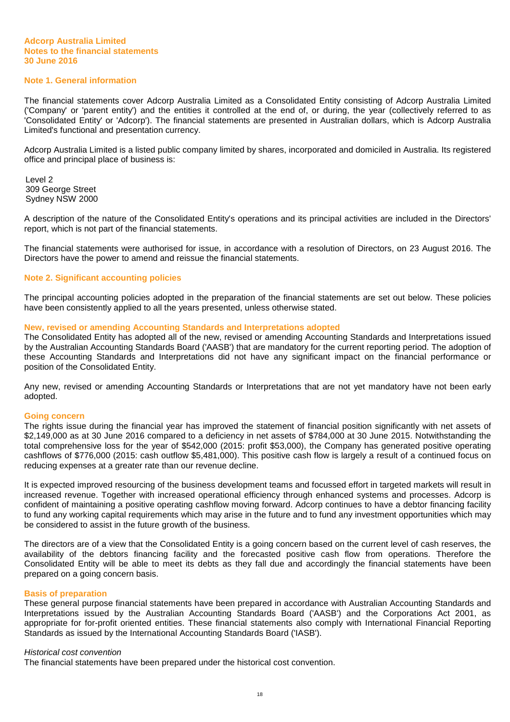#### **Note 1. General information**

The financial statements cover Adcorp Australia Limited as a Consolidated Entity consisting of Adcorp Australia Limited ('Company' or 'parent entity') and the entities it controlled at the end of, or during, the year (collectively referred to as 'Consolidated Entity' or 'Adcorp'). The financial statements are presented in Australian dollars, which is Adcorp Australia Limited's functional and presentation currency.

Adcorp Australia Limited is a listed public company limited by shares, incorporated and domiciled in Australia. Its registered office and principal place of business is:

Level 2 309 George Street Sydney NSW 2000

A description of the nature of the Consolidated Entity's operations and its principal activities are included in the Directors' report, which is not part of the financial statements.

The financial statements were authorised for issue, in accordance with a resolution of Directors, on 23 August 2016. The Directors have the power to amend and reissue the financial statements.

#### **Note 2. Significant accounting policies**

The principal accounting policies adopted in the preparation of the financial statements are set out below. These policies have been consistently applied to all the years presented, unless otherwise stated.

#### **New, revised or amending Accounting Standards and Interpretations adopted**

The Consolidated Entity has adopted all of the new, revised or amending Accounting Standards and Interpretations issued by the Australian Accounting Standards Board ('AASB') that are mandatory for the current reporting period. The adoption of these Accounting Standards and Interpretations did not have any significant impact on the financial performance or position of the Consolidated Entity.

Any new, revised or amending Accounting Standards or Interpretations that are not yet mandatory have not been early adopted.

#### **Going concern**

The rights issue during the financial year has improved the statement of financial position significantly with net assets of \$2,149,000 as at 30 June 2016 compared to a deficiency in net assets of \$784,000 at 30 June 2015. Notwithstanding the total comprehensive loss for the year of \$542,000 (2015: profit \$53,000), the Company has generated positive operating cashflows of \$776,000 (2015: cash outflow \$5,481,000). This positive cash flow is largely a result of a continued focus on reducing expenses at a greater rate than our revenue decline.

It is expected improved resourcing of the business development teams and focussed effort in targeted markets will result in increased revenue. Together with increased operational efficiency through enhanced systems and processes. Adcorp is confident of maintaining a positive operating cashflow moving forward. Adcorp continues to have a debtor financing facility to fund any working capital requirements which may arise in the future and to fund any investment opportunities which may be considered to assist in the future growth of the business.

The directors are of a view that the Consolidated Entity is a going concern based on the current level of cash reserves, the availability of the debtors financing facility and the forecasted positive cash flow from operations. Therefore the Consolidated Entity will be able to meet its debts as they fall due and accordingly the financial statements have been prepared on a going concern basis.

#### **Basis of preparation**

These general purpose financial statements have been prepared in accordance with Australian Accounting Standards and Interpretations issued by the Australian Accounting Standards Board ('AASB') and the Corporations Act 2001, as appropriate for for-profit oriented entities. These financial statements also comply with International Financial Reporting Standards as issued by the International Accounting Standards Board ('IASB').

#### Historical cost convention

The financial statements have been prepared under the historical cost convention.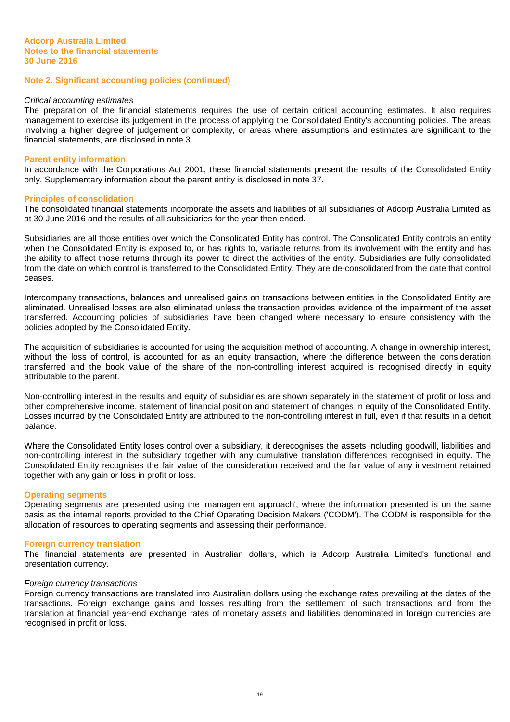#### Critical accounting estimates

The preparation of the financial statements requires the use of certain critical accounting estimates. It also requires management to exercise its judgement in the process of applying the Consolidated Entity's accounting policies. The areas involving a higher degree of judgement or complexity, or areas where assumptions and estimates are significant to the financial statements, are disclosed in note 3.

#### **Parent entity information**

In accordance with the Corporations Act 2001, these financial statements present the results of the Consolidated Entity only. Supplementary information about the parent entity is disclosed in note 37.

#### **Principles of consolidation**

The consolidated financial statements incorporate the assets and liabilities of all subsidiaries of Adcorp Australia Limited as at 30 June 2016 and the results of all subsidiaries for the year then ended.

Subsidiaries are all those entities over which the Consolidated Entity has control. The Consolidated Entity controls an entity when the Consolidated Entity is exposed to, or has rights to, variable returns from its involvement with the entity and has the ability to affect those returns through its power to direct the activities of the entity. Subsidiaries are fully consolidated from the date on which control is transferred to the Consolidated Entity. They are de-consolidated from the date that control ceases.

Intercompany transactions, balances and unrealised gains on transactions between entities in the Consolidated Entity are eliminated. Unrealised losses are also eliminated unless the transaction provides evidence of the impairment of the asset transferred. Accounting policies of subsidiaries have been changed where necessary to ensure consistency with the policies adopted by the Consolidated Entity.

The acquisition of subsidiaries is accounted for using the acquisition method of accounting. A change in ownership interest, without the loss of control, is accounted for as an equity transaction, where the difference between the consideration transferred and the book value of the share of the non-controlling interest acquired is recognised directly in equity attributable to the parent.

Non-controlling interest in the results and equity of subsidiaries are shown separately in the statement of profit or loss and other comprehensive income, statement of financial position and statement of changes in equity of the Consolidated Entity. Losses incurred by the Consolidated Entity are attributed to the non-controlling interest in full, even if that results in a deficit balance.

Where the Consolidated Entity loses control over a subsidiary, it derecognises the assets including goodwill, liabilities and non-controlling interest in the subsidiary together with any cumulative translation differences recognised in equity. The Consolidated Entity recognises the fair value of the consideration received and the fair value of any investment retained together with any gain or loss in profit or loss.

#### **Operating segments**

Operating segments are presented using the 'management approach', where the information presented is on the same basis as the internal reports provided to the Chief Operating Decision Makers ('CODM'). The CODM is responsible for the allocation of resources to operating segments and assessing their performance.

#### **Foreign currency translation**

The financial statements are presented in Australian dollars, which is Adcorp Australia Limited's functional and presentation currency.

#### Foreign currency transactions

Foreign currency transactions are translated into Australian dollars using the exchange rates prevailing at the dates of the transactions. Foreign exchange gains and losses resulting from the settlement of such transactions and from the translation at financial year-end exchange rates of monetary assets and liabilities denominated in foreign currencies are recognised in profit or loss.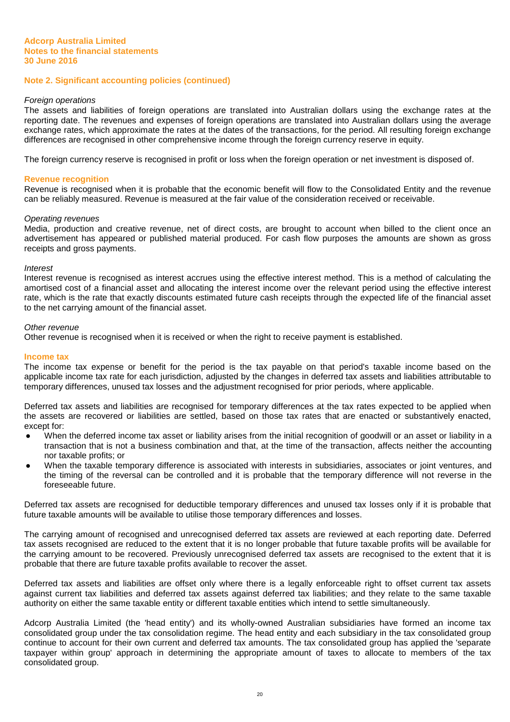#### Foreign operations

The assets and liabilities of foreign operations are translated into Australian dollars using the exchange rates at the reporting date. The revenues and expenses of foreign operations are translated into Australian dollars using the average exchange rates, which approximate the rates at the dates of the transactions, for the period. All resulting foreign exchange differences are recognised in other comprehensive income through the foreign currency reserve in equity.

The foreign currency reserve is recognised in profit or loss when the foreign operation or net investment is disposed of.

#### **Revenue recognition**

Revenue is recognised when it is probable that the economic benefit will flow to the Consolidated Entity and the revenue can be reliably measured. Revenue is measured at the fair value of the consideration received or receivable.

#### Operating revenues

Media, production and creative revenue, net of direct costs, are brought to account when billed to the client once an advertisement has appeared or published material produced. For cash flow purposes the amounts are shown as gross receipts and gross payments.

#### Interest

Interest revenue is recognised as interest accrues using the effective interest method. This is a method of calculating the amortised cost of a financial asset and allocating the interest income over the relevant period using the effective interest rate, which is the rate that exactly discounts estimated future cash receipts through the expected life of the financial asset to the net carrying amount of the financial asset.

#### Other revenue

Other revenue is recognised when it is received or when the right to receive payment is established.

#### **Income tax**

The income tax expense or benefit for the period is the tax payable on that period's taxable income based on the applicable income tax rate for each jurisdiction, adjusted by the changes in deferred tax assets and liabilities attributable to temporary differences, unused tax losses and the adjustment recognised for prior periods, where applicable.

Deferred tax assets and liabilities are recognised for temporary differences at the tax rates expected to be applied when the assets are recovered or liabilities are settled, based on those tax rates that are enacted or substantively enacted, except for:

- When the deferred income tax asset or liability arises from the initial recognition of goodwill or an asset or liability in a transaction that is not a business combination and that, at the time of the transaction, affects neither the accounting nor taxable profits; or
- When the taxable temporary difference is associated with interests in subsidiaries, associates or joint ventures, and the timing of the reversal can be controlled and it is probable that the temporary difference will not reverse in the foreseeable future.

Deferred tax assets are recognised for deductible temporary differences and unused tax losses only if it is probable that future taxable amounts will be available to utilise those temporary differences and losses.

The carrying amount of recognised and unrecognised deferred tax assets are reviewed at each reporting date. Deferred tax assets recognised are reduced to the extent that it is no longer probable that future taxable profits will be available for the carrying amount to be recovered. Previously unrecognised deferred tax assets are recognised to the extent that it is probable that there are future taxable profits available to recover the asset.

Deferred tax assets and liabilities are offset only where there is a legally enforceable right to offset current tax assets against current tax liabilities and deferred tax assets against deferred tax liabilities; and they relate to the same taxable authority on either the same taxable entity or different taxable entities which intend to settle simultaneously.

Adcorp Australia Limited (the 'head entity') and its wholly-owned Australian subsidiaries have formed an income tax consolidated group under the tax consolidation regime. The head entity and each subsidiary in the tax consolidated group continue to account for their own current and deferred tax amounts. The tax consolidated group has applied the 'separate taxpayer within group' approach in determining the appropriate amount of taxes to allocate to members of the tax consolidated group.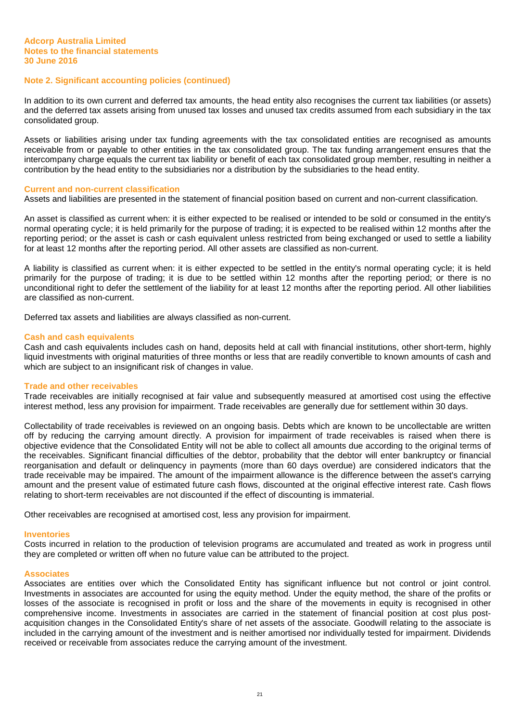In addition to its own current and deferred tax amounts, the head entity also recognises the current tax liabilities (or assets) and the deferred tax assets arising from unused tax losses and unused tax credits assumed from each subsidiary in the tax consolidated group.

Assets or liabilities arising under tax funding agreements with the tax consolidated entities are recognised as amounts receivable from or payable to other entities in the tax consolidated group. The tax funding arrangement ensures that the intercompany charge equals the current tax liability or benefit of each tax consolidated group member, resulting in neither a contribution by the head entity to the subsidiaries nor a distribution by the subsidiaries to the head entity.

#### **Current and non-current classification**

Assets and liabilities are presented in the statement of financial position based on current and non-current classification.

An asset is classified as current when: it is either expected to be realised or intended to be sold or consumed in the entity's normal operating cycle; it is held primarily for the purpose of trading; it is expected to be realised within 12 months after the reporting period; or the asset is cash or cash equivalent unless restricted from being exchanged or used to settle a liability for at least 12 months after the reporting period. All other assets are classified as non-current.

A liability is classified as current when: it is either expected to be settled in the entity's normal operating cycle; it is held primarily for the purpose of trading; it is due to be settled within 12 months after the reporting period; or there is no unconditional right to defer the settlement of the liability for at least 12 months after the reporting period. All other liabilities are classified as non-current.

Deferred tax assets and liabilities are always classified as non-current.

#### **Cash and cash equivalents**

Cash and cash equivalents includes cash on hand, deposits held at call with financial institutions, other short-term, highly liquid investments with original maturities of three months or less that are readily convertible to known amounts of cash and which are subject to an insignificant risk of changes in value.

#### **Trade and other receivables**

Trade receivables are initially recognised at fair value and subsequently measured at amortised cost using the effective interest method, less any provision for impairment. Trade receivables are generally due for settlement within 30 days.

Collectability of trade receivables is reviewed on an ongoing basis. Debts which are known to be uncollectable are written off by reducing the carrying amount directly. A provision for impairment of trade receivables is raised when there is objective evidence that the Consolidated Entity will not be able to collect all amounts due according to the original terms of the receivables. Significant financial difficulties of the debtor, probability that the debtor will enter bankruptcy or financial reorganisation and default or delinquency in payments (more than 60 days overdue) are considered indicators that the trade receivable may be impaired. The amount of the impairment allowance is the difference between the asset's carrying amount and the present value of estimated future cash flows, discounted at the original effective interest rate. Cash flows relating to short-term receivables are not discounted if the effect of discounting is immaterial.

Other receivables are recognised at amortised cost, less any provision for impairment.

#### **Inventories**

Costs incurred in relation to the production of television programs are accumulated and treated as work in progress until they are completed or written off when no future value can be attributed to the project.

#### **Associates**

Associates are entities over which the Consolidated Entity has significant influence but not control or joint control. Investments in associates are accounted for using the equity method. Under the equity method, the share of the profits or losses of the associate is recognised in profit or loss and the share of the movements in equity is recognised in other comprehensive income. Investments in associates are carried in the statement of financial position at cost plus postacquisition changes in the Consolidated Entity's share of net assets of the associate. Goodwill relating to the associate is included in the carrying amount of the investment and is neither amortised nor individually tested for impairment. Dividends received or receivable from associates reduce the carrying amount of the investment.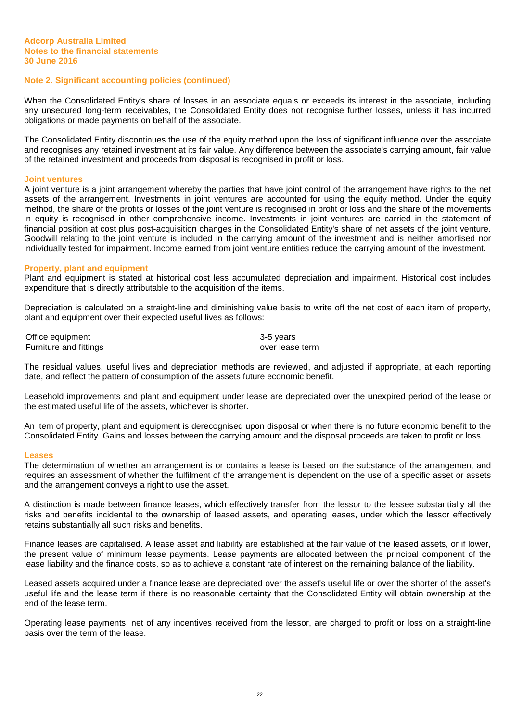When the Consolidated Entity's share of losses in an associate equals or exceeds its interest in the associate, including any unsecured long-term receivables, the Consolidated Entity does not recognise further losses, unless it has incurred obligations or made payments on behalf of the associate.

The Consolidated Entity discontinues the use of the equity method upon the loss of significant influence over the associate and recognises any retained investment at its fair value. Any difference between the associate's carrying amount, fair value of the retained investment and proceeds from disposal is recognised in profit or loss.

#### **Joint ventures**

A joint venture is a joint arrangement whereby the parties that have joint control of the arrangement have rights to the net assets of the arrangement. Investments in joint ventures are accounted for using the equity method. Under the equity method, the share of the profits or losses of the joint venture is recognised in profit or loss and the share of the movements in equity is recognised in other comprehensive income. Investments in joint ventures are carried in the statement of financial position at cost plus post-acquisition changes in the Consolidated Entity's share of net assets of the joint venture. Goodwill relating to the joint venture is included in the carrying amount of the investment and is neither amortised nor individually tested for impairment. Income earned from joint venture entities reduce the carrying amount of the investment.

#### **Property, plant and equipment**

Plant and equipment is stated at historical cost less accumulated depreciation and impairment. Historical cost includes expenditure that is directly attributable to the acquisition of the items.

Depreciation is calculated on a straight-line and diminishing value basis to write off the net cost of each item of property, plant and equipment over their expected useful lives as follows:

Office equipment 3-5 years Furniture and fittings and state over lease term over lease term

The residual values, useful lives and depreciation methods are reviewed, and adjusted if appropriate, at each reporting date, and reflect the pattern of consumption of the assets future economic benefit.

Leasehold improvements and plant and equipment under lease are depreciated over the unexpired period of the lease or the estimated useful life of the assets, whichever is shorter.

An item of property, plant and equipment is derecognised upon disposal or when there is no future economic benefit to the Consolidated Entity. Gains and losses between the carrying amount and the disposal proceeds are taken to profit or loss.

#### **Leases**

The determination of whether an arrangement is or contains a lease is based on the substance of the arrangement and requires an assessment of whether the fulfilment of the arrangement is dependent on the use of a specific asset or assets and the arrangement conveys a right to use the asset.

A distinction is made between finance leases, which effectively transfer from the lessor to the lessee substantially all the risks and benefits incidental to the ownership of leased assets, and operating leases, under which the lessor effectively retains substantially all such risks and benefits.

Finance leases are capitalised. A lease asset and liability are established at the fair value of the leased assets, or if lower, the present value of minimum lease payments. Lease payments are allocated between the principal component of the lease liability and the finance costs, so as to achieve a constant rate of interest on the remaining balance of the liability.

Leased assets acquired under a finance lease are depreciated over the asset's useful life or over the shorter of the asset's useful life and the lease term if there is no reasonable certainty that the Consolidated Entity will obtain ownership at the end of the lease term.

Operating lease payments, net of any incentives received from the lessor, are charged to profit or loss on a straight-line basis over the term of the lease.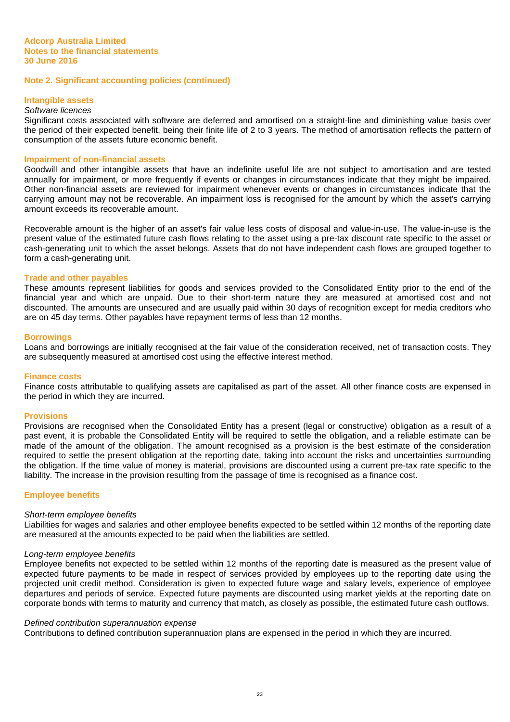#### **Intangible assets**

## Software licences

Significant costs associated with software are deferred and amortised on a straight-line and diminishing value basis over the period of their expected benefit, being their finite life of 2 to 3 years. The method of amortisation reflects the pattern of consumption of the assets future economic benefit.

#### **Impairment of non-financial assets**

Goodwill and other intangible assets that have an indefinite useful life are not subject to amortisation and are tested annually for impairment, or more frequently if events or changes in circumstances indicate that they might be impaired. Other non-financial assets are reviewed for impairment whenever events or changes in circumstances indicate that the carrying amount may not be recoverable. An impairment loss is recognised for the amount by which the asset's carrying amount exceeds its recoverable amount.

Recoverable amount is the higher of an asset's fair value less costs of disposal and value-in-use. The value-in-use is the present value of the estimated future cash flows relating to the asset using a pre-tax discount rate specific to the asset or cash-generating unit to which the asset belongs. Assets that do not have independent cash flows are grouped together to form a cash-generating unit.

#### **Trade and other payables**

These amounts represent liabilities for goods and services provided to the Consolidated Entity prior to the end of the financial year and which are unpaid. Due to their short-term nature they are measured at amortised cost and not discounted. The amounts are unsecured and are usually paid within 30 days of recognition except for media creditors who are on 45 day terms. Other payables have repayment terms of less than 12 months.

#### **Borrowings**

Loans and borrowings are initially recognised at the fair value of the consideration received, net of transaction costs. They are subsequently measured at amortised cost using the effective interest method.

#### **Finance costs**

Finance costs attributable to qualifying assets are capitalised as part of the asset. All other finance costs are expensed in the period in which they are incurred.

#### **Provisions**

Provisions are recognised when the Consolidated Entity has a present (legal or constructive) obligation as a result of a past event, it is probable the Consolidated Entity will be required to settle the obligation, and a reliable estimate can be made of the amount of the obligation. The amount recognised as a provision is the best estimate of the consideration required to settle the present obligation at the reporting date, taking into account the risks and uncertainties surrounding the obligation. If the time value of money is material, provisions are discounted using a current pre-tax rate specific to the liability. The increase in the provision resulting from the passage of time is recognised as a finance cost.

#### **Employee benefits**

#### Short-term employee benefits

Liabilities for wages and salaries and other employee benefits expected to be settled within 12 months of the reporting date are measured at the amounts expected to be paid when the liabilities are settled.

#### Long-term employee benefits

Employee benefits not expected to be settled within 12 months of the reporting date is measured as the present value of expected future payments to be made in respect of services provided by employees up to the reporting date using the projected unit credit method. Consideration is given to expected future wage and salary levels, experience of employee departures and periods of service. Expected future payments are discounted using market yields at the reporting date on corporate bonds with terms to maturity and currency that match, as closely as possible, the estimated future cash outflows.

#### Defined contribution superannuation expense

Contributions to defined contribution superannuation plans are expensed in the period in which they are incurred.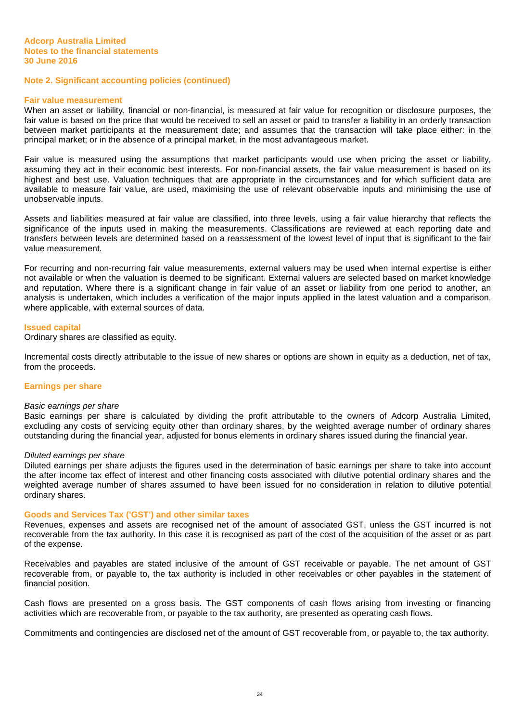#### **Fair value measurement**

When an asset or liability, financial or non-financial, is measured at fair value for recognition or disclosure purposes, the fair value is based on the price that would be received to sell an asset or paid to transfer a liability in an orderly transaction between market participants at the measurement date; and assumes that the transaction will take place either: in the principal market; or in the absence of a principal market, in the most advantageous market.

Fair value is measured using the assumptions that market participants would use when pricing the asset or liability, assuming they act in their economic best interests. For non-financial assets, the fair value measurement is based on its highest and best use. Valuation techniques that are appropriate in the circumstances and for which sufficient data are available to measure fair value, are used, maximising the use of relevant observable inputs and minimising the use of unobservable inputs.

Assets and liabilities measured at fair value are classified, into three levels, using a fair value hierarchy that reflects the significance of the inputs used in making the measurements. Classifications are reviewed at each reporting date and transfers between levels are determined based on a reassessment of the lowest level of input that is significant to the fair value measurement.

For recurring and non-recurring fair value measurements, external valuers may be used when internal expertise is either not available or when the valuation is deemed to be significant. External valuers are selected based on market knowledge and reputation. Where there is a significant change in fair value of an asset or liability from one period to another, an analysis is undertaken, which includes a verification of the major inputs applied in the latest valuation and a comparison, where applicable, with external sources of data.

#### **Issued capital**

Ordinary shares are classified as equity.

Incremental costs directly attributable to the issue of new shares or options are shown in equity as a deduction, net of tax, from the proceeds.

#### **Earnings per share**

#### Basic earnings per share

Basic earnings per share is calculated by dividing the profit attributable to the owners of Adcorp Australia Limited, excluding any costs of servicing equity other than ordinary shares, by the weighted average number of ordinary shares outstanding during the financial year, adjusted for bonus elements in ordinary shares issued during the financial year.

#### Diluted earnings per share

Diluted earnings per share adjusts the figures used in the determination of basic earnings per share to take into account the after income tax effect of interest and other financing costs associated with dilutive potential ordinary shares and the weighted average number of shares assumed to have been issued for no consideration in relation to dilutive potential ordinary shares.

#### **Goods and Services Tax ('GST') and other similar taxes**

Revenues, expenses and assets are recognised net of the amount of associated GST, unless the GST incurred is not recoverable from the tax authority. In this case it is recognised as part of the cost of the acquisition of the asset or as part of the expense.

Receivables and payables are stated inclusive of the amount of GST receivable or payable. The net amount of GST recoverable from, or payable to, the tax authority is included in other receivables or other payables in the statement of financial position.

Cash flows are presented on a gross basis. The GST components of cash flows arising from investing or financing activities which are recoverable from, or payable to the tax authority, are presented as operating cash flows.

Commitments and contingencies are disclosed net of the amount of GST recoverable from, or payable to, the tax authority.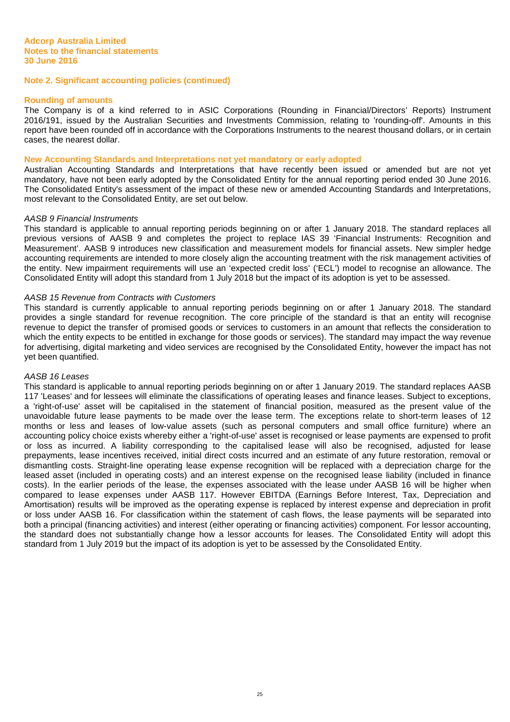#### **Rounding of amounts**

The Company is of a kind referred to in ASIC Corporations (Rounding in Financial/Directors' Reports) Instrument 2016/191, issued by the Australian Securities and Investments Commission, relating to 'rounding-off'. Amounts in this report have been rounded off in accordance with the Corporations Instruments to the nearest thousand dollars, or in certain cases, the nearest dollar.

#### **New Accounting Standards and Interpretations not yet mandatory or early adopted**

Australian Accounting Standards and Interpretations that have recently been issued or amended but are not yet mandatory, have not been early adopted by the Consolidated Entity for the annual reporting period ended 30 June 2016. The Consolidated Entity's assessment of the impact of these new or amended Accounting Standards and Interpretations, most relevant to the Consolidated Entity, are set out below.

#### AASB 9 Financial Instruments

This standard is applicable to annual reporting periods beginning on or after 1 January 2018. The standard replaces all previous versions of AASB 9 and completes the project to replace IAS 39 'Financial Instruments: Recognition and Measurement'. AASB 9 introduces new classification and measurement models for financial assets. New simpler hedge accounting requirements are intended to more closely align the accounting treatment with the risk management activities of the entity. New impairment requirements will use an 'expected credit loss' ('ECL') model to recognise an allowance. The Consolidated Entity will adopt this standard from 1 July 2018 but the impact of its adoption is yet to be assessed.

#### AASB 15 Revenue from Contracts with Customers

This standard is currently applicable to annual reporting periods beginning on or after 1 January 2018. The standard provides a single standard for revenue recognition. The core principle of the standard is that an entity will recognise revenue to depict the transfer of promised goods or services to customers in an amount that reflects the consideration to which the entity expects to be entitled in exchange for those goods or services). The standard may impact the way revenue for advertising, digital marketing and video services are recognised by the Consolidated Entity, however the impact has not yet been quantified.

#### AASB 16 Leases

This standard is applicable to annual reporting periods beginning on or after 1 January 2019. The standard replaces AASB 117 'Leases' and for lessees will eliminate the classifications of operating leases and finance leases. Subject to exceptions, a 'right-of-use' asset will be capitalised in the statement of financial position, measured as the present value of the unavoidable future lease payments to be made over the lease term. The exceptions relate to short-term leases of 12 months or less and leases of low-value assets (such as personal computers and small office furniture) where an accounting policy choice exists whereby either a 'right-of-use' asset is recognised or lease payments are expensed to profit or loss as incurred. A liability corresponding to the capitalised lease will also be recognised, adjusted for lease prepayments, lease incentives received, initial direct costs incurred and an estimate of any future restoration, removal or dismantling costs. Straight-line operating lease expense recognition will be replaced with a depreciation charge for the leased asset (included in operating costs) and an interest expense on the recognised lease liability (included in finance costs). In the earlier periods of the lease, the expenses associated with the lease under AASB 16 will be higher when compared to lease expenses under AASB 117. However EBITDA (Earnings Before Interest, Tax, Depreciation and Amortisation) results will be improved as the operating expense is replaced by interest expense and depreciation in profit or loss under AASB 16. For classification within the statement of cash flows, the lease payments will be separated into both a principal (financing activities) and interest (either operating or financing activities) component. For lessor accounting, the standard does not substantially change how a lessor accounts for leases. The Consolidated Entity will adopt this standard from 1 July 2019 but the impact of its adoption is yet to be assessed by the Consolidated Entity.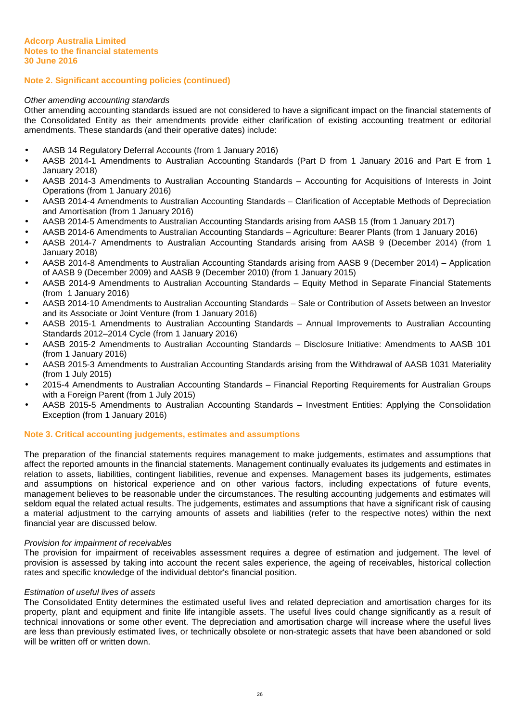#### Other amending accounting standards

Other amending accounting standards issued are not considered to have a significant impact on the financial statements of the Consolidated Entity as their amendments provide either clarification of existing accounting treatment or editorial amendments. These standards (and their operative dates) include:

- AASB 14 Regulatory Deferral Accounts (from 1 January 2016)
- AASB 2014-1 Amendments to Australian Accounting Standards (Part D from 1 January 2016 and Part E from 1 January 2018)
- AASB 2014-3 Amendments to Australian Accounting Standards Accounting for Acquisitions of Interests in Joint Operations (from 1 January 2016)
- AASB 2014-4 Amendments to Australian Accounting Standards Clarification of Acceptable Methods of Depreciation and Amortisation (from 1 January 2016)
- AASB 2014-5 Amendments to Australian Accounting Standards arising from AASB 15 (from 1 January 2017)
- AASB 2014-6 Amendments to Australian Accounting Standards Agriculture: Bearer Plants (from 1 January 2016)
- AASB 2014-7 Amendments to Australian Accounting Standards arising from AASB 9 (December 2014) (from 1 January 2018)
- AASB 2014-8 Amendments to Australian Accounting Standards arising from AASB 9 (December 2014) Application of AASB 9 (December 2009) and AASB 9 (December 2010) (from 1 January 2015)
- AASB 2014-9 Amendments to Australian Accounting Standards Equity Method in Separate Financial Statements (from 1 January 2016)
- AASB 2014-10 Amendments to Australian Accounting Standards Sale or Contribution of Assets between an Investor and its Associate or Joint Venture (from 1 January 2016)
- AASB 2015-1 Amendments to Australian Accounting Standards Annual Improvements to Australian Accounting Standards 2012–2014 Cycle (from 1 January 2016)
- AASB 2015-2 Amendments to Australian Accounting Standards Disclosure Initiative: Amendments to AASB 101 (from 1 January 2016)
- AASB 2015-3 Amendments to Australian Accounting Standards arising from the Withdrawal of AASB 1031 Materiality (from 1 July 2015)
- 2015-4 Amendments to Australian Accounting Standards Financial Reporting Requirements for Australian Groups with a Foreign Parent (from 1 July 2015)
- AASB 2015-5 Amendments to Australian Accounting Standards Investment Entities: Applying the Consolidation Exception (from 1 January 2016)

#### **Note 3. Critical accounting judgements, estimates and assumptions**

The preparation of the financial statements requires management to make judgements, estimates and assumptions that affect the reported amounts in the financial statements. Management continually evaluates its judgements and estimates in relation to assets, liabilities, contingent liabilities, revenue and expenses. Management bases its judgements, estimates and assumptions on historical experience and on other various factors, including expectations of future events, management believes to be reasonable under the circumstances. The resulting accounting judgements and estimates will seldom equal the related actual results. The judgements, estimates and assumptions that have a significant risk of causing a material adjustment to the carrying amounts of assets and liabilities (refer to the respective notes) within the next financial year are discussed below.

#### Provision for impairment of receivables

The provision for impairment of receivables assessment requires a degree of estimation and judgement. The level of provision is assessed by taking into account the recent sales experience, the ageing of receivables, historical collection rates and specific knowledge of the individual debtor's financial position.

#### Estimation of useful lives of assets

The Consolidated Entity determines the estimated useful lives and related depreciation and amortisation charges for its property, plant and equipment and finite life intangible assets. The useful lives could change significantly as a result of technical innovations or some other event. The depreciation and amortisation charge will increase where the useful lives are less than previously estimated lives, or technically obsolete or non-strategic assets that have been abandoned or sold will be written off or written down.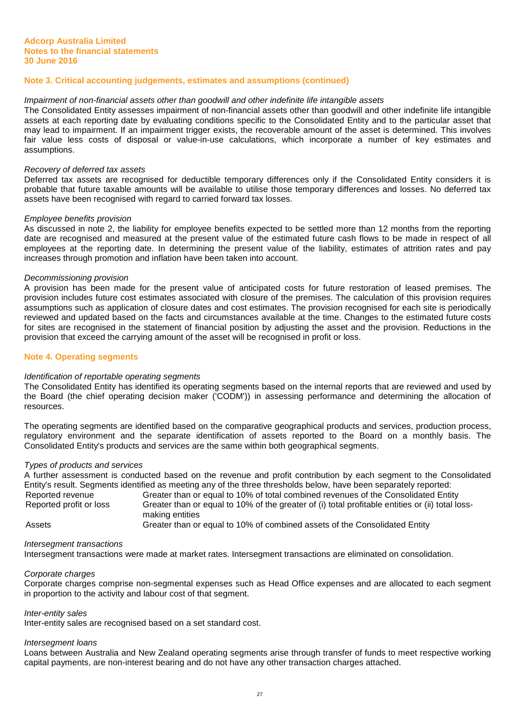## **Note 3. Critical accounting judgements, estimates and assumptions (continued)**

#### Impairment of non-financial assets other than goodwill and other indefinite life intangible assets

The Consolidated Entity assesses impairment of non-financial assets other than goodwill and other indefinite life intangible assets at each reporting date by evaluating conditions specific to the Consolidated Entity and to the particular asset that may lead to impairment. If an impairment trigger exists, the recoverable amount of the asset is determined. This involves fair value less costs of disposal or value-in-use calculations, which incorporate a number of key estimates and assumptions.

#### Recovery of deferred tax assets

Deferred tax assets are recognised for deductible temporary differences only if the Consolidated Entity considers it is probable that future taxable amounts will be available to utilise those temporary differences and losses. No deferred tax assets have been recognised with regard to carried forward tax losses.

#### Employee benefits provision

As discussed in note 2, the liability for employee benefits expected to be settled more than 12 months from the reporting date are recognised and measured at the present value of the estimated future cash flows to be made in respect of all employees at the reporting date. In determining the present value of the liability, estimates of attrition rates and pay increases through promotion and inflation have been taken into account.

#### Decommissioning provision

A provision has been made for the present value of anticipated costs for future restoration of leased premises. The provision includes future cost estimates associated with closure of the premises. The calculation of this provision requires assumptions such as application of closure dates and cost estimates. The provision recognised for each site is periodically reviewed and updated based on the facts and circumstances available at the time. Changes to the estimated future costs for sites are recognised in the statement of financial position by adjusting the asset and the provision. Reductions in the provision that exceed the carrying amount of the asset will be recognised in profit or loss.

#### **Note 4. Operating segments**

#### Identification of reportable operating segments

The Consolidated Entity has identified its operating segments based on the internal reports that are reviewed and used by the Board (the chief operating decision maker ('CODM')) in assessing performance and determining the allocation of resources.

The operating segments are identified based on the comparative geographical products and services, production process, regulatory environment and the separate identification of assets reported to the Board on a monthly basis. The Consolidated Entity's products and services are the same within both geographical segments.

#### Types of products and services

A further assessment is conducted based on the revenue and profit contribution by each segment to the Consolidated Entity's result. Segments identified as meeting any of the three thresholds below, have been separately reported: Reported revenue Greater than or equal to 10% of total combined revenues of the Consolidated Entity

Reported profit or loss Greater than or equal to 10% of the greater of (i) total profitable entities or (ii) total lossmaking entities Assets **Greater than or equal to 10% of combined assets of the Consolidated Entity** 

#### Intersegment transactions

Intersegment transactions were made at market rates. Intersegment transactions are eliminated on consolidation.

#### Corporate charges

Corporate charges comprise non-segmental expenses such as Head Office expenses and are allocated to each segment in proportion to the activity and labour cost of that segment.

#### Inter-entity sales

Inter-entity sales are recognised based on a set standard cost.

## Intersegment loans

Loans between Australia and New Zealand operating segments arise through transfer of funds to meet respective working capital payments, are non-interest bearing and do not have any other transaction charges attached.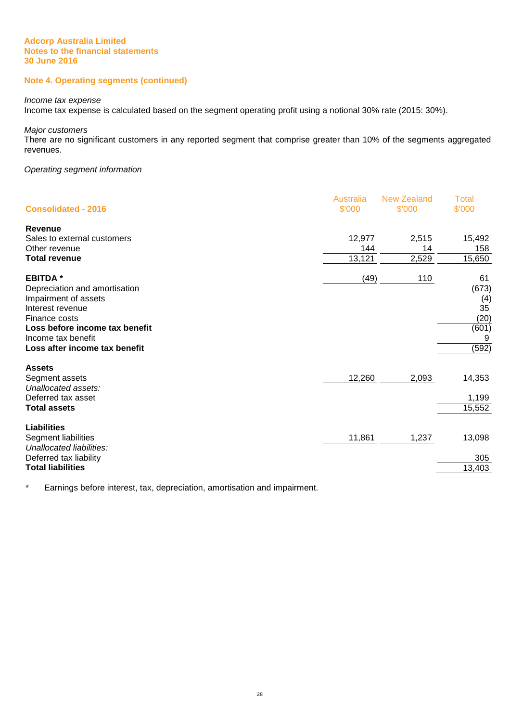## **Note 4. Operating segments (continued)**

#### Income tax expense

Income tax expense is calculated based on the segment operating profit using a notional 30% rate (2015: 30%).

Major customers

There are no significant customers in any reported segment that comprise greater than 10% of the segments aggregated revenues.

## Operating segment information

| <b>Consolidated - 2016</b>                                                                                                                                                                            | Australia<br>\$'000     | <b>New Zealand</b><br>\$'000 | <b>Total</b><br>\$'000                                  |
|-------------------------------------------------------------------------------------------------------------------------------------------------------------------------------------------------------|-------------------------|------------------------------|---------------------------------------------------------|
| Revenue<br>Sales to external customers<br>Other revenue<br><b>Total revenue</b>                                                                                                                       | 12,977<br>144<br>13,121 | 2,515<br>14<br>2,529         | 15,492<br>158<br>15,650                                 |
| <b>EBITDA*</b><br>Depreciation and amortisation<br>Impairment of assets<br>Interest revenue<br>Finance costs<br>Loss before income tax benefit<br>Income tax benefit<br>Loss after income tax benefit | (49)                    | 110                          | 61<br>(673)<br>(4)<br>35<br>(20)<br>(601)<br>9<br>(592) |
| <b>Assets</b><br>Segment assets<br>Unallocated assets:<br>Deferred tax asset<br><b>Total assets</b>                                                                                                   | 12,260                  | 2,093                        | 14,353<br>1,199<br>15,552                               |
| Liabilities<br>Segment liabilities<br>Unallocated liabilities:<br>Deferred tax liability<br><b>Total liabilities</b>                                                                                  | 11,861                  | 1,237                        | 13,098<br>305<br>13,403                                 |

\* Earnings before interest, tax, depreciation, amortisation and impairment.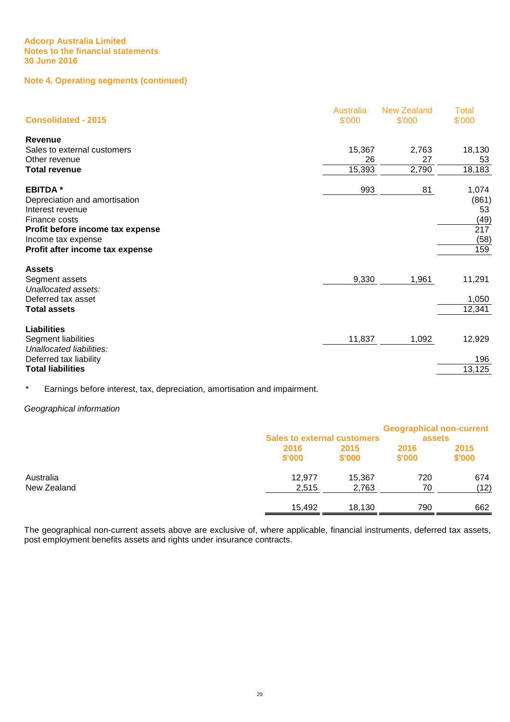## **Note 4. Operating segments (continued)**

| <b>Consolidated - 2015</b>       | Australia<br>\$'000 | <b>New Zealand</b><br>\$'000 | <b>Total</b><br>\$'000 |
|----------------------------------|---------------------|------------------------------|------------------------|
| Revenue                          |                     |                              |                        |
| Sales to external customers      | 15,367              | 2,763                        | 18,130                 |
| Other revenue                    | 26                  | 27                           | 53                     |
| <b>Total revenue</b>             | 15,393              | 2,790                        | 18,183                 |
| <b>EBITDA*</b>                   | 993                 | 81                           | 1,074                  |
| Depreciation and amortisation    |                     |                              | (861)                  |
| Interest revenue                 |                     |                              | 53                     |
| Finance costs                    |                     |                              | (49)                   |
| Profit before income tax expense |                     |                              | 217                    |
| Income tax expense               |                     |                              | (58)                   |
| Profit after income tax expense  |                     |                              | 159                    |
| <b>Assets</b>                    |                     |                              |                        |
| Segment assets                   | 9,330               | 1,961                        | 11,291                 |
| Unallocated assets:              |                     |                              |                        |
| Deferred tax asset               |                     |                              | 1,050                  |
| Total assets                     |                     |                              | 12,341                 |
| <b>Liabilities</b>               |                     |                              |                        |
| Segment liabilities              | 11,837              | 1,092                        | 12,929                 |
| Unallocated liabilities:         |                     |                              |                        |
| Deferred tax liability           |                     |                              | 196                    |
| <b>Total liabilities</b>         |                     |                              | 13,125                 |

\* Earnings before interest, tax, depreciation, amortisation and impairment.

## Geographical information

|             | <b>Sales to external customers</b> |        | <b>Geographical non-current</b><br>assets |        |
|-------------|------------------------------------|--------|-------------------------------------------|--------|
|             | 2016                               | 2015   | 2016                                      | 2015   |
|             | \$'000                             | \$'000 | \$'000                                    | \$'000 |
| Australia   | 12.977                             | 15,367 | 720                                       | 674    |
| New Zealand | 2,515                              | 2,763  | 70                                        | (12)   |
|             | 15,492                             | 18,130 | 790                                       | 662    |

The geographical non-current assets above are exclusive of, where applicable, financial instruments, deferred tax assets, post employment benefits assets and rights under insurance contracts.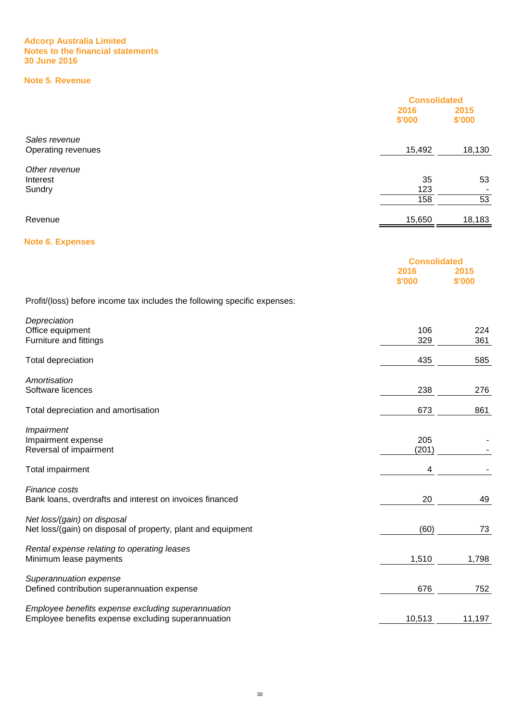## **Note 5. Revenue**

|                                                                                             | <b>Consolidated</b><br>2016<br>\$'000 | 2015<br>\$'000 |
|---------------------------------------------------------------------------------------------|---------------------------------------|----------------|
| Sales revenue<br>Operating revenues                                                         | 15,492                                | 18,130         |
| Other revenue<br>Interest<br>Sundry                                                         | 35<br>123<br>158                      | 53<br>53       |
| Revenue                                                                                     | 15,650                                | 18,183         |
| <b>Note 6. Expenses</b>                                                                     |                                       |                |
|                                                                                             | <b>Consolidated</b><br>2016<br>\$'000 | 2015<br>\$'000 |
| Profit/(loss) before income tax includes the following specific expenses:                   |                                       |                |
| Depreciation<br>Office equipment<br>Furniture and fittings                                  | 106<br>329                            | 224<br>361     |
| Total depreciation                                                                          | 435                                   | 585            |
| Amortisation<br>Software licences                                                           | 238                                   | 276            |
| Total depreciation and amortisation                                                         | 673                                   | 861            |
| Impairment<br>Impairment expense<br>Reversal of impairment                                  | 205<br>(201)                          |                |
| Total impairment                                                                            | 4                                     |                |
| Finance costs<br>Bank loans, overdrafts and interest on invoices financed                   | 20                                    | 49             |
| Net loss/(gain) on disposal<br>Net loss/(gain) on disposal of property, plant and equipment | (60)                                  | <u>73</u>      |
| Rental expense relating to operating leases                                                 |                                       |                |

Minimum lease payments and the contract of the contract of the contract of the contract of the contract of the contract of the contract of the contract of the contract of the contract of the contract of the contract of the Superannuation expense

Defined contribution superannuation expense 676 676

Employee benefits expense excluding superannuation Employee benefits expense excluding superannuation 10,513 11,197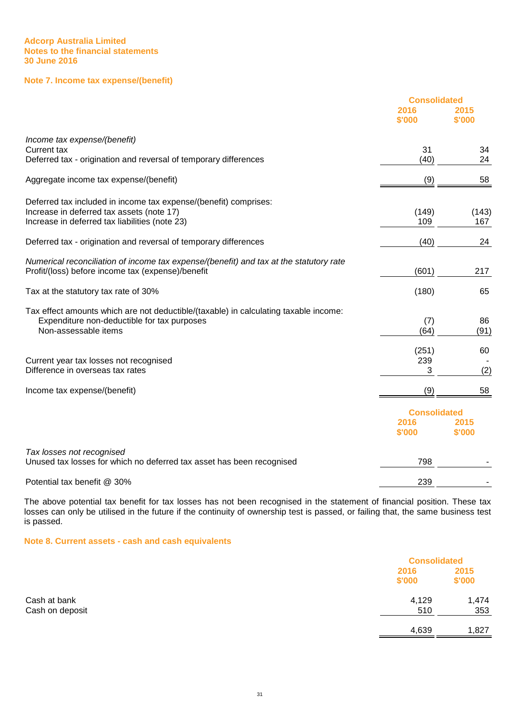## **Note 7. Income tax expense/(benefit)**

|                                                                                                                                                                 | <b>Consolidated</b>                   |                |
|-----------------------------------------------------------------------------------------------------------------------------------------------------------------|---------------------------------------|----------------|
|                                                                                                                                                                 | 2016<br>\$'000                        | 2015<br>\$'000 |
| Income tax expense/(benefit)                                                                                                                                    |                                       |                |
| <b>Current tax</b><br>Deferred tax - origination and reversal of temporary differences                                                                          | 31<br>(40)                            | 34<br>24       |
| Aggregate income tax expense/(benefit)                                                                                                                          | (9)                                   | 58             |
| Deferred tax included in income tax expense/(benefit) comprises:<br>Increase in deferred tax assets (note 17)<br>Increase in deferred tax liabilities (note 23) | (149)<br>109                          | (143)<br>167   |
| Deferred tax - origination and reversal of temporary differences                                                                                                | (40)                                  | 24             |
| Numerical reconciliation of income tax expense/(benefit) and tax at the statutory rate<br>Profit/(loss) before income tax (expense)/benefit                     | (601)                                 | 217            |
| Tax at the statutory tax rate of 30%                                                                                                                            | (180)                                 | 65             |
| Tax effect amounts which are not deductible/(taxable) in calculating taxable income:<br>Expenditure non-deductible for tax purposes<br>Non-assessable items     | (7)<br>(64)                           | 86<br>(91)     |
| Current year tax losses not recognised<br>Difference in overseas tax rates                                                                                      | (251)<br>239<br>3                     | 60<br>(2)      |
| Income tax expense/(benefit)                                                                                                                                    | (9)                                   | 58             |
|                                                                                                                                                                 | <b>Consolidated</b><br>2016<br>\$'000 | 2015<br>\$'000 |
| Tax losses not recognised<br>Unused tax losses for which no deferred tax asset has been recognised                                                              | 798                                   |                |
| Potential tax benefit @ 30%                                                                                                                                     | 239                                   |                |

The above potential tax benefit for tax losses has not been recognised in the statement of financial position. These tax losses can only be utilised in the future if the continuity of ownership test is passed, or failing that, the same business test is passed.

**Note 8. Current assets - cash and cash equivalents**

|                 |                | <b>Consolidated</b> |  |
|-----------------|----------------|---------------------|--|
|                 | 2016<br>\$'000 | 2015<br>\$'000      |  |
| Cash at bank    | 4,129          | 1,474               |  |
| Cash on deposit | 510            | 353                 |  |
|                 | 4,639          | 1,827               |  |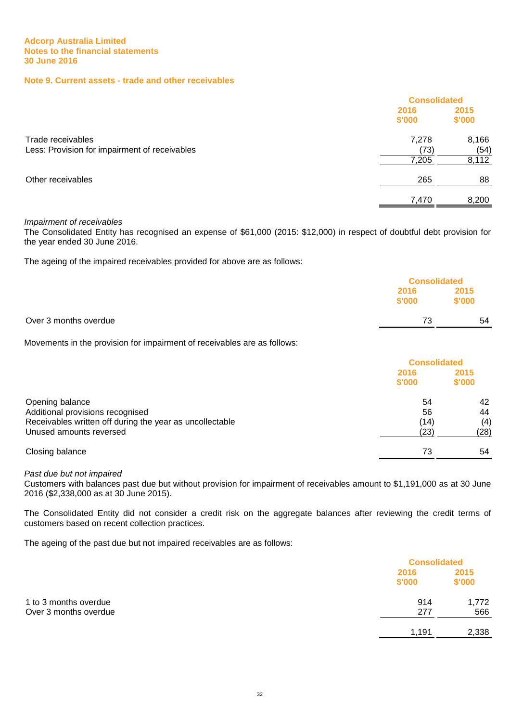## **Note 9. Current assets - trade and other receivables**

|                                               | <b>Consolidated</b> |        |
|-----------------------------------------------|---------------------|--------|
|                                               | 2016                | 2015   |
|                                               | \$'000              | \$'000 |
| Trade receivables                             | 7,278               | 8,166  |
| Less: Provision for impairment of receivables | (73)                | (54)   |
|                                               | 7,205               | 8,112  |
| Other receivables                             | 265                 | 88     |
|                                               | 7,470               | 8,200  |

## Impairment of receivables

The Consolidated Entity has recognised an expense of \$61,000 (2015: \$12,000) in respect of doubtful debt provision for the year ended 30 June 2016.

The ageing of the impaired receivables provided for above are as follows:

|                       |                | <b>Consolidated</b> |  |
|-----------------------|----------------|---------------------|--|
|                       | 2016<br>\$'000 | 2015<br>\$'000      |  |
| Over 3 months overdue | 73             | 54                  |  |

Movements in the provision for impairment of receivables are as follows:

|                                                          | <b>Consolidated</b> |                |
|----------------------------------------------------------|---------------------|----------------|
|                                                          | 2016<br>\$'000      | 2015<br>\$'000 |
| Opening balance<br>Additional provisions recognised      | 54<br>56            | 42<br>44       |
| Receivables written off during the year as uncollectable | (14)                | (4)            |
| Unused amounts reversed                                  | (23)                | (28)           |
| Closing balance                                          | 73                  | 54             |

## Past due but not impaired

Customers with balances past due but without provision for impairment of receivables amount to \$1,191,000 as at 30 June 2016 (\$2,338,000 as at 30 June 2015).

The Consolidated Entity did not consider a credit risk on the aggregate balances after reviewing the credit terms of customers based on recent collection practices.

The ageing of the past due but not impaired receivables are as follows:

|                       |                | <b>Consolidated</b> |  |
|-----------------------|----------------|---------------------|--|
|                       | 2016<br>\$'000 | 2015<br>\$'000      |  |
| 1 to 3 months overdue | 914            | 1,772               |  |
| Over 3 months overdue | 277            | 566                 |  |
|                       | 1,191          | 2,338               |  |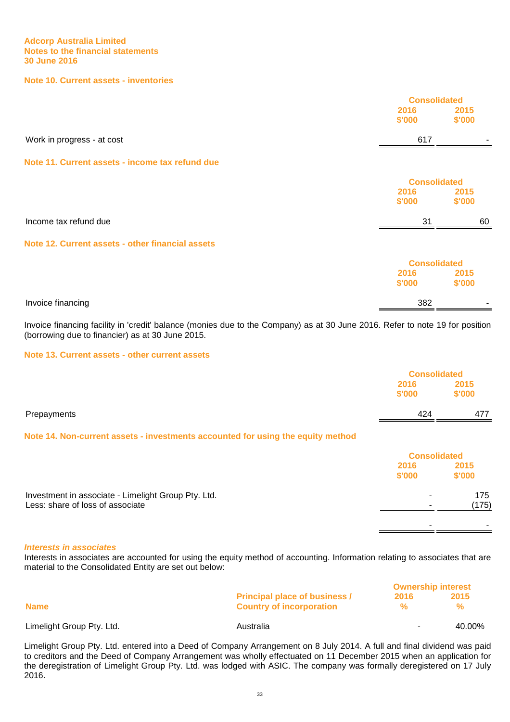#### **Note 10. Current assets - inventories**

|                                                  | <b>Consolidated</b><br>2016<br>\$'000 | 2015<br>\$'000 |
|--------------------------------------------------|---------------------------------------|----------------|
| Work in progress - at cost                       | 617                                   |                |
| Note 11. Current assets - income tax refund due  |                                       |                |
|                                                  | <b>Consolidated</b>                   |                |
|                                                  | 2016<br>\$'000                        | 2015<br>\$'000 |
| Income tax refund due                            | 31                                    | 60             |
| Note 12. Current assets - other financial assets |                                       |                |
|                                                  | <b>Consolidated</b>                   |                |
|                                                  | 2016<br>\$'000                        | 2015<br>\$'000 |
| Invoice financing                                | 382                                   |                |

Invoice financing facility in 'credit' balance (monies due to the Company) as at 30 June 2016. Refer to note 19 for position (borrowing due to financier) as at 30 June 2015.

#### **Note 13. Current assets - other current assets**

|                                                                                         | <b>Consolidated</b> |                |
|-----------------------------------------------------------------------------------------|---------------------|----------------|
|                                                                                         | 2016<br>\$'000      | 2015<br>\$'000 |
| Prepayments                                                                             | 424                 | 477            |
| Note 14. Non-current assets - investments accounted for using the equity method         |                     |                |
|                                                                                         | <b>Consolidated</b> |                |
|                                                                                         | 2016<br>\$'000      | 2015<br>\$'000 |
| Investment in associate - Limelight Group Pty. Ltd.<br>Less: share of loss of associate |                     | 175<br>(175)   |
|                                                                                         |                     |                |

#### **Interests in associates**

Interests in associates are accounted for using the equity method of accounting. Information relating to associates that are material to the Consolidated Entity are set out below:

| <b>Name</b>               |                                                                         | <b>Ownership interest</b> |        |
|---------------------------|-------------------------------------------------------------------------|---------------------------|--------|
|                           | <b>Principal place of business /</b><br><b>Country of incorporation</b> | 2016<br>℆                 | 2015   |
| Limelight Group Pty. Ltd. | Australia                                                               | $\sim$                    | 40.00% |

Limelight Group Pty. Ltd. entered into a Deed of Company Arrangement on 8 July 2014. A full and final dividend was paid to creditors and the Deed of Company Arrangement was wholly effectuated on 11 December 2015 when an application for the deregistration of Limelight Group Pty. Ltd. was lodged with ASIC. The company was formally deregistered on 17 July 2016.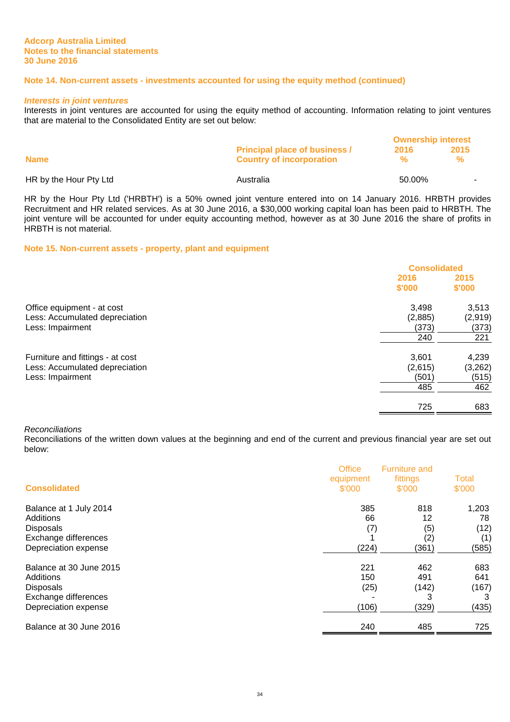## **Note 14. Non-current assets - investments accounted for using the equity method (continued)**

#### **Interests in joint ventures**

Interests in joint ventures are accounted for using the equity method of accounting. Information relating to joint ventures that are material to the Consolidated Entity are set out below:

|                        |                                      | <b>Ownership interest</b> |      |
|------------------------|--------------------------------------|---------------------------|------|
|                        | <b>Principal place of business /</b> | 2016                      | 2015 |
| <b>Name</b>            | <b>Country of incorporation</b>      |                           |      |
| HR by the Hour Pty Ltd | Australia                            | 50.00%                    |      |

HR by the Hour Pty Ltd ('HRBTH') is a 50% owned joint venture entered into on 14 January 2016. HRBTH provides Recruitment and HR related services. As at 30 June 2016, a \$30,000 working capital loan has been paid to HRBTH. The joint venture will be accounted for under equity accounting method, however as at 30 June 2016 the share of profits in HRBTH is not material.

#### **Note 15. Non-current assets - property, plant and equipment**

|                                                              | <b>Consolidated</b> |                  |
|--------------------------------------------------------------|---------------------|------------------|
|                                                              | 2016<br>\$'000      | 2015<br>\$'000   |
| Office equipment - at cost<br>Less: Accumulated depreciation | 3,498<br>(2,885)    | 3,513<br>(2,919) |
| Less: Impairment                                             | (373)<br>240        | (373)<br>221     |
| Furniture and fittings - at cost                             | 3,601               | 4,239            |
| Less: Accumulated depreciation<br>Less: Impairment           | (2,615)<br>(501)    | (3,262)<br>(515) |
|                                                              | 485<br>725          | 462<br>683       |

#### Reconciliations

Reconciliations of the written down values at the beginning and end of the current and previous financial year are set out below:

| <b>Consolidated</b>     | <b>Office</b><br>equipment<br>\$'000 | <b>Furniture and</b><br>fittings<br>\$'000 | Total<br>\$'000 |
|-------------------------|--------------------------------------|--------------------------------------------|-----------------|
| Balance at 1 July 2014  | 385                                  | 818                                        | 1,203           |
| Additions               | 66                                   | 12                                         | 78              |
| <b>Disposals</b>        | (7)                                  | (5)                                        | (12)            |
| Exchange differences    |                                      | (2)                                        | (1)             |
| Depreciation expense    | (224)                                | (361)                                      | (585)           |
| Balance at 30 June 2015 | 221                                  | 462                                        | 683             |
| Additions               | 150                                  | 491                                        | 641             |
| <b>Disposals</b>        | (25)                                 | (142)                                      | (167)           |
| Exchange differences    |                                      | 3                                          |                 |
| Depreciation expense    | (106)                                | (329)                                      | (435)           |
| Balance at 30 June 2016 | 240                                  | 485                                        | 725             |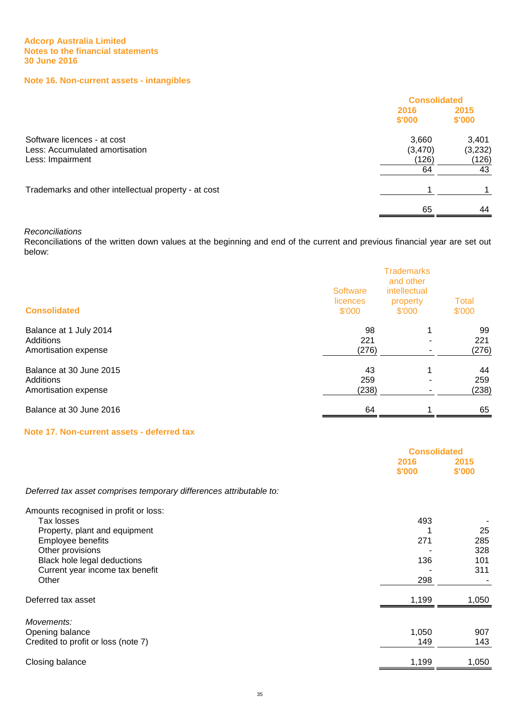## **Note 16. Non-current assets - intangibles**

|                                                                                   |                                 | <b>Consolidated</b>             |  |
|-----------------------------------------------------------------------------------|---------------------------------|---------------------------------|--|
|                                                                                   | 2016<br>\$'000                  | 2015<br>\$'000                  |  |
| Software licences - at cost<br>Less: Accumulated amortisation<br>Less: Impairment | 3,660<br>(3,470)<br>(126)<br>64 | 3,401<br>(3,232)<br>(126)<br>43 |  |
| Trademarks and other intellectual property - at cost                              |                                 |                                 |  |
|                                                                                   | 65                              | 44                              |  |

## Reconciliations

Reconciliations of the written down values at the beginning and end of the current and previous financial year are set out below:

| <b>Consolidated</b>     | <b>Software</b><br>licences<br>\$'000 | <b>Trademarks</b><br>and other<br>intellectual<br>property<br>\$'000 | <b>Total</b><br>\$'000 |
|-------------------------|---------------------------------------|----------------------------------------------------------------------|------------------------|
| Balance at 1 July 2014  | 98                                    | 1                                                                    | 99                     |
| Additions               | 221                                   |                                                                      | 221                    |
| Amortisation expense    | (276)                                 |                                                                      | (276)                  |
| Balance at 30 June 2015 | 43                                    | 1                                                                    | 44                     |
| Additions               | 259                                   |                                                                      | 259                    |
| Amortisation expense    | (238)                                 |                                                                      | (238)                  |
| Balance at 30 June 2016 | 64                                    | 4                                                                    | 65                     |

## **Note 17. Non-current assets - deferred tax**

|                                                                     | <b>Consolidated</b> |                |
|---------------------------------------------------------------------|---------------------|----------------|
|                                                                     | 2016<br>\$'000      | 2015<br>\$'000 |
| Deferred tax asset comprises temporary differences attributable to: |                     |                |
| Amounts recognised in profit or loss:                               |                     |                |
| Tax losses                                                          | 493                 |                |
| Property, plant and equipment                                       |                     | 25             |
| Employee benefits                                                   | 271                 | 285            |
| Other provisions                                                    |                     | 328            |
| Black hole legal deductions                                         | 136                 | 101            |
| Current year income tax benefit                                     |                     | 311            |
| Other                                                               | 298                 |                |
| Deferred tax asset                                                  | 1,199               | 1,050          |
| Movements:                                                          |                     |                |
| Opening balance                                                     | 1,050               | 907            |
| Credited to profit or loss (note 7)                                 | 149                 | 143            |
| Closing balance                                                     | 1,199               | 1,050          |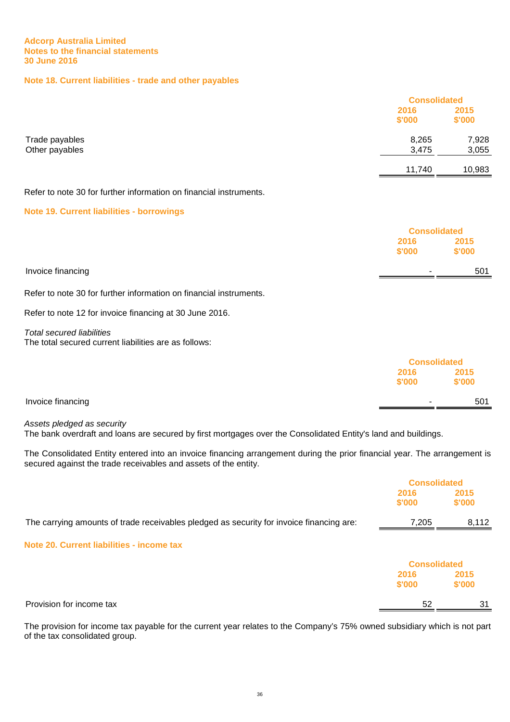## **Note 18. Current liabilities - trade and other payables**

|                                                                    | <b>Consolidated</b> |                     |  |
|--------------------------------------------------------------------|---------------------|---------------------|--|
|                                                                    | 2016                | 2015                |  |
|                                                                    | \$'000              | \$'000              |  |
| Trade payables                                                     | 8,265               | 7,928               |  |
| Other payables                                                     | 3,475               | 3,055               |  |
|                                                                    | 11,740              | 10,983              |  |
| Refer to note 30 for further information on financial instruments. |                     |                     |  |
| <b>Note 19. Current liabilities - borrowings</b>                   |                     |                     |  |
|                                                                    |                     | <b>Consolidated</b> |  |
|                                                                    | 2016                | 2015                |  |
|                                                                    | \$'000              | \$'000              |  |
| Invoice financing                                                  |                     | 501                 |  |
|                                                                    |                     |                     |  |

Refer to note 30 for further information on financial instruments.

Refer to note 12 for invoice financing at 30 June 2016.

Total secured liabilities The total secured current liabilities are as follows:

|                   |        | <b>Consolidated</b> |  |
|-------------------|--------|---------------------|--|
|                   | 2016   | 2015                |  |
|                   | \$'000 | \$'000              |  |
| Invoice financing |        | 501                 |  |
|                   |        |                     |  |

Assets pledged as security

The bank overdraft and loans are secured by first mortgages over the Consolidated Entity's land and buildings.

The Consolidated Entity entered into an invoice financing arrangement during the prior financial year. The arrangement is secured against the trade receivables and assets of the entity.

|                                                                                          | <b>Consolidated</b> |                |
|------------------------------------------------------------------------------------------|---------------------|----------------|
|                                                                                          | 2016<br>\$'000      | 2015<br>\$'000 |
| The carrying amounts of trade receivables pledged as security for invoice financing are: | 7,205               | 8,112          |
| Note 20. Current liabilities - income tax                                                |                     |                |
|                                                                                          | <b>Consolidated</b> |                |
|                                                                                          | 2016<br>\$'000      | 2015<br>\$'000 |
| Provision for income tax                                                                 | 52                  | -31            |

The provision for income tax payable for the current year relates to the Company's 75% owned subsidiary which is not part of the tax consolidated group.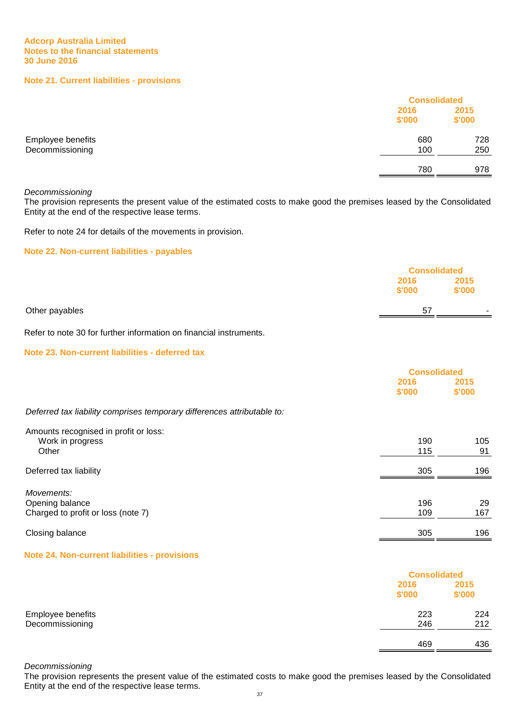## **Note 21. Current liabilities - provisions**

|                                      |                | <b>Consolidated</b> |  |
|--------------------------------------|----------------|---------------------|--|
|                                      | 2016<br>\$'000 | 2015<br>\$'000      |  |
| Employee benefits<br>Decommissioning | 680<br>100     | 728<br>250          |  |
|                                      | 780            | 978                 |  |

#### Decommissioning

The provision represents the present value of the estimated costs to make good the premises leased by the Consolidated Entity at the end of the respective lease terms.

Refer to note 24 for details of the movements in provision.

## **Note 22. Non-current liabilities - payables**

|                |                | <b>Consolidated</b>      |  |
|----------------|----------------|--------------------------|--|
|                | 2016<br>\$'000 | 2015<br>\$'000           |  |
| Other payables | 57             | $\overline{\phantom{a}}$ |  |

Refer to note 30 for further information on financial instruments.

## **Note 23. Non-current liabilities - deferred tax**

|                                                                         | <b>Consolidated</b> |                |
|-------------------------------------------------------------------------|---------------------|----------------|
|                                                                         | 2016<br>\$'000      | 2015<br>\$'000 |
| Deferred tax liability comprises temporary differences attributable to: |                     |                |
| Amounts recognised in profit or loss:<br>Work in progress<br>Other      | 190<br>115          | 105<br>91      |
| Deferred tax liability                                                  | 305                 | 196            |
| Movements:<br>Opening balance<br>Charged to profit or loss (note 7)     | 196<br>109          | 29<br>167      |
| Closing balance                                                         | 305                 | 196            |

#### **Note 24. Non-current liabilities - provisions**

|                   |                | <b>Consolidated</b> |  |
|-------------------|----------------|---------------------|--|
|                   | 2016<br>\$'000 | 2015<br>\$'000      |  |
| Employee benefits | 223            | 224                 |  |
| Decommissioning   | 246            | 212                 |  |
|                   | 469            | 436                 |  |

Decommissioning

The provision represents the present value of the estimated costs to make good the premises leased by the Consolidated Entity at the end of the respective lease terms.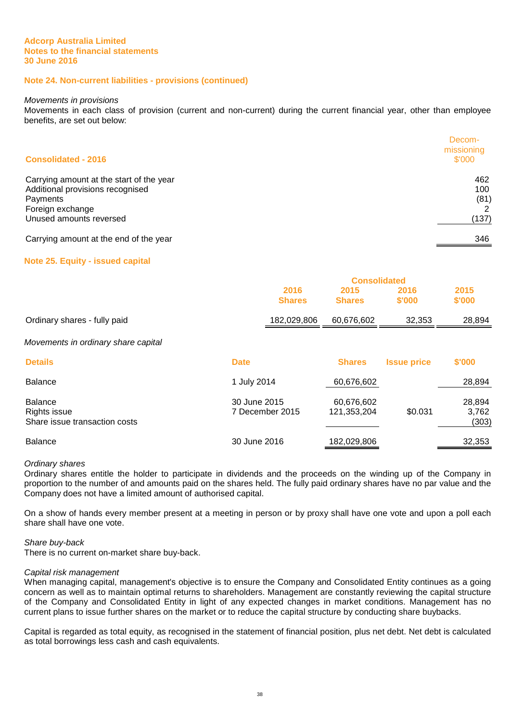## **Note 24. Non-current liabilities - provisions (continued)**

#### Movements in provisions

Movements in each class of provision (current and non-current) during the current financial year, other than employee benefits, are set out below:

| <b>Consolidated - 2016</b>                                                                                                              | Decom-<br>missioning<br>\$'000 |
|-----------------------------------------------------------------------------------------------------------------------------------------|--------------------------------|
| Carrying amount at the start of the year<br>Additional provisions recognised<br>Payments<br>Foreign exchange<br>Unused amounts reversed | 462<br>100<br>(81)<br>(137)    |
| Carrying amount at the end of the year                                                                                                  | 346                            |

#### **Note 25. Equity - issued capital**

|                              | <b>Consolidated</b> |               |        |        |
|------------------------------|---------------------|---------------|--------|--------|
|                              | 2016                | 2015          | 2016   | 2015   |
|                              | <b>Shares</b>       | <b>Shares</b> | \$'000 | \$'000 |
| Ordinary shares - fully paid | 182,029,806         | 60,676,602    | 32,353 | 28,894 |
|                              |                     |               |        |        |

#### Movements in ordinary share capital

| <b>Details</b>                                                  | <b>Date</b>                     | <b>Shares</b>             | <b>Issue price</b> | \$'000                   |
|-----------------------------------------------------------------|---------------------------------|---------------------------|--------------------|--------------------------|
| <b>Balance</b>                                                  | 1 July 2014                     | 60,676,602                |                    | 28,894                   |
| <b>Balance</b><br>Rights issue<br>Share issue transaction costs | 30 June 2015<br>7 December 2015 | 60,676,602<br>121,353,204 | \$0.031            | 28,894<br>3,762<br>(303) |
| <b>Balance</b>                                                  | 30 June 2016                    | 182,029,806               |                    | 32,353                   |

#### Ordinary shares

Ordinary shares entitle the holder to participate in dividends and the proceeds on the winding up of the Company in proportion to the number of and amounts paid on the shares held. The fully paid ordinary shares have no par value and the Company does not have a limited amount of authorised capital.

On a show of hands every member present at a meeting in person or by proxy shall have one vote and upon a poll each share shall have one vote.

#### Share buy-back

There is no current on-market share buy-back.

#### Capital risk management

When managing capital, management's objective is to ensure the Company and Consolidated Entity continues as a going concern as well as to maintain optimal returns to shareholders. Management are constantly reviewing the capital structure of the Company and Consolidated Entity in light of any expected changes in market conditions. Management has no current plans to issue further shares on the market or to reduce the capital structure by conducting share buybacks.

Capital is regarded as total equity, as recognised in the statement of financial position, plus net debt. Net debt is calculated as total borrowings less cash and cash equivalents.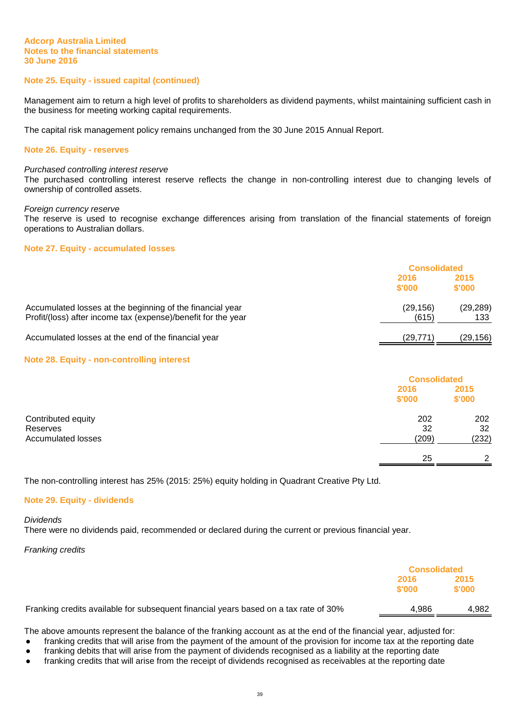## **Note 25. Equity - issued capital (continued)**

Management aim to return a high level of profits to shareholders as dividend payments, whilst maintaining sufficient cash in the business for meeting working capital requirements.

The capital risk management policy remains unchanged from the 30 June 2015 Annual Report.

#### **Note 26. Equity - reserves**

#### Purchased controlling interest reserve

The purchased controlling interest reserve reflects the change in non-controlling interest due to changing levels of ownership of controlled assets.

#### Foreign currency reserve

The reserve is used to recognise exchange differences arising from translation of the financial statements of foreign operations to Australian dollars.

## **Note 27. Equity - accumulated losses**

|                                                                                                                            |                   | <b>Consolidated</b> |  |
|----------------------------------------------------------------------------------------------------------------------------|-------------------|---------------------|--|
|                                                                                                                            | 2016<br>\$'000    | 2015<br>\$'000      |  |
| Accumulated losses at the beginning of the financial year<br>Profit/(loss) after income tax (expense)/benefit for the year | (29,156)<br>(615) | (29, 289)<br>133    |  |
| Accumulated losses at the end of the financial year                                                                        | (29,771)          | (29, 156)           |  |

#### **Note 28. Equity - non-controlling interest**

|                                                             |                    | <b>Consolidated</b> |  |
|-------------------------------------------------------------|--------------------|---------------------|--|
|                                                             | 2016<br>\$'000     | 2015<br>\$'000      |  |
| Contributed equity<br>Reserves<br><b>Accumulated losses</b> | 202<br>32<br>(209) | 202<br>32<br>(232)  |  |
|                                                             | 25                 | ົ                   |  |

The non-controlling interest has 25% (2015: 25%) equity holding in Quadrant Creative Pty Ltd.

#### **Note 29. Equity - dividends**

#### Dividends

There were no dividends paid, recommended or declared during the current or previous financial year.

Franking credits

|                                                                                      | <b>Consolidated</b> |                |
|--------------------------------------------------------------------------------------|---------------------|----------------|
|                                                                                      | 2016<br>\$'000      | 2015<br>\$'000 |
| Franking credits available for subsequent financial years based on a tax rate of 30% | 4.986               | 4.982          |

The above amounts represent the balance of the franking account as at the end of the financial year, adjusted for:

• franking credits that will arise from the payment of the amount of the provision for income tax at the reporting date

- franking debits that will arise from the payment of dividends recognised as a liability at the reporting date
- franking credits that will arise from the receipt of dividends recognised as receivables at the reporting date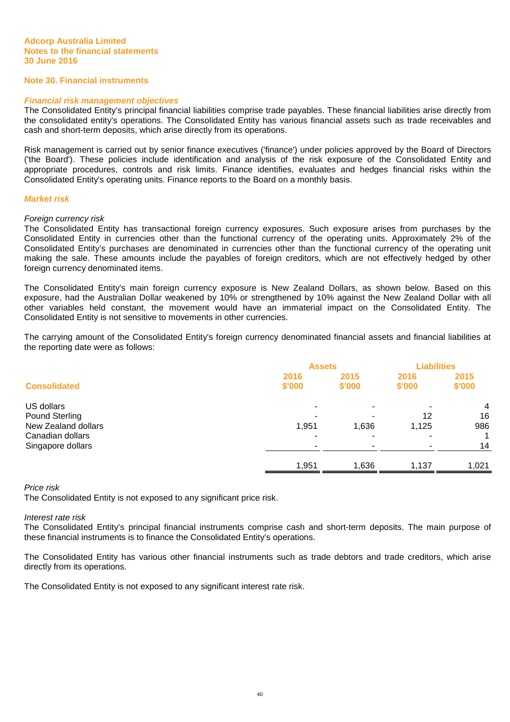## **Note 30. Financial instruments**

#### **Financial risk management objectives**

The Consolidated Entity's principal financial liabilities comprise trade payables. These financial liabilities arise directly from the consolidated entity's operations. The Consolidated Entity has various financial assets such as trade receivables and cash and short-term deposits, which arise directly from its operations.

Risk management is carried out by senior finance executives ('finance') under policies approved by the Board of Directors ('the Board'). These policies include identification and analysis of the risk exposure of the Consolidated Entity and appropriate procedures, controls and risk limits. Finance identifies, evaluates and hedges financial risks within the Consolidated Entity's operating units. Finance reports to the Board on a monthly basis.

#### **Market risk**

#### Foreign currency risk

The Consolidated Entity has transactional foreign currency exposures. Such exposure arises from purchases by the Consolidated Entity in currencies other than the functional currency of the operating units. Approximately 2% of the Consolidated Entity's purchases are denominated in currencies other than the functional currency of the operating unit making the sale. These amounts include the payables of foreign creditors, which are not effectively hedged by other foreign currency denominated items.

The Consolidated Entity's main foreign currency exposure is New Zealand Dollars, as shown below. Based on this exposure, had the Australian Dollar weakened by 10% or strengthened by 10% against the New Zealand Dollar with all other variables held constant, the movement would have an immaterial impact on the Consolidated Entity. The Consolidated Entity is not sensitive to movements in other currencies.

The carrying amount of the Consolidated Entity's foreign currency denominated financial assets and financial liabilities at the reporting date were as follows:

|                       | <b>Assets</b>  |                | <b>Liabilities</b> |                |
|-----------------------|----------------|----------------|--------------------|----------------|
| <b>Consolidated</b>   | 2016<br>\$'000 | 2015<br>\$'000 | 2016<br>\$'000     | 2015<br>\$'000 |
| US dollars            |                |                |                    | $\overline{4}$ |
| <b>Pound Sterling</b> |                |                | 12                 | 16             |
| New Zealand dollars   | 1,951          | 1,636          | 1,125              | 986            |
| Canadian dollars      |                |                |                    | 1              |
| Singapore dollars     |                |                |                    | 14             |
|                       | 1,951          | 1,636          | 1,137              | 1,021          |
|                       |                |                |                    |                |

## Price risk

The Consolidated Entity is not exposed to any significant price risk.

## Interest rate risk

The Consolidated Entity's principal financial instruments comprise cash and short-term deposits. The main purpose of these financial instruments is to finance the Consolidated Entity's operations.

The Consolidated Entity has various other financial instruments such as trade debtors and trade creditors, which arise directly from its operations.

The Consolidated Entity is not exposed to any significant interest rate risk.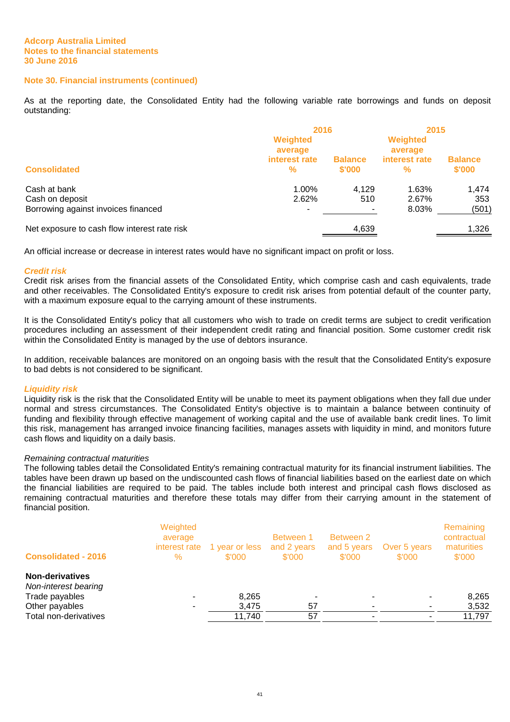## **Note 30. Financial instruments (continued)**

As at the reporting date, the Consolidated Entity had the following variable rate borrowings and funds on deposit outstanding:

|                                              | 2016                           |                          | 2015                |                          |
|----------------------------------------------|--------------------------------|--------------------------|---------------------|--------------------------|
|                                              | Weighted<br>average            |                          | Weighted<br>average |                          |
| <b>Consolidated</b>                          | interest rate<br>$\frac{9}{6}$ | <b>Balance</b><br>\$'000 | interest rate<br>%  | <b>Balance</b><br>\$'000 |
| Cash at bank                                 | 1.00%                          | 4.129                    | 1.63%               | 1.474                    |
| Cash on deposit                              | 2.62%                          | 510                      | 2.67%               | 353                      |
| Borrowing against invoices financed          | ۰                              |                          | 8.03%               | (501)                    |
| Net exposure to cash flow interest rate risk |                                | 4,639                    |                     | 1,326                    |

An official increase or decrease in interest rates would have no significant impact on profit or loss.

#### **Credit risk**

Credit risk arises from the financial assets of the Consolidated Entity, which comprise cash and cash equivalents, trade and other receivables. The Consolidated Entity's exposure to credit risk arises from potential default of the counter party, with a maximum exposure equal to the carrying amount of these instruments.

It is the Consolidated Entity's policy that all customers who wish to trade on credit terms are subject to credit verification procedures including an assessment of their independent credit rating and financial position. Some customer credit risk within the Consolidated Entity is managed by the use of debtors insurance.

In addition, receivable balances are monitored on an ongoing basis with the result that the Consolidated Entity's exposure to bad debts is not considered to be significant.

#### **Liquidity risk**

Liquidity risk is the risk that the Consolidated Entity will be unable to meet its payment obligations when they fall due under normal and stress circumstances. The Consolidated Entity's objective is to maintain a balance between continuity of funding and flexibility through effective management of working capital and the use of available bank credit lines. To limit this risk, management has arranged invoice financing facilities, manages assets with liquidity in mind, and monitors future cash flows and liquidity on a daily basis.

#### Remaining contractual maturities

The following tables detail the Consolidated Entity's remaining contractual maturity for its financial instrument liabilities. The tables have been drawn up based on the undiscounted cash flows of financial liabilities based on the earliest date on which the financial liabilities are required to be paid. The tables include both interest and principal cash flows disclosed as remaining contractual maturities and therefore these totals may differ from their carrying amount in the statement of financial position.

| <b>Consolidated - 2016</b>                                       | Weighted<br>average<br>interest rate<br>$\%$ | 1 year or less<br>\$'000 | Between 1<br>and 2 years<br>\$'000 | Between 2<br>and 5 years<br>\$'000 | Over 5 years<br>\$'000 | Remaining<br>contractual<br>maturities<br>\$'000 |
|------------------------------------------------------------------|----------------------------------------------|--------------------------|------------------------------------|------------------------------------|------------------------|--------------------------------------------------|
| <b>Non-derivatives</b><br>Non-interest bearing<br>Trade payables |                                              | 8,265                    |                                    |                                    |                        | 8,265                                            |
| Other payables                                                   |                                              | 3,475                    | 57                                 |                                    |                        | 3,532                                            |
| Total non-derivatives                                            |                                              | 11,740                   | 57                                 |                                    |                        | 11,797                                           |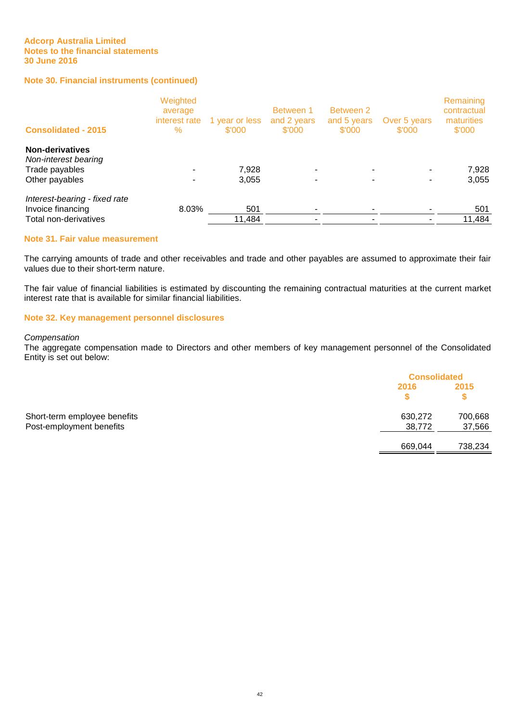## **Note 30. Financial instruments (continued)**

| Weighted<br>average<br>interest rate<br>$\%$ | 1 year or less<br>\$'000 | Between 1<br>and 2 years<br>\$'000 | Between 2<br>and 5 years<br>\$'000 | Over 5 years<br>\$'000 | Remaining<br>contractual<br>maturities<br>\$'000 |
|----------------------------------------------|--------------------------|------------------------------------|------------------------------------|------------------------|--------------------------------------------------|
|                                              |                          |                                    |                                    |                        |                                                  |
|                                              |                          |                                    |                                    |                        | 7,928                                            |
|                                              | 3,055                    |                                    |                                    |                        | 3,055                                            |
|                                              |                          |                                    |                                    |                        |                                                  |
|                                              | 501                      |                                    |                                    |                        | 501                                              |
|                                              | 11,484                   |                                    |                                    |                        | 11,484                                           |
|                                              |                          | 7,928<br>8.03%                     |                                    |                        |                                                  |

#### **Note 31. Fair value measurement**

The carrying amounts of trade and other receivables and trade and other payables are assumed to approximate their fair values due to their short-term nature.

The fair value of financial liabilities is estimated by discounting the remaining contractual maturities at the current market interest rate that is available for similar financial liabilities.

## **Note 32. Key management personnel disclosures**

## **Compensation**

The aggregate compensation made to Directors and other members of key management personnel of the Consolidated Entity is set out below:

|                              |         | <b>Consolidated</b> |  |
|------------------------------|---------|---------------------|--|
|                              | 2016    | 2015                |  |
| Short-term employee benefits | 630,272 | 700,668             |  |
| Post-employment benefits     | 38,772  | 37,566              |  |
|                              | 669,044 | 738,234             |  |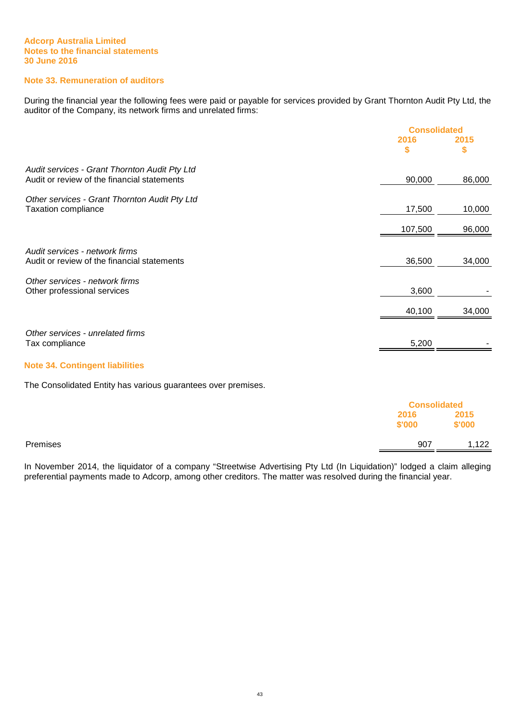## **Note 33. Remuneration of auditors**

During the financial year the following fees were paid or payable for services provided by Grant Thornton Audit Pty Ltd, the auditor of the Company, its network firms and unrelated firms:

|                                               | <b>Consolidated</b> |        |
|-----------------------------------------------|---------------------|--------|
|                                               | 2016                | 2015   |
|                                               | \$                  | \$     |
| Audit services - Grant Thornton Audit Pty Ltd |                     |        |
| Audit or review of the financial statements   | 90,000              | 86,000 |
| Other services - Grant Thornton Audit Pty Ltd |                     |        |
| <b>Taxation compliance</b>                    | 17,500              | 10,000 |
|                                               | 107,500             | 96,000 |
| Audit services - network firms                |                     |        |
| Audit or review of the financial statements   | 36,500              | 34,000 |
| Other services - network firms                |                     |        |
| Other professional services                   | 3,600               |        |
|                                               | 40,100              | 34,000 |
| Other services - unrelated firms              |                     |        |
| Tax compliance                                | 5,200               |        |
|                                               |                     |        |

## **Note 34. Contingent liabilities**

The Consolidated Entity has various guarantees over premises.

|          | <b>Consolidated</b> |                |
|----------|---------------------|----------------|
|          | 2016<br>\$'000      | 2015<br>\$'000 |
| Premises | 907                 | 1,122          |

In November 2014, the liquidator of a company "Streetwise Advertising Pty Ltd (In Liquidation)" lodged a claim alleging preferential payments made to Adcorp, among other creditors. The matter was resolved during the financial year.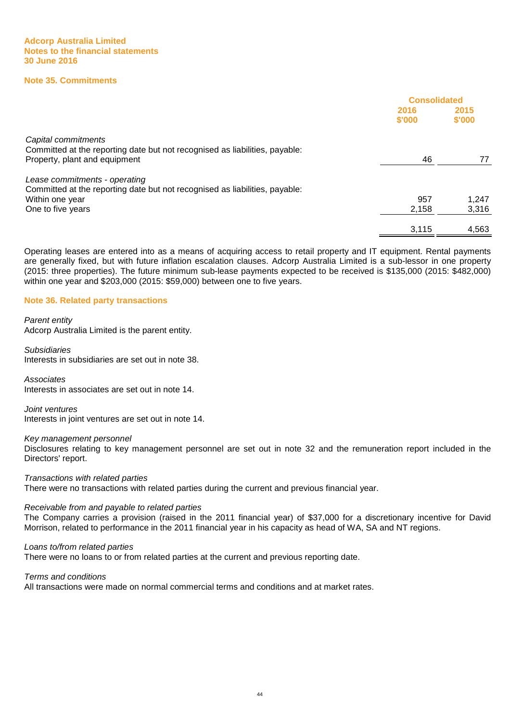## **Note 35. Commitments**

|                                                                             | <b>Consolidated</b> |                |
|-----------------------------------------------------------------------------|---------------------|----------------|
|                                                                             | 2016<br>\$'000      | 2015<br>\$'000 |
| Capital commitments                                                         |                     |                |
| Committed at the reporting date but not recognised as liabilities, payable: |                     |                |
| Property, plant and equipment                                               | 46                  | 77             |
| Lease commitments - operating                                               |                     |                |
| Committed at the reporting date but not recognised as liabilities, payable: |                     |                |
| Within one year                                                             | 957                 | 1.247          |
| One to five years                                                           | 2.158               | 3,316          |
|                                                                             | 3,115               | 4,563          |

Operating leases are entered into as a means of acquiring access to retail property and IT equipment. Rental payments are generally fixed, but with future inflation escalation clauses. Adcorp Australia Limited is a sub-lessor in one property (2015: three properties). The future minimum sub-lease payments expected to be received is \$135,000 (2015: \$482,000) within one year and \$203,000 (2015: \$59,000) between one to five years.

#### **Note 36. Related party transactions**

#### Parent entity

Adcorp Australia Limited is the parent entity.

Subsidiaries Interests in subsidiaries are set out in note 38.

## **Associates**

Interests in associates are set out in note 14.

Joint ventures Interests in joint ventures are set out in note 14.

#### Key management personnel

Disclosures relating to key management personnel are set out in note 32 and the remuneration report included in the Directors' report.

Transactions with related parties

There were no transactions with related parties during the current and previous financial year.

#### Receivable from and payable to related parties

The Company carries a provision (raised in the 2011 financial year) of \$37,000 for a discretionary incentive for David Morrison, related to performance in the 2011 financial year in his capacity as head of WA, SA and NT regions.

#### Loans to/from related parties

There were no loans to or from related parties at the current and previous reporting date.

Terms and conditions

All transactions were made on normal commercial terms and conditions and at market rates.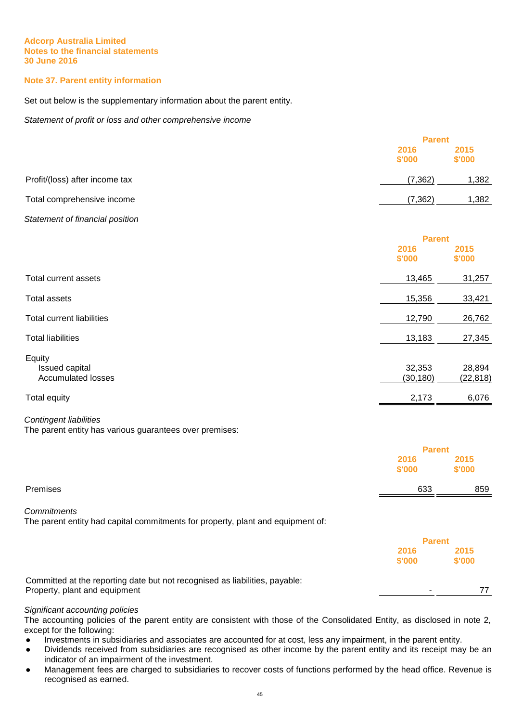## **Note 37. Parent entity information**

Set out below is the supplementary information about the parent entity.

Statement of profit or loss and other comprehensive income

|                                                                                          | <b>Parent</b>                   |                     |
|------------------------------------------------------------------------------------------|---------------------------------|---------------------|
|                                                                                          | 2016<br>\$'000                  | 2015<br>\$'000      |
| Profit/(loss) after income tax                                                           | (7, 362)                        | 1,382               |
| Total comprehensive income                                                               | (7, 362)                        | 1,382               |
| Statement of financial position                                                          |                                 |                     |
|                                                                                          | <b>Parent</b>                   |                     |
|                                                                                          | 2016<br>\$'000                  | 2015<br>\$'000      |
| Total current assets                                                                     | 13,465                          | 31,257              |
| <b>Total assets</b>                                                                      | 15,356                          | 33,421              |
| <b>Total current liabilities</b>                                                         | 12,790                          | 26,762              |
| <b>Total liabilities</b>                                                                 | 13,183                          | 27,345              |
| Equity<br>Issued capital<br><b>Accumulated losses</b>                                    | 32,353<br>(30, 180)             | 28,894<br>(22, 818) |
| <b>Total equity</b>                                                                      | 2,173                           | 6,076               |
| <b>Contingent liabilities</b><br>The parent entity has various guarantees over premises: |                                 |                     |
|                                                                                          | <b>Parent</b><br>2016<br>\$'000 | 2015<br>\$'000      |

## Premises 633 859

## **Commitments**

The parent entity had capital commitments for property, plant and equipment of:

|                                                                             | <b>Parent</b>  |                |
|-----------------------------------------------------------------------------|----------------|----------------|
|                                                                             | 2016<br>\$'000 | 2015<br>\$'000 |
| Committed at the reporting date but not recognised as liabilities, payable: |                |                |
| Property, plant and equipment                                               |                |                |

#### Significant accounting policies

The accounting policies of the parent entity are consistent with those of the Consolidated Entity, as disclosed in note 2, except for the following:

● Investments in subsidiaries and associates are accounted for at cost, less any impairment, in the parent entity.

- Dividends received from subsidiaries are recognised as other income by the parent entity and its receipt may be an indicator of an impairment of the investment.
- Management fees are charged to subsidiaries to recover costs of functions performed by the head office. Revenue is recognised as earned.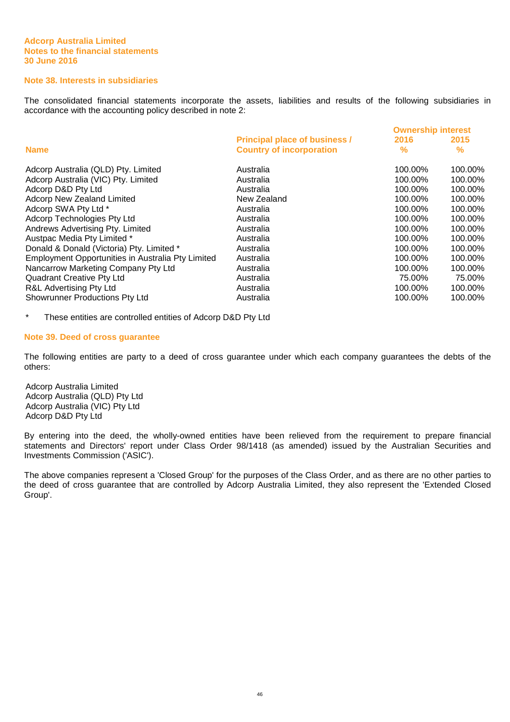## **Note 38. Interests in subsidiaries**

The consolidated financial statements incorporate the assets, liabilities and results of the following subsidiaries in accordance with the accounting policy described in note 2:

|                                                          |                                      | <b>Ownership interest</b> |               |
|----------------------------------------------------------|--------------------------------------|---------------------------|---------------|
|                                                          | <b>Principal place of business /</b> | 2016                      | 2015          |
| <b>Name</b>                                              | <b>Country of incorporation</b>      | %                         | $\frac{9}{6}$ |
| Adcorp Australia (QLD) Pty. Limited                      | Australia                            | 100.00%                   | 100.00%       |
| Adcorp Australia (VIC) Pty. Limited                      | Australia                            | 100.00%                   | 100.00%       |
| Adcorp D&D Pty Ltd                                       | Australia                            | 100.00%                   | 100.00%       |
| <b>Adcorp New Zealand Limited</b>                        | New Zealand                          | 100.00%                   | 100.00%       |
| Adcorp SWA Pty Ltd *                                     | Australia                            | 100.00%                   | 100.00%       |
| Adcorp Technologies Pty Ltd                              | Australia                            | 100.00%                   | 100.00%       |
| Andrews Advertising Pty. Limited                         | Australia                            | 100.00%                   | 100.00%       |
| Austpac Media Pty Limited *                              | Australia                            | 100.00%                   | 100.00%       |
| Donald & Donald (Victoria) Pty. Limited *                | Australia                            | 100.00%                   | 100.00%       |
| <b>Employment Opportunities in Australia Pty Limited</b> | Australia                            | 100.00%                   | 100.00%       |
| Nancarrow Marketing Company Pty Ltd                      | Australia                            | 100.00%                   | 100.00%       |
| <b>Quadrant Creative Pty Ltd</b>                         | Australia                            | 75.00%                    | 75.00%        |
| R&L Advertising Pty Ltd                                  | Australia                            | 100.00%                   | 100.00%       |
| <b>Showrunner Productions Pty Ltd</b>                    | Australia                            | 100.00%                   | 100.00%       |

\* These entities are controlled entities of Adcorp D&D Pty Ltd

#### **Note 39. Deed of cross guarantee**

The following entities are party to a deed of cross guarantee under which each company guarantees the debts of the others:

Adcorp Australia Limited Adcorp Australia (QLD) Pty Ltd Adcorp Australia (VIC) Pty Ltd Adcorp D&D Pty Ltd

By entering into the deed, the wholly-owned entities have been relieved from the requirement to prepare financial statements and Directors' report under Class Order 98/1418 (as amended) issued by the Australian Securities and Investments Commission ('ASIC').

The above companies represent a 'Closed Group' for the purposes of the Class Order, and as there are no other parties to the deed of cross guarantee that are controlled by Adcorp Australia Limited, they also represent the 'Extended Closed Group'.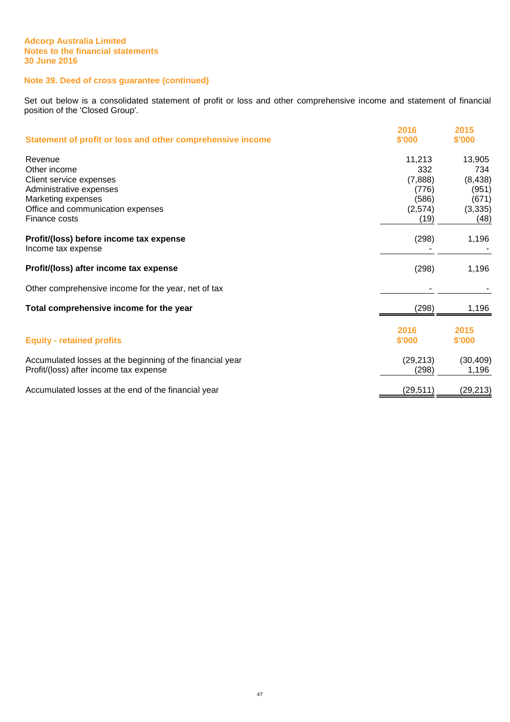## **Note 39. Deed of cross guarantee (continued)**

Set out below is a consolidated statement of profit or loss and other comprehensive income and statement of financial position of the 'Closed Group'.

| Statement of profit or loss and other comprehensive income    | 2016<br>\$'000 | 2015<br>\$'000 |
|---------------------------------------------------------------|----------------|----------------|
| Revenue                                                       | 11,213         | 13,905         |
| Other income                                                  | 332            | 734            |
| Client service expenses                                       | (7,888)        | (8, 438)       |
| Administrative expenses                                       | (776)          | (951)          |
| Marketing expenses                                            | (586)          | (671)          |
| Office and communication expenses                             | (2,574)        | (3, 335)       |
| Finance costs                                                 | (19)           | (48)           |
| Profit/(loss) before income tax expense<br>Income tax expense | (298)          | 1,196          |
| Profit/(loss) after income tax expense                        | (298)          | 1,196          |
| Other comprehensive income for the year, net of tax           |                |                |
| Total comprehensive income for the year                       | (298)          | 1,196          |
|                                                               | 2016           | 2015           |
| <b>Equity - retained profits</b>                              | \$'000         | \$'000         |
| Accumulated losses at the beginning of the financial year     | (29, 213)      | (30, 409)      |
| Profit/(loss) after income tax expense                        | (298)          | 1,196          |
| Accumulated losses at the end of the financial year           | (29, 511)      | (29, 213)      |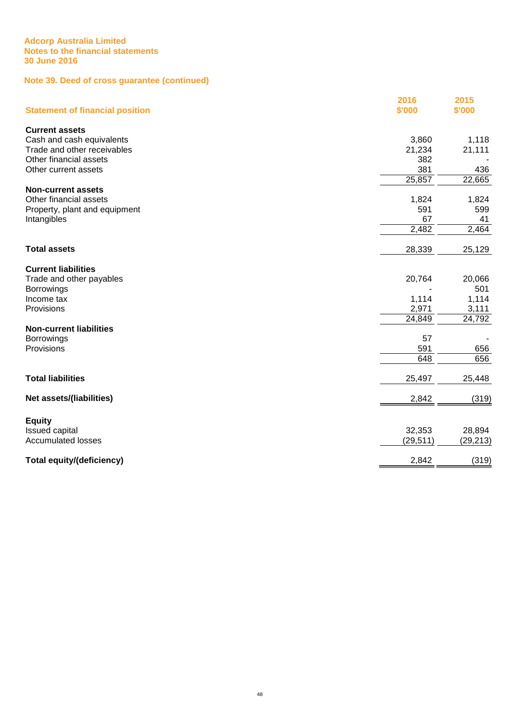## **Note 39. Deed of cross guarantee (continued)**

| <b>Statement of financial position</b> | 2016<br>\$'000 | 2015<br>\$'000 |
|----------------------------------------|----------------|----------------|
| <b>Current assets</b>                  |                |                |
| Cash and cash equivalents              | 3,860          | 1,118          |
| Trade and other receivables            | 21,234         | 21,111         |
| Other financial assets                 | 382            |                |
| Other current assets                   | 381            | 436            |
|                                        | 25,857         | 22,665         |
| <b>Non-current assets</b>              |                |                |
| Other financial assets                 | 1,824          | 1,824          |
| Property, plant and equipment          | 591            | 599            |
| Intangibles                            | 67             | 41             |
|                                        | 2,482          | 2,464          |
| <b>Total assets</b>                    | 28,339         | 25,129         |
| <b>Current liabilities</b>             |                |                |
| Trade and other payables               | 20,764         | 20,066         |
| <b>Borrowings</b>                      |                | 501            |
| Income tax                             | 1,114          | 1,114          |
| Provisions                             | 2,971          | 3,111          |
|                                        | 24,849         | 24,792         |
| <b>Non-current liabilities</b>         |                |                |
| <b>Borrowings</b>                      | 57             |                |
| Provisions                             | 591            | 656            |
|                                        | 648            | 656            |
| <b>Total liabilities</b>               | 25,497         | 25,448         |
| <b>Net assets/(liabilities)</b>        | 2,842          | (319)          |
| <b>Equity</b>                          |                |                |
| Issued capital                         | 32,353         | 28,894         |
| <b>Accumulated losses</b>              | (29, 511)      | (29, 213)      |
| <b>Total equity/(deficiency)</b>       | 2,842          | (319)          |
|                                        |                |                |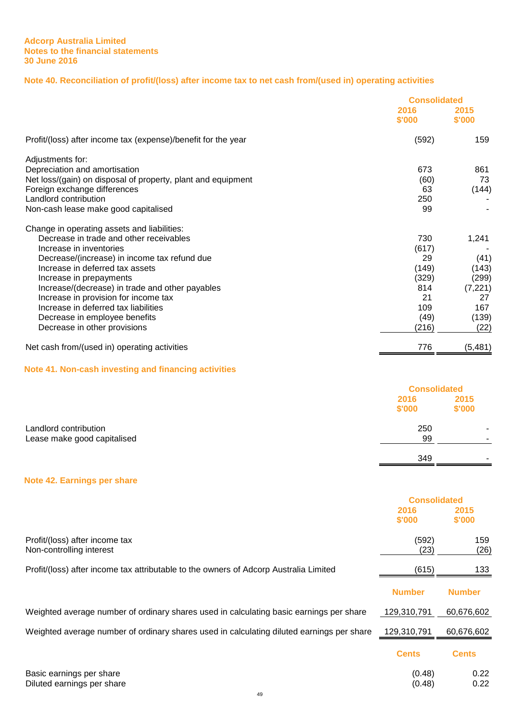## **Note 40. Reconciliation of profit/(loss) after income tax to net cash from/(used in) operating activities**

|                                                               | <b>Consolidated</b> |                |
|---------------------------------------------------------------|---------------------|----------------|
|                                                               | 2016<br>\$'000      | 2015<br>\$'000 |
| Profit/(loss) after income tax (expense)/benefit for the year | (592)               | 159            |
| Adjustments for:                                              |                     |                |
| Depreciation and amortisation                                 | 673                 | 861            |
| Net loss/(gain) on disposal of property, plant and equipment  | (60)                | 73             |
| Foreign exchange differences                                  | 63                  | (144)          |
| Landlord contribution                                         | 250                 |                |
| Non-cash lease make good capitalised                          | 99                  |                |
| Change in operating assets and liabilities:                   |                     |                |
| Decrease in trade and other receivables                       | 730                 | 1,241          |
| Increase in inventories                                       | (617)               |                |
| Decrease/(increase) in income tax refund due                  | 29                  | (41)           |
| Increase in deferred tax assets                               | (149)               | (143)          |
| Increase in prepayments                                       | (329)               | (299)          |
| Increase/(decrease) in trade and other payables               | 814                 | (7, 221)       |
| Increase in provision for income tax                          | 21                  | 27             |
| Increase in deferred tax liabilities                          | 109                 | 167            |
| Decrease in employee benefits                                 | (49)                | (139)          |
| Decrease in other provisions                                  | (216)               | (22)           |
| Net cash from/(used in) operating activities                  | 776                 | (5,481)        |
| Note 41. Non-cash investing and financing activities          |                     | .              |

|                             |                | <b>Consolidated</b> |  |
|-----------------------------|----------------|---------------------|--|
|                             | 2016<br>\$'000 | 2015<br>\$'000      |  |
| Landlord contribution       | 250            | -                   |  |
| Lease make good capitalised | 99             |                     |  |
|                             | 349            |                     |  |

## **Note 42. Earnings per share**

|                                                                                           | <b>Consolidated</b> |                |
|-------------------------------------------------------------------------------------------|---------------------|----------------|
|                                                                                           | 2016<br>\$'000      | 2015<br>\$'000 |
| Profit/(loss) after income tax<br>Non-controlling interest                                | (592)<br>(23)       | 159<br>(26)    |
| Profit/(loss) after income tax attributable to the owners of Adcorp Australia Limited     | (615)               | 133            |
|                                                                                           | <b>Number</b>       | <b>Number</b>  |
| Weighted average number of ordinary shares used in calculating basic earnings per share   | 129,310,791         | 60,676,602     |
| Weighted average number of ordinary shares used in calculating diluted earnings per share | 129.310.791         | 60.676.602     |
|                                                                                           | <b>Cents</b>        | <b>Cents</b>   |
| Basic earnings per share                                                                  | (0.48)              | 0.22           |
| Diluted earnings per share                                                                | (0.48)              | 0.22           |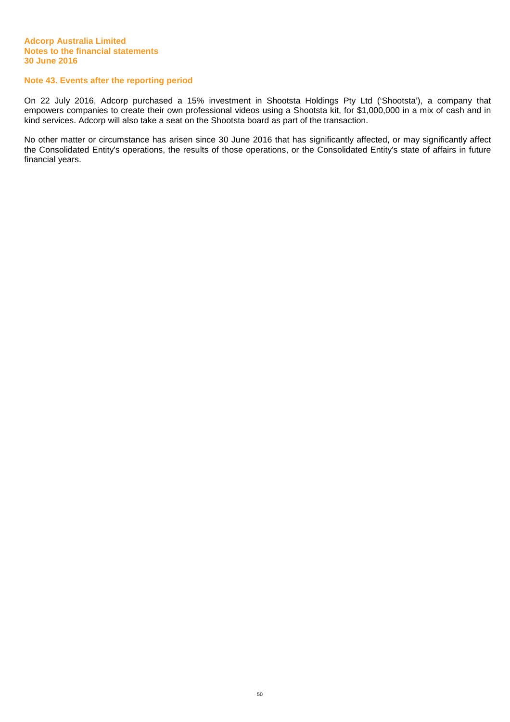#### **Note 43. Events after the reporting period**

On 22 July 2016, Adcorp purchased a 15% investment in Shootsta Holdings Pty Ltd ('Shootsta'), a company that empowers companies to create their own professional videos using a Shootsta kit, for \$1,000,000 in a mix of cash and in kind services. Adcorp will also take a seat on the Shootsta board as part of the transaction.

No other matter or circumstance has arisen since 30 June 2016 that has significantly affected, or may significantly affect the Consolidated Entity's operations, the results of those operations, or the Consolidated Entity's state of affairs in future financial years.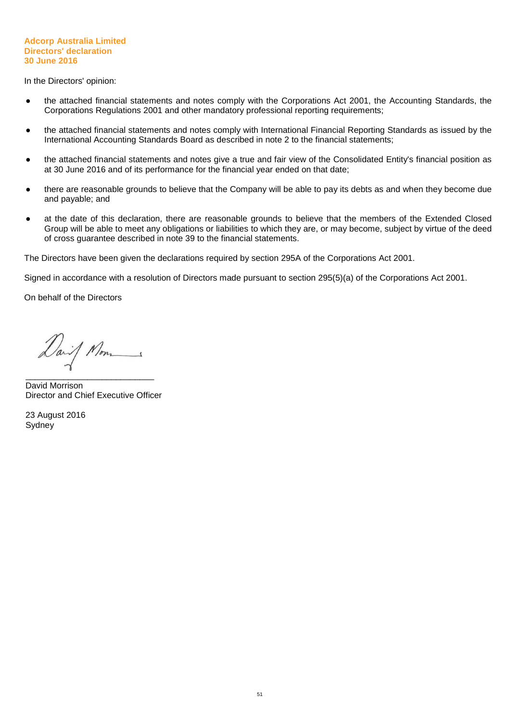#### **Adcorp Australia Limited Directors' declaration 30 June 2016**

In the Directors' opinion:

- the attached financial statements and notes comply with the Corporations Act 2001, the Accounting Standards, the Corporations Regulations 2001 and other mandatory professional reporting requirements;
- the attached financial statements and notes comply with International Financial Reporting Standards as issued by the International Accounting Standards Board as described in note 2 to the financial statements;
- the attached financial statements and notes give a true and fair view of the Consolidated Entity's financial position as at 30 June 2016 and of its performance for the financial year ended on that date;
- there are reasonable grounds to believe that the Company will be able to pay its debts as and when they become due and payable; and
- at the date of this declaration, there are reasonable grounds to believe that the members of the Extended Closed Group will be able to meet any obligations or liabilities to which they are, or may become, subject by virtue of the deed of cross guarantee described in note 39 to the financial statements.

The Directors have been given the declarations required by section 295A of the Corporations Act 2001.

Signed in accordance with a resolution of Directors made pursuant to section 295(5)(a) of the Corporations Act 2001.

On behalf of the Directors

Daif Mon

\_\_\_\_\_\_\_\_\_\_\_\_\_\_\_\_\_\_\_\_\_\_\_\_\_\_\_ David Morrison Director and Chief Executive Officer

23 August 2016 Sydney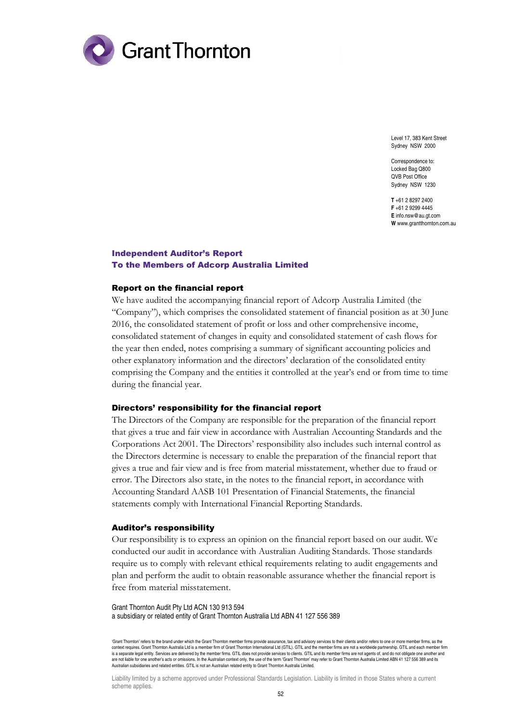

Level 17, 383 Kent Street Sydney NSW 2000

Correspondence to: Locked Bag Q800 QVB Post Office Sydney NSW 1230

**T** +61 2 8297 2400 **F** +61 2 9299 4445 **E** info.nsw@au.gt.com **W** www.grantthornton.com.au

#### Independent Auditor's Report To the Members of Adcorp Australia Limited

#### Report on the financial report

We have audited the accompanying financial report of Adcorp Australia Limited (the "Company"), which comprises the consolidated statement of financial position as at 30 June 2016, the consolidated statement of profit or loss and other comprehensive income, consolidated statement of changes in equity and consolidated statement of cash flows for the year then ended, notes comprising a summary of significant accounting policies and other explanatory information and the directors' declaration of the consolidated entity comprising the Company and the entities it controlled at the year's end or from time to time during the financial year.

#### Directors' responsibility for the financial report

The Directors of the Company are responsible for the preparation of the financial report that gives a true and fair view in accordance with Australian Accounting Standards and the Corporations Act 2001. The Directors' responsibility also includes such internal control as the Directors determine is necessary to enable the preparation of the financial report that gives a true and fair view and is free from material misstatement, whether due to fraud or error. The Directors also state, in the notes to the financial report, in accordance with Accounting Standard AASB 101 Presentation of Financial Statements, the financial statements comply with International Financial Reporting Standards.

#### Auditor's responsibility

Our responsibility is to express an opinion on the financial report based on our audit. We conducted our audit in accordance with Australian Auditing Standards. Those standards require us to comply with relevant ethical requirements relating to audit engagements and plan and perform the audit to obtain reasonable assurance whether the financial report is free from material misstatement.

#### Grant Thornton Audit Pty Ltd ACN 130 913 594 a subsidiary or related entity of Grant Thornton Australia Ltd ABN 41 127 556 389

'Grant Thornton' refers to the brand under which the Grant Thornton member firms provide assurance, tax and advisory services to their clients and/or refers to one or more member firms, as the context requires. Grant Thornton Australia Ltd is a member firm of Grant Thornton International Ltd (GTIL). GTIL and the member firms are not a worldwide partnership. GTIL and each member firm is a separate legal entity. Services are delivered by the member firms. GTIL does not provide services to clients. GTIL and its member firms are not agents of, and do not obligate one another and are not liable for one another's acts or omissions. In the Australian context only, the use of the term 'Grant Thornton' may refer to Grant Thornton Australia Limited ABN 41 127 556 389 and its Australian subsidiaries and related entities. GTIL is not an Australian related entity to Grant Thornton Australia Limited.

Liability limited by a scheme approved under Professional Standards Legislation. Liability is limited in those States where a current scheme applies.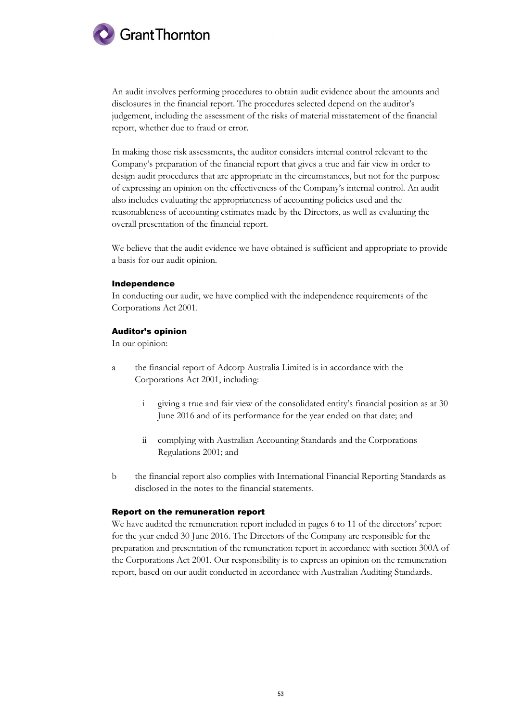

An audit involves performing procedures to obtain audit evidence about the amounts and disclosures in the financial report. The procedures selected depend on the auditor's judgement, including the assessment of the risks of material misstatement of the financial report, whether due to fraud or error.

In making those risk assessments, the auditor considers internal control relevant to the Company's preparation of the financial report that gives a true and fair view in order to design audit procedures that are appropriate in the circumstances, but not for the purpose of expressing an opinion on the effectiveness of the Company's internal control. An audit also includes evaluating the appropriateness of accounting policies used and the reasonableness of accounting estimates made by the Directors, as well as evaluating the overall presentation of the financial report.

We believe that the audit evidence we have obtained is sufficient and appropriate to provide a basis for our audit opinion.

#### Independence

In conducting our audit, we have complied with the independence requirements of the Corporations Act 2001.

#### Auditor's opinion

In our opinion:

- a the financial report of Adcorp Australia Limited is in accordance with the Corporations Act 2001, including:
	- i giving a true and fair view of the consolidated entity's financial position as at 30 June 2016 and of its performance for the year ended on that date; and
	- ii complying with Australian Accounting Standards and the Corporations Regulations 2001; and
- b the financial report also complies with International Financial Reporting Standards as disclosed in the notes to the financial statements.

#### Report on the remuneration report

We have audited the remuneration report included in pages 6 to 11 of the directors' report for the year ended 30 June 2016. The Directors of the Company are responsible for the preparation and presentation of the remuneration report in accordance with section 300A of the Corporations Act 2001. Our responsibility is to express an opinion on the remuneration report, based on our audit conducted in accordance with Australian Auditing Standards.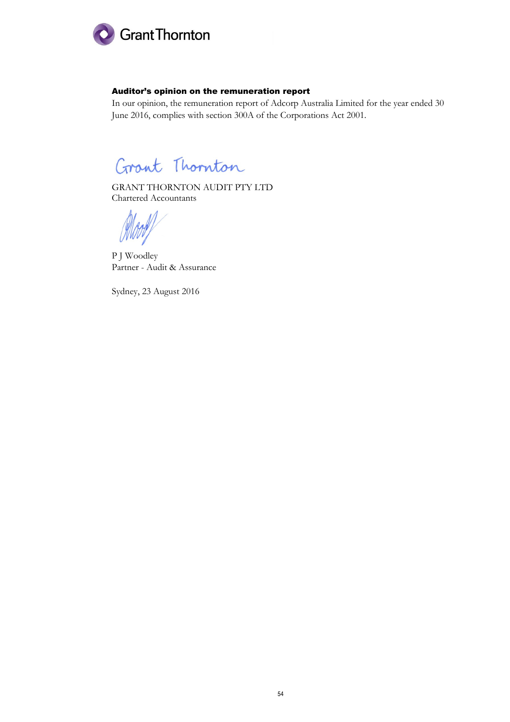

## Auditor's opinion on the remuneration report

In our opinion, the remuneration report of Adcorp Australia Limited for the year ended 30 June 2016, complies with section 300A of the Corporations Act 2001.

Grant Thornton

GRANT THORNTON AUDIT PTY LTD Chartered Accountants

P J Woodley Partner - Audit & Assurance

Sydney, 23 August 2016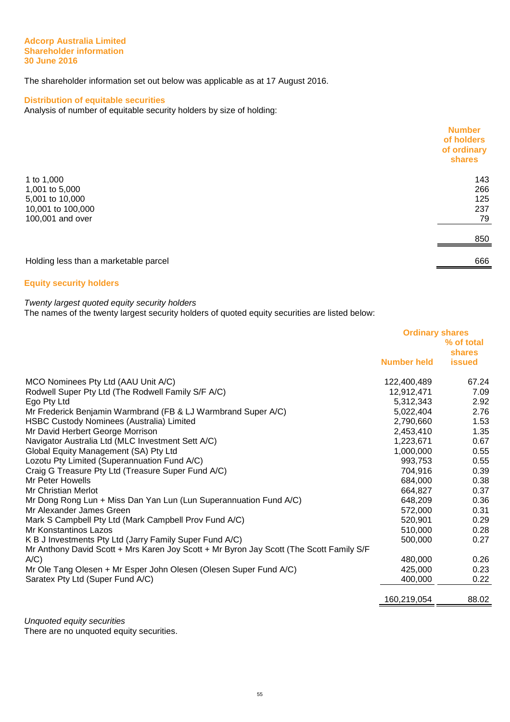#### **Adcorp Australia Limited Shareholder information 30 June 2016**

The shareholder information set out below was applicable as at 17 August 2016.

## **Distribution of equitable securities**

Analysis of number of equitable security holders by size of holding:

|                                       | <b>Number</b><br>of holders<br>of ordinary<br>shares |
|---------------------------------------|------------------------------------------------------|
| 1 to 1,000                            | 143                                                  |
| 1,001 to 5,000                        | 266                                                  |
| 5,001 to 10,000                       | 125                                                  |
| 10,001 to 100,000                     | 237                                                  |
| 100,001 and over                      | 79                                                   |
|                                       | 850                                                  |
| Holding less than a marketable parcel | 666                                                  |

## **Equity security holders**

## Twenty largest quoted equity security holders

The names of the twenty largest security holders of quoted equity securities are listed below:

|                                                                                         | <b>Ordinary shares</b><br>% of total |                         |
|-----------------------------------------------------------------------------------------|--------------------------------------|-------------------------|
|                                                                                         | <b>Number held</b>                   | shares<br><b>issued</b> |
| MCO Nominees Pty Ltd (AAU Unit A/C)                                                     | 122,400,489                          | 67.24                   |
| Rodwell Super Pty Ltd (The Rodwell Family S/F A/C)                                      | 12,912,471                           | 7.09                    |
| Ego Pty Ltd                                                                             | 5,312,343                            | 2.92                    |
| Mr Frederick Benjamin Warmbrand (FB & LJ Warmbrand Super A/C)                           | 5,022,404                            | 2.76                    |
| HSBC Custody Nominees (Australia) Limited                                               | 2,790,660                            | 1.53                    |
| Mr David Herbert George Morrison                                                        | 2,453,410                            | 1.35                    |
| Navigator Australia Ltd (MLC Investment Sett A/C)                                       | 1,223,671                            | 0.67                    |
| Global Equity Management (SA) Pty Ltd                                                   | 1,000,000                            | 0.55                    |
| Lozotu Pty Limited (Superannuation Fund A/C)                                            | 993,753                              | 0.55                    |
| Craig G Treasure Pty Ltd (Treasure Super Fund A/C)                                      | 704,916                              | 0.39                    |
| Mr Peter Howells                                                                        | 684,000                              | 0.38                    |
| Mr Christian Merlot                                                                     | 664,827                              | 0.37                    |
| Mr Dong Rong Lun + Miss Dan Yan Lun (Lun Superannuation Fund A/C)                       | 648,209                              | 0.36                    |
| Mr Alexander James Green                                                                | 572,000                              | 0.31                    |
| Mark S Campbell Pty Ltd (Mark Campbell Prov Fund A/C)                                   | 520,901                              | 0.29                    |
| Mr Konstantinos Lazos                                                                   | 510,000                              | 0.28                    |
| K B J Investments Pty Ltd (Jarry Family Super Fund A/C)                                 | 500,000                              | 0.27                    |
| Mr Anthony David Scott + Mrs Karen Joy Scott + Mr Byron Jay Scott (The Scott Family S/F |                                      |                         |
| $A/C$ )                                                                                 | 480,000                              | 0.26                    |
| Mr Ole Tang Olesen + Mr Esper John Olesen (Olesen Super Fund A/C)                       | 425,000                              | 0.23                    |
| Saratex Pty Ltd (Super Fund A/C)                                                        | 400,000                              | 0.22                    |
|                                                                                         | 160,219,054                          | 88.02                   |

Unquoted equity securities

There are no unquoted equity securities.